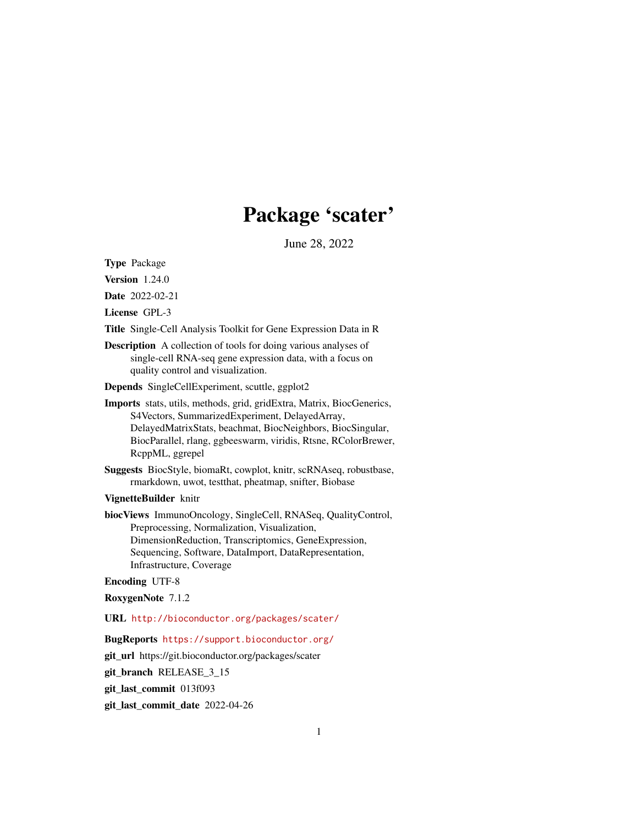# Package 'scater'

June 28, 2022

<span id="page-0-0"></span>Type Package

Version 1.24.0

Date 2022-02-21

License GPL-3

Title Single-Cell Analysis Toolkit for Gene Expression Data in R

Description A collection of tools for doing various analyses of single-cell RNA-seq gene expression data, with a focus on quality control and visualization.

Depends SingleCellExperiment, scuttle, ggplot2

- Imports stats, utils, methods, grid, gridExtra, Matrix, BiocGenerics, S4Vectors, SummarizedExperiment, DelayedArray, DelayedMatrixStats, beachmat, BiocNeighbors, BiocSingular, BiocParallel, rlang, ggbeeswarm, viridis, Rtsne, RColorBrewer, RcppML, ggrepel
- Suggests BiocStyle, biomaRt, cowplot, knitr, scRNAseq, robustbase, rmarkdown, uwot, testthat, pheatmap, snifter, Biobase

VignetteBuilder knitr

biocViews ImmunoOncology, SingleCell, RNASeq, QualityControl, Preprocessing, Normalization, Visualization, DimensionReduction, Transcriptomics, GeneExpression, Sequencing, Software, DataImport, DataRepresentation, Infrastructure, Coverage

Encoding UTF-8

RoxygenNote 7.1.2

URL <http://bioconductor.org/packages/scater/>

#### BugReports <https://support.bioconductor.org/>

git\_url https://git.bioconductor.org/packages/scater

git\_branch RELEASE\_3\_15

git\_last\_commit 013f093

git\_last\_commit\_date 2022-04-26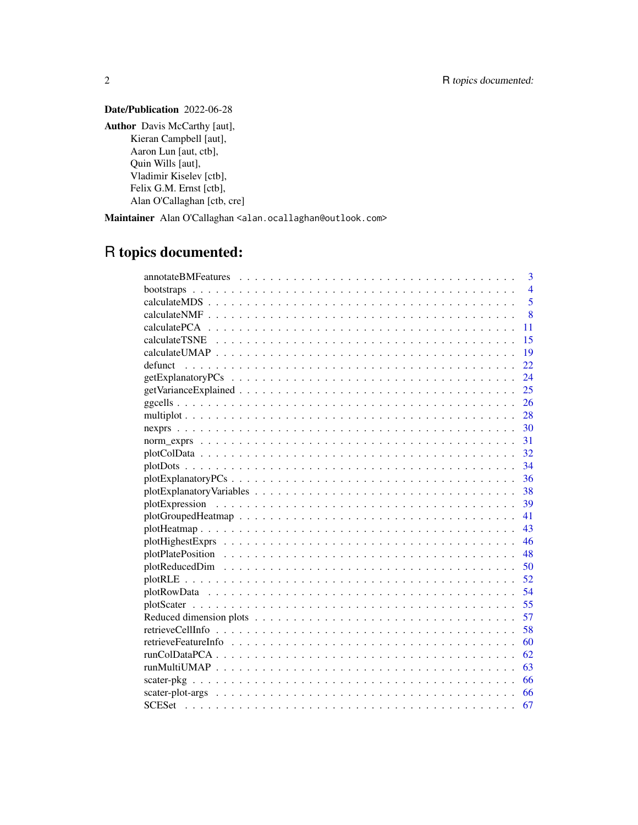# Date/Publication 2022-06-28

Author Davis McCarthy [aut], Kieran Campbell [aut], Aaron Lun [aut, ctb], Quin Wills [aut], Vladimir Kiselev [ctb], Felix G.M. Ernst [ctb], Alan O'Callaghan [ctb, cre]

Maintainer Alan O'Callaghan <alan.ocallaghan@outlook.com>

# R topics documented:

|            | 3              |
|------------|----------------|
| bootstraps | $\overline{4}$ |
|            | $\overline{5}$ |
|            | 8              |
| 11         |                |
| 15         |                |
| 19         |                |
| 22         |                |
| 24         |                |
| 25         |                |
| 26         |                |
| 28         |                |
|            |                |
| 31         |                |
| 32         |                |
| 34         |                |
| 36         |                |
|            |                |
|            |                |
| 41         |                |
| 43         |                |
|            |                |
|            |                |
|            |                |
|            |                |
| 54         |                |
| 55         |                |
| 57         |                |
| 58         |                |
| 60         |                |
| 62         |                |
| 63         |                |
| 66         |                |
| 66         |                |
| 67         |                |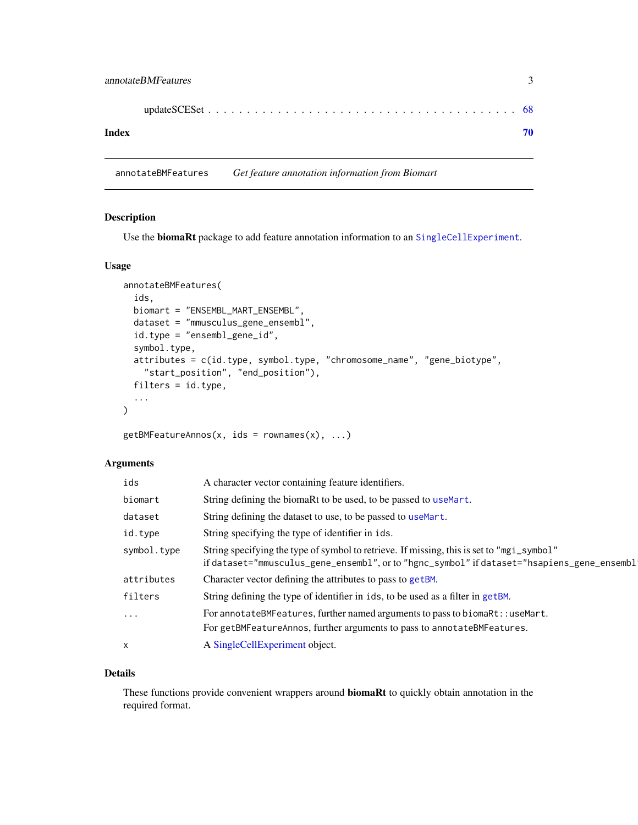<span id="page-2-0"></span>

| Index |  |
|-------|--|

annotateBMFeatures *Get feature annotation information from Biomart*

# Description

Use the **biomaRt** package to add feature annotation information to an [SingleCellExperiment](#page-0-0).

#### Usage

```
annotateBMFeatures(
  ids,
 biomart = "ENSEMBL_MART_ENSEMBL",
  dataset = "mmusculus_gene_ensembl",
  id.type = "ensembl_gene_id",
  symbol.type,
  attributes = c(id.type, symbol.type, "chromosome_name", "gene_biotype",
    "start_position", "end_position"),
  filters = id.type,
  ...
\mathcal{L}
```
 $getBMFeatureAnnos(x, ids = rownames(x), ...)$ 

# Arguments

| ids         | A character vector containing feature identifiers.                                                                                                                                      |
|-------------|-----------------------------------------------------------------------------------------------------------------------------------------------------------------------------------------|
| biomart     | String defining the biomaRt to be used, to be passed to useMart.                                                                                                                        |
| dataset     | String defining the dataset to use, to be passed to useMart.                                                                                                                            |
| id.type     | String specifying the type of identifier in ids.                                                                                                                                        |
| symbol.type | String specifying the type of symbol to retrieve. If missing, this is set to "mgi_symbol"<br>if dataset="mmusculus_gene_ensembl", or to "hgnc_symbol" if dataset="hsapiens_gene_ensembl |
| attributes  | Character vector defining the attributes to pass to getBM.                                                                                                                              |
| filters     | String defining the type of identifier in ids, to be used as a filter in getBM.                                                                                                         |
| $\ddots$    | For annotateBMFeatures, further named arguments to pass to biomaRt: : useMart.                                                                                                          |
|             | For getBMFeatureAnnos, further arguments to pass to annotateBMFeatures.                                                                                                                 |
| X           | A SingleCellExperiment object.                                                                                                                                                          |

#### Details

These functions provide convenient wrappers around biomaRt to quickly obtain annotation in the required format.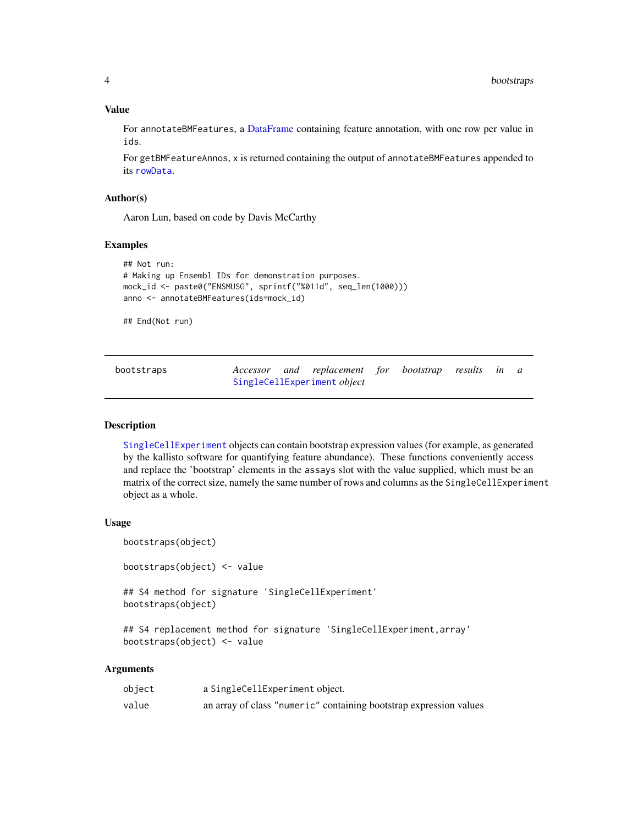# Value

For annotateBMFeatures, a [DataFrame](#page-0-0) containing feature annotation, with one row per value in ids.

For getBMFeatureAnnos, x is returned containing the output of annotateBMFeatures appended to its [rowData](#page-0-0).

#### Author(s)

Aaron Lun, based on code by Davis McCarthy

#### Examples

```
## Not run:
# Making up Ensembl IDs for demonstration purposes.
mock_id <- paste0("ENSMUSG", sprintf("%011d", seq_len(1000)))
anno <- annotateBMFeatures(ids=mock_id)
```
## End(Not run)

| bootstraps |  | Accessor and replacement for bootstrap results in a |  |  |  |
|------------|--|-----------------------------------------------------|--|--|--|
|            |  | SingleCellExperiment object                         |  |  |  |

## Description

[SingleCellExperiment](#page-0-0) objects can contain bootstrap expression values (for example, as generated by the kallisto software for quantifying feature abundance). These functions conveniently access and replace the 'bootstrap' elements in the assays slot with the value supplied, which must be an matrix of the correct size, namely the same number of rows and columns as the SingleCellExperiment object as a whole.

#### Usage

```
bootstraps(object)
```

```
bootstraps(object) <- value
```
## S4 method for signature 'SingleCellExperiment' bootstraps(object)

## S4 replacement method for signature 'SingleCellExperiment,array' bootstraps(object) <- value

# Arguments

| object | a SingleCellExperiment object.                                     |
|--------|--------------------------------------------------------------------|
| value  | an array of class "numeric" containing bootstrap expression values |

<span id="page-3-0"></span>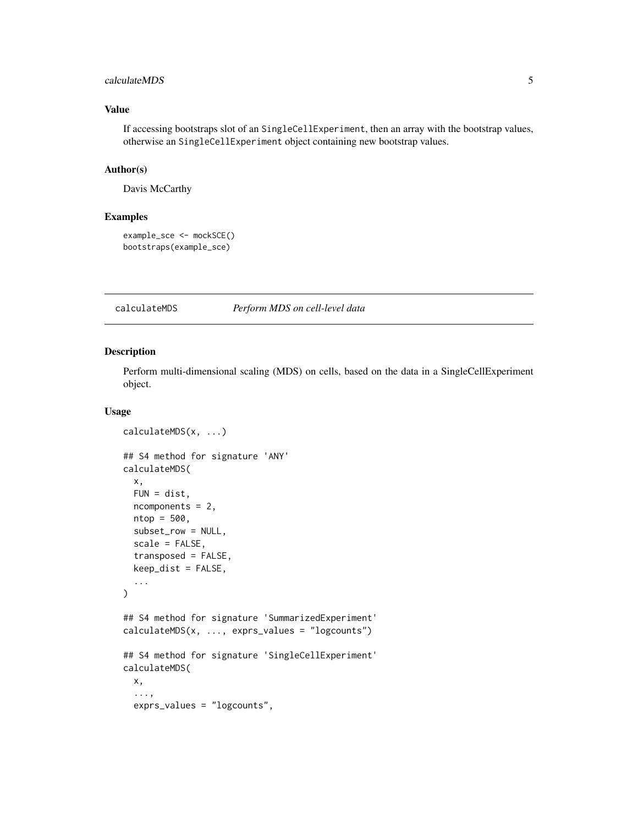#### <span id="page-4-0"></span>calculateMDS 5

# Value

If accessing bootstraps slot of an SingleCellExperiment, then an array with the bootstrap values, otherwise an SingleCellExperiment object containing new bootstrap values.

### Author(s)

Davis McCarthy

# Examples

```
example_sce <- mockSCE()
bootstraps(example_sce)
```
calculateMDS *Perform MDS on cell-level data*

#### Description

Perform multi-dimensional scaling (MDS) on cells, based on the data in a SingleCellExperiment object.

# Usage

```
calculateMDS(x, ...)
## S4 method for signature 'ANY'
calculateMDS(
  x,
  FUN = dist,ncomponents = 2,
  ntop = 500,subset_row = NULL,
  scale = FALSE,
  transposed = FALSE,
  keep_dist = FALSE,
  ...
)
## S4 method for signature 'SummarizedExperiment'
calculateMDS(x, ..., exprs_values = "logcounts")
## S4 method for signature 'SingleCellExperiment'
calculateMDS(
  x,
  ...,
  exprs_values = "logcounts",
```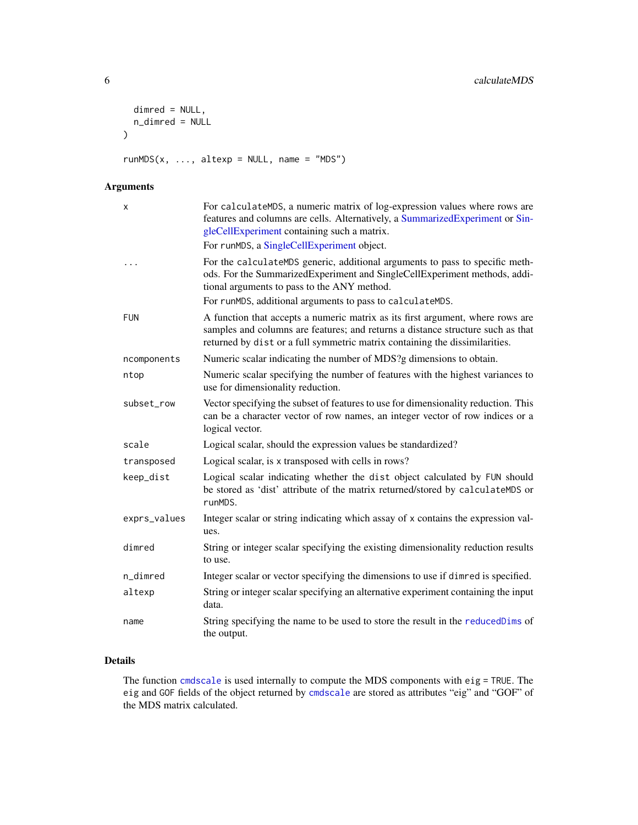```
dimred = NULL,n_dimred = NULL
\mathcal{L}
```
 $runMDS(x, ..., alterp = NULL, name = "MDS")$ 

# Arguments

| х            | For calculateMDS, a numeric matrix of log-expression values where rows are<br>features and columns are cells. Alternatively, a SummarizedExperiment or Sin-<br>gleCellExperiment containing such a matrix.                                       |
|--------------|--------------------------------------------------------------------------------------------------------------------------------------------------------------------------------------------------------------------------------------------------|
|              | For runMDS, a SingleCellExperiment object.                                                                                                                                                                                                       |
|              | For the calculateMDS generic, additional arguments to pass to specific meth-<br>ods. For the SummarizedExperiment and SingleCellExperiment methods, addi-<br>tional arguments to pass to the ANY method.                                         |
|              | For runMDS, additional arguments to pass to calculateMDS.                                                                                                                                                                                        |
| <b>FUN</b>   | A function that accepts a numeric matrix as its first argument, where rows are<br>samples and columns are features; and returns a distance structure such as that<br>returned by dist or a full symmetric matrix containing the dissimilarities. |
| ncomponents  | Numeric scalar indicating the number of MDS?g dimensions to obtain.                                                                                                                                                                              |
| ntop         | Numeric scalar specifying the number of features with the highest variances to<br>use for dimensionality reduction.                                                                                                                              |
| subset_row   | Vector specifying the subset of features to use for dimensionality reduction. This<br>can be a character vector of row names, an integer vector of row indices or a<br>logical vector.                                                           |
| scale        | Logical scalar, should the expression values be standardized?                                                                                                                                                                                    |
| transposed   | Logical scalar, is x transposed with cells in rows?                                                                                                                                                                                              |
| keep_dist    | Logical scalar indicating whether the dist object calculated by FUN should<br>be stored as 'dist' attribute of the matrix returned/stored by calculateMDS or<br>runMDS.                                                                          |
| exprs_values | Integer scalar or string indicating which assay of x contains the expression val-<br>ues.                                                                                                                                                        |
| dimred       | String or integer scalar specifying the existing dimensionality reduction results<br>to use.                                                                                                                                                     |
| n_dimred     | Integer scalar or vector specifying the dimensions to use if dimred is specified.                                                                                                                                                                |
| altexp       | String or integer scalar specifying an alternative experiment containing the input<br>data.                                                                                                                                                      |
| name         | String specifying the name to be used to store the result in the reducedDims of<br>the output.                                                                                                                                                   |

# Details

The function [cmdscale](#page-0-0) is used internally to compute the MDS components with eig = TRUE. The eig and GOF fields of the object returned by [cmdscale](#page-0-0) are stored as attributes "eig" and "GOF" of the MDS matrix calculated.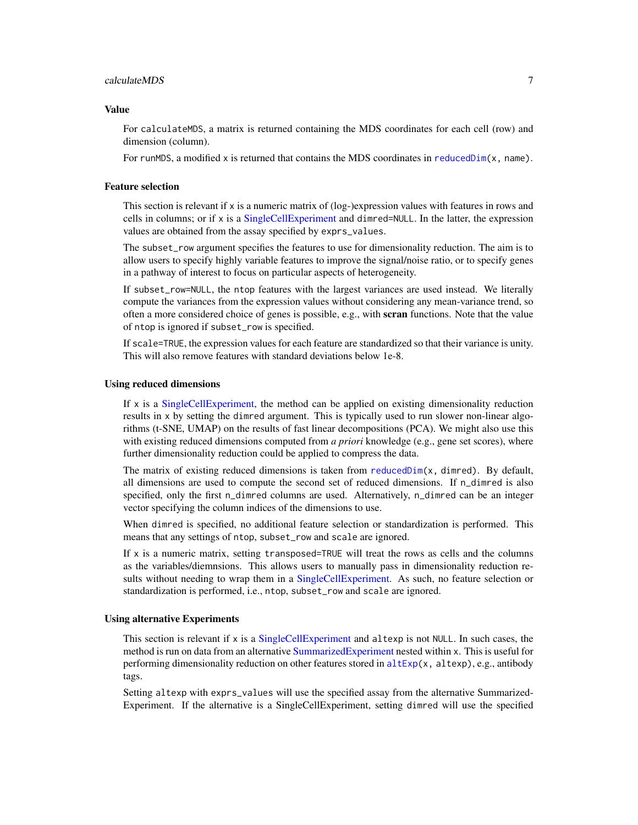#### calculateMDS 7

#### Value

For calculateMDS, a matrix is returned containing the MDS coordinates for each cell (row) and dimension (column).

For runMDS, a modified x is returned that contains the MDS coordinates in [reducedDim\(](#page-0-0)x, name).

#### Feature selection

This section is relevant if  $x$  is a numeric matrix of  $(log$ -)expression values with features in rows and cells in columns; or if x is a [SingleCellExperiment](#page-0-0) and dimred=NULL. In the latter, the expression values are obtained from the assay specified by exprs\_values.

The subset\_row argument specifies the features to use for dimensionality reduction. The aim is to allow users to specify highly variable features to improve the signal/noise ratio, or to specify genes in a pathway of interest to focus on particular aspects of heterogeneity.

If subset\_row=NULL, the ntop features with the largest variances are used instead. We literally compute the variances from the expression values without considering any mean-variance trend, so often a more considered choice of genes is possible, e.g., with scran functions. Note that the value of ntop is ignored if subset\_row is specified.

If scale=TRUE, the expression values for each feature are standardized so that their variance is unity. This will also remove features with standard deviations below 1e-8.

#### Using reduced dimensions

If x is a [SingleCellExperiment,](#page-0-0) the method can be applied on existing dimensionality reduction results in x by setting the dimred argument. This is typically used to run slower non-linear algorithms (t-SNE, UMAP) on the results of fast linear decompositions (PCA). We might also use this with existing reduced dimensions computed from *a priori* knowledge (e.g., gene set scores), where further dimensionality reduction could be applied to compress the data.

The matrix of existing reduced dimensions is taken from reduced  $Dim(x, dimred)$ . By default, all dimensions are used to compute the second set of reduced dimensions. If n\_dimred is also specified, only the first n\_dimred columns are used. Alternatively, n\_dimred can be an integer vector specifying the column indices of the dimensions to use.

When dimred is specified, no additional feature selection or standardization is performed. This means that any settings of ntop, subset\_row and scale are ignored.

If x is a numeric matrix, setting transposed=TRUE will treat the rows as cells and the columns as the variables/diemnsions. This allows users to manually pass in dimensionality reduction results without needing to wrap them in a [SingleCellExperiment.](#page-0-0) As such, no feature selection or standardization is performed, i.e., ntop, subset\_row and scale are ignored.

#### Using alternative Experiments

This section is relevant if x is a [SingleCellExperiment](#page-0-0) and altexp is not NULL. In such cases, the method is run on data from an alternative [SummarizedExperiment](#page-0-0) nested within x. This is useful for performing dimensionality reduction on other features stored in  $altExp(x, altexp)$  $altExp(x, altexp)$ , e.g., antibody tags.

Setting altexp with exprs\_values will use the specified assay from the alternative Summarized-Experiment. If the alternative is a SingleCellExperiment, setting dimred will use the specified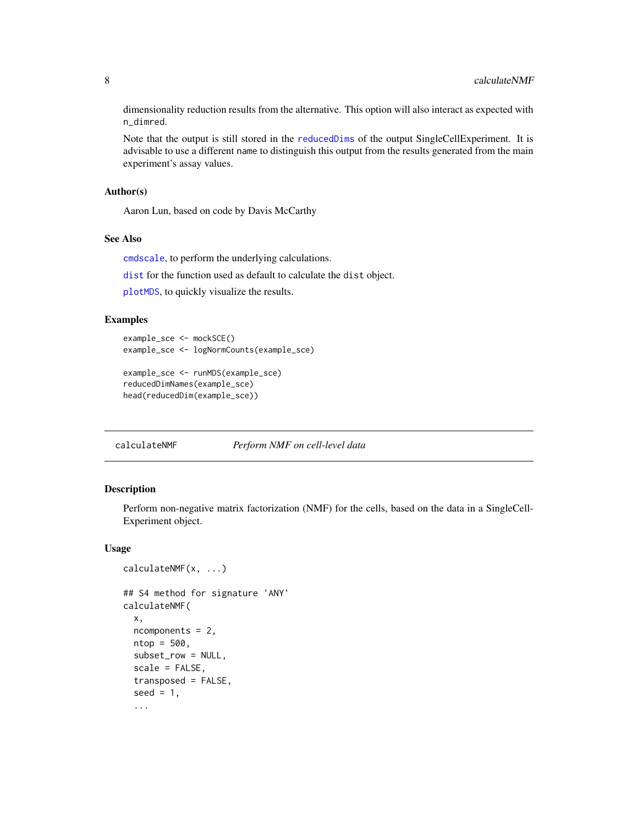<span id="page-7-0"></span>dimensionality reduction results from the alternative. This option will also interact as expected with n\_dimred.

Note that the output is still stored in the [reducedDims](#page-0-0) of the output SingleCellExperiment. It is advisable to use a different name to distinguish this output from the results generated from the main experiment's assay values.

#### Author(s)

Aaron Lun, based on code by Davis McCarthy

#### See Also

[cmdscale](#page-0-0), to perform the underlying calculations.

[dist](#page-0-0) for the function used as default to calculate the dist object.

[plotMDS](#page-56-1), to quickly visualize the results.

#### Examples

```
example_sce <- mockSCE()
example_sce <- logNormCounts(example_sce)
```

```
example_sce <- runMDS(example_sce)
reducedDimNames(example_sce)
head(reducedDim(example_sce))
```
calculateNMF *Perform NMF on cell-level data*

#### Description

Perform non-negative matrix factorization (NMF) for the cells, based on the data in a SingleCell-Experiment object.

#### Usage

```
calculateNMF(x, ...)
## S4 method for signature 'ANY'
calculateNMF(
  x,
  ncomponents = 2,
 ntop = 500,
  subset_row = NULL,
  scale = FALSE,
  transposed = FALSE,
  seed = 1,
  ...
```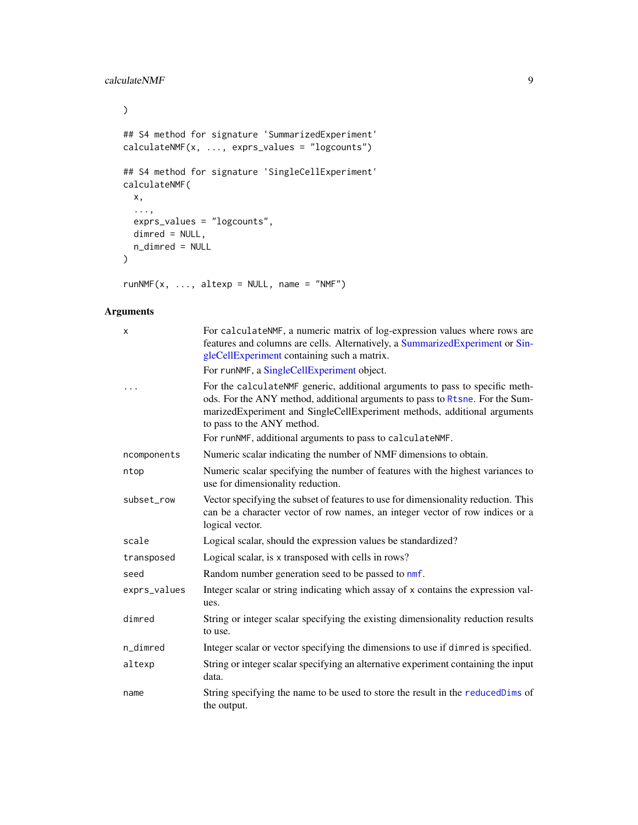# calculateNMF 9

```
\mathcal{L}## S4 method for signature 'SummarizedExperiment'
calculateNMF(x, ..., exprs_values = "logcounts")
## S4 method for signature 'SingleCellExperiment'
calculateNMF(
 x,
  ...,
 exprs_values = "logcounts",
 dimred = NULL,
 n_dimred = NULL
\mathcal{L}
```
 $runNMF(x, ..., alterp = NULL, name = "NMF")$ 

# Arguments

| X            | For calculateNMF, a numeric matrix of log-expression values where rows are<br>features and columns are cells. Alternatively, a SummarizedExperiment or Sin-<br>gleCellExperiment containing such a matrix.<br>For runNMF, a SingleCellExperiment object.                                                                            |
|--------------|-------------------------------------------------------------------------------------------------------------------------------------------------------------------------------------------------------------------------------------------------------------------------------------------------------------------------------------|
|              | For the calculateNMF generic, additional arguments to pass to specific meth-<br>ods. For the ANY method, additional arguments to pass to Rtsne. For the Sum-<br>marizedExperiment and SingleCellExperiment methods, additional arguments<br>to pass to the ANY method.<br>For runNMF, additional arguments to pass to calculateNMF. |
| ncomponents  | Numeric scalar indicating the number of NMF dimensions to obtain.                                                                                                                                                                                                                                                                   |
| ntop         | Numeric scalar specifying the number of features with the highest variances to<br>use for dimensionality reduction.                                                                                                                                                                                                                 |
| subset_row   | Vector specifying the subset of features to use for dimensionality reduction. This<br>can be a character vector of row names, an integer vector of row indices or a<br>logical vector.                                                                                                                                              |
| scale        | Logical scalar, should the expression values be standardized?                                                                                                                                                                                                                                                                       |
| transposed   | Logical scalar, is x transposed with cells in rows?                                                                                                                                                                                                                                                                                 |
| seed         | Random number generation seed to be passed to nmf.                                                                                                                                                                                                                                                                                  |
| exprs_values | Integer scalar or string indicating which assay of x contains the expression val-<br>ues.                                                                                                                                                                                                                                           |
| dimred       | String or integer scalar specifying the existing dimensionality reduction results<br>to use.                                                                                                                                                                                                                                        |
| n_dimred     | Integer scalar or vector specifying the dimensions to use if dimred is specified.                                                                                                                                                                                                                                                   |
| altexp       | String or integer scalar specifying an alternative experiment containing the input<br>data.                                                                                                                                                                                                                                         |
| name         | String specifying the name to be used to store the result in the reducedDims of<br>the output.                                                                                                                                                                                                                                      |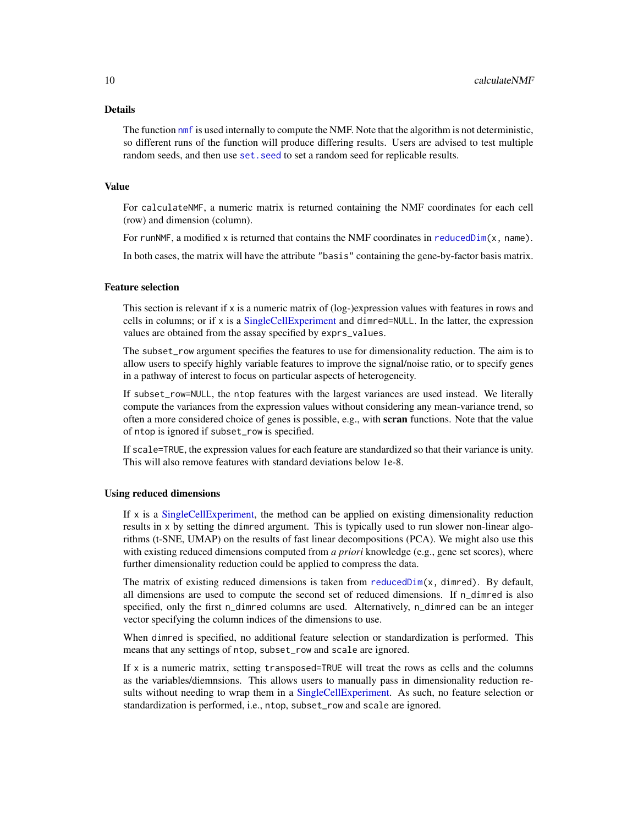#### Details

The function [nmf](#page-0-0) is used internally to compute the NMF. Note that the algorithm is not deterministic, so different runs of the function will produce differing results. Users are advised to test multiple random seeds, and then use set. seed to set a random seed for replicable results.

#### Value

For calculateNMF, a numeric matrix is returned containing the NMF coordinates for each cell (row) and dimension (column).

For runNMF, a modified x is returned that contains the NMF coordinates in [reducedDim\(](#page-0-0)x, name).

In both cases, the matrix will have the attribute "basis" containing the gene-by-factor basis matrix.

#### Feature selection

This section is relevant if x is a numeric matrix of (log-)expression values with features in rows and cells in columns; or if x is a [SingleCellExperiment](#page-0-0) and dimred=NULL. In the latter, the expression values are obtained from the assay specified by exprs\_values.

The subset\_row argument specifies the features to use for dimensionality reduction. The aim is to allow users to specify highly variable features to improve the signal/noise ratio, or to specify genes in a pathway of interest to focus on particular aspects of heterogeneity.

If subset\_row=NULL, the ntop features with the largest variances are used instead. We literally compute the variances from the expression values without considering any mean-variance trend, so often a more considered choice of genes is possible, e.g., with **scran** functions. Note that the value of ntop is ignored if subset\_row is specified.

If scale=TRUE, the expression values for each feature are standardized so that their variance is unity. This will also remove features with standard deviations below 1e-8.

#### Using reduced dimensions

If x is a [SingleCellExperiment,](#page-0-0) the method can be applied on existing dimensionality reduction results in x by setting the dimred argument. This is typically used to run slower non-linear algorithms (t-SNE, UMAP) on the results of fast linear decompositions (PCA). We might also use this with existing reduced dimensions computed from *a priori* knowledge (e.g., gene set scores), where further dimensionality reduction could be applied to compress the data.

The matrix of existing reduced dimensions is taken from [reducedDim\(](#page-0-0) $x$ , dimred). By default, all dimensions are used to compute the second set of reduced dimensions. If n\_dimred is also specified, only the first n\_dimred columns are used. Alternatively, n\_dimred can be an integer vector specifying the column indices of the dimensions to use.

When dimred is specified, no additional feature selection or standardization is performed. This means that any settings of ntop, subset\_row and scale are ignored.

If  $x$  is a numeric matrix, setting transposed=TRUE will treat the rows as cells and the columns as the variables/diemnsions. This allows users to manually pass in dimensionality reduction results without needing to wrap them in a [SingleCellExperiment.](#page-0-0) As such, no feature selection or standardization is performed, i.e., ntop, subset\_row and scale are ignored.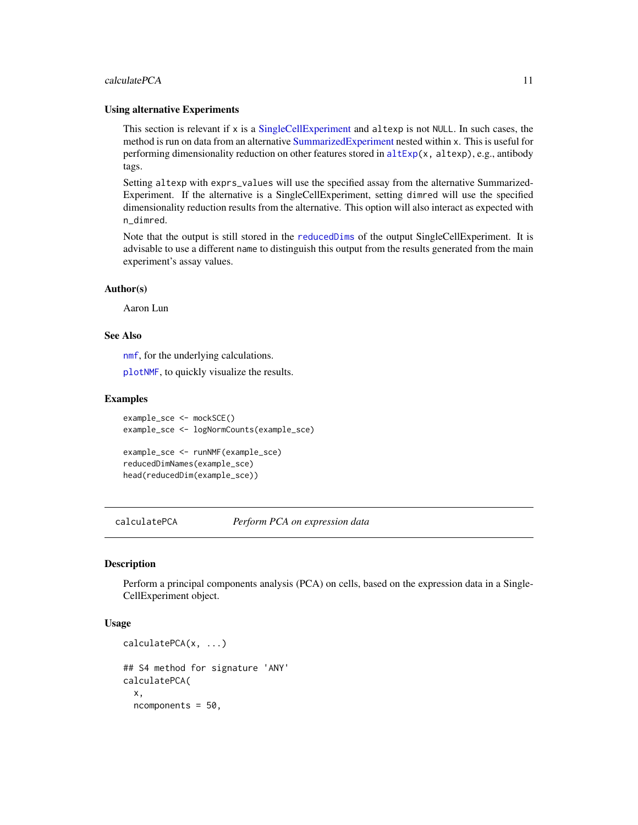#### <span id="page-10-0"></span>calculatePCA 11

#### Using alternative Experiments

This section is relevant if x is a [SingleCellExperiment](#page-0-0) and altexp is not NULL. In such cases, the method is run on data from an alternative [SummarizedExperiment](#page-0-0) nested within x. This is useful for performing dimensionality reduction on other features stored in  $altExp(x, altexp)$  $altExp(x, altexp)$ , e.g., antibody tags.

Setting altexp with exprs\_values will use the specified assay from the alternative Summarized-Experiment. If the alternative is a SingleCellExperiment, setting dimred will use the specified dimensionality reduction results from the alternative. This option will also interact as expected with n\_dimred.

Note that the output is still stored in the [reducedDims](#page-0-0) of the output SingleCellExperiment. It is advisable to use a different name to distinguish this output from the results generated from the main experiment's assay values.

#### Author(s)

Aaron Lun

#### See Also

[nmf](#page-0-0), for the underlying calculations.

[plotNMF](#page-56-1), to quickly visualize the results.

#### Examples

```
example_sce <- mockSCE()
example_sce <- logNormCounts(example_sce)
example_sce <- runNMF(example_sce)
reducedDimNames(example_sce)
```
head(reducedDim(example\_sce))

calculatePCA *Perform PCA on expression data*

#### <span id="page-10-1"></span>**Description**

Perform a principal components analysis (PCA) on cells, based on the expression data in a Single-CellExperiment object.

#### Usage

```
calculatePCA(x, ...)
## S4 method for signature 'ANY'
calculatePCA(
  x,
  ncomponents = 50,
```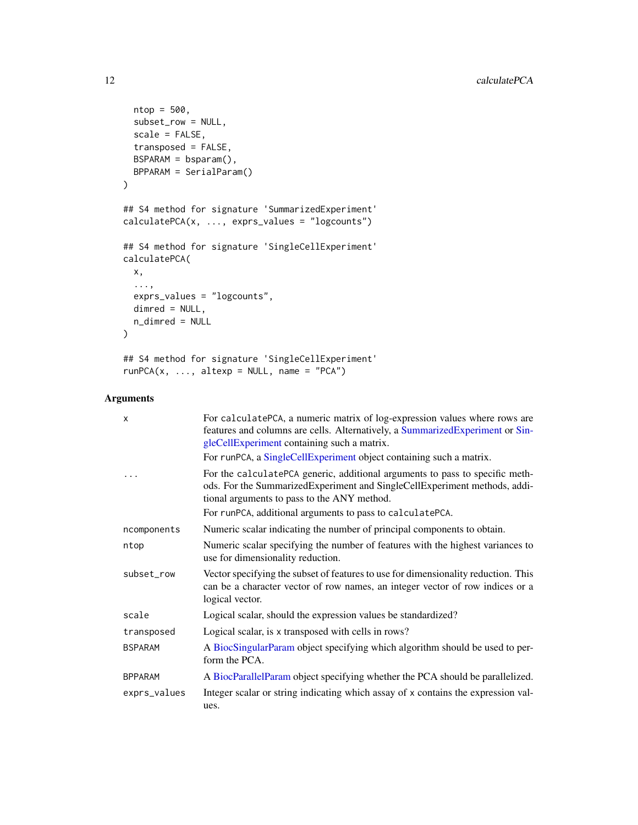```
ntop = 500,
  subset_row = NULL,
  scale = FALSE,
  transposed = FALSE,
 BSPARAM = bsparam(),
 BPPARAM = SerialParam()
\mathcal{L}## S4 method for signature 'SummarizedExperiment'
calculatePCA(x, ..., exprs_values = "logcounts")
## S4 method for signature 'SingleCellExperiment'
calculatePCA(
 x,
  ...,
 exprs_values = "logcounts",
 dimred = NULL,
 n_dimred = NULL
\mathcal{L}## S4 method for signature 'SingleCellExperiment'
```

```
runPCA(x, ..., alterp = NULL, name = "PCA")
```
# Arguments

| $\mathsf{x}$   | For calculatePCA, a numeric matrix of log-expression values where rows are<br>features and columns are cells. Alternatively, a SummarizedExperiment or Sin-<br>gleCellExperiment containing such a matrix.<br>For runPCA, a SingleCellExperiment object containing such a matrix. |
|----------------|-----------------------------------------------------------------------------------------------------------------------------------------------------------------------------------------------------------------------------------------------------------------------------------|
|                | For the calculatePCA generic, additional arguments to pass to specific meth-<br>ods. For the SummarizedExperiment and SingleCellExperiment methods, addi-<br>tional arguments to pass to the ANY method.<br>For runPCA, additional arguments to pass to calculatePCA.             |
| ncomponents    | Numeric scalar indicating the number of principal components to obtain.                                                                                                                                                                                                           |
| ntop           | Numeric scalar specifying the number of features with the highest variances to<br>use for dimensionality reduction.                                                                                                                                                               |
| subset_row     | Vector specifying the subset of features to use for dimensionality reduction. This<br>can be a character vector of row names, an integer vector of row indices or a<br>logical vector.                                                                                            |
| scale          | Logical scalar, should the expression values be standardized?                                                                                                                                                                                                                     |
| transposed     | Logical scalar, is x transposed with cells in rows?                                                                                                                                                                                                                               |
| <b>BSPARAM</b> | A BiocSingularParam object specifying which algorithm should be used to per-<br>form the PCA.                                                                                                                                                                                     |
| <b>BPPARAM</b> | A BiocParallelParam object specifying whether the PCA should be parallelized.                                                                                                                                                                                                     |
| exprs_values   | Integer scalar or string indicating which assay of x contains the expression val-<br>ues.                                                                                                                                                                                         |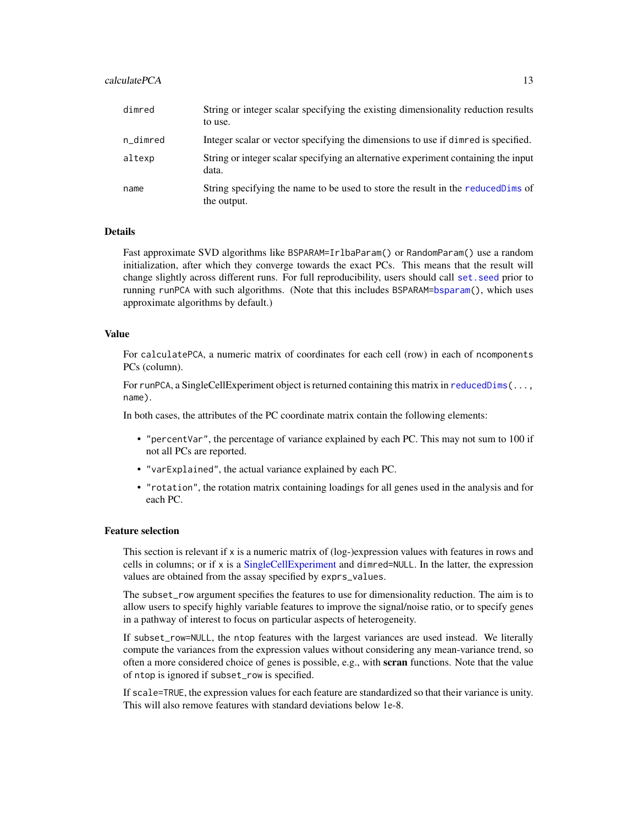#### calculatePCA 13

| dimred   | String or integer scalar specifying the existing dimensionality reduction results<br>to use.    |
|----------|-------------------------------------------------------------------------------------------------|
| n_dimred | Integer scalar or vector specifying the dimensions to use if dimred is specified.               |
| altexp   | String or integer scalar specifying an alternative experiment containing the input<br>data.     |
| name     | String specifying the name to be used to store the result in the reduced Dims of<br>the output. |

## **Details**

Fast approximate SVD algorithms like BSPARAM=IrlbaParam() or RandomParam() use a random initialization, after which they converge towards the exact PCs. This means that the result will change slightly across different runs. For full reproducibility, users should call [set.seed](#page-0-0) prior to running runPCA with such algorithms. (Note that this includes BSPARAM[=bsparam\(](#page-0-0)), which uses approximate algorithms by default.)

#### Value

For calculatePCA, a numeric matrix of coordinates for each cell (row) in each of ncomponents PCs (column).

For runPCA, a SingleCellExperiment object is returned containing this matrix in reduced  $Dim(...$ name).

In both cases, the attributes of the PC coordinate matrix contain the following elements:

- "percentVar", the percentage of variance explained by each PC. This may not sum to 100 if not all PCs are reported.
- "varExplained", the actual variance explained by each PC.
- "rotation", the rotation matrix containing loadings for all genes used in the analysis and for each PC.

#### Feature selection

This section is relevant if x is a numeric matrix of (log-)expression values with features in rows and cells in columns; or if x is a [SingleCellExperiment](#page-0-0) and dimred=NULL. In the latter, the expression values are obtained from the assay specified by exprs\_values.

The subset\_row argument specifies the features to use for dimensionality reduction. The aim is to allow users to specify highly variable features to improve the signal/noise ratio, or to specify genes in a pathway of interest to focus on particular aspects of heterogeneity.

If subset\_row=NULL, the ntop features with the largest variances are used instead. We literally compute the variances from the expression values without considering any mean-variance trend, so often a more considered choice of genes is possible, e.g., with **scran** functions. Note that the value of ntop is ignored if subset\_row is specified.

If scale=TRUE, the expression values for each feature are standardized so that their variance is unity. This will also remove features with standard deviations below 1e-8.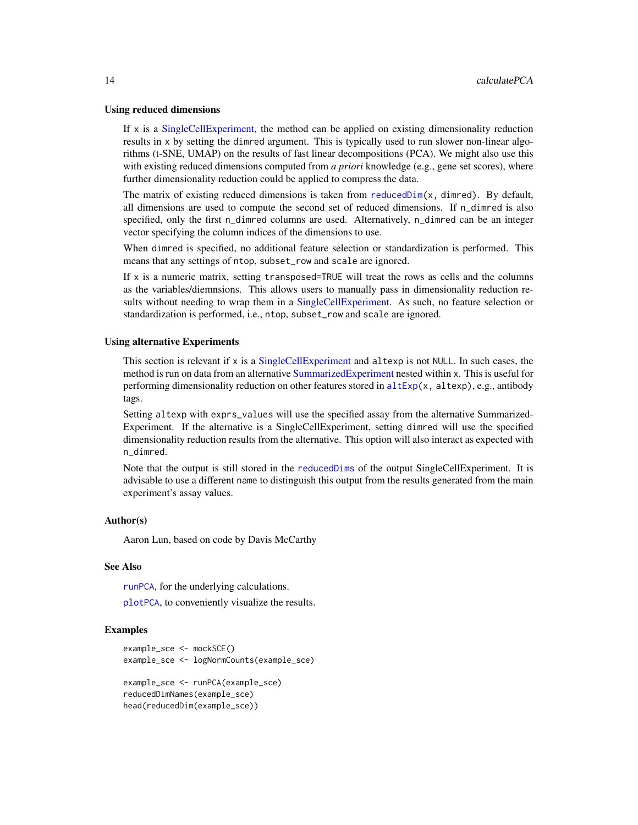#### Using reduced dimensions

If x is a [SingleCellExperiment,](#page-0-0) the method can be applied on existing dimensionality reduction results in x by setting the dimred argument. This is typically used to run slower non-linear algorithms (t-SNE, UMAP) on the results of fast linear decompositions (PCA). We might also use this with existing reduced dimensions computed from *a priori* knowledge (e.g., gene set scores), where further dimensionality reduction could be applied to compress the data.

The matrix of existing reduced dimensions is taken from reduced  $Dim(x, dimred)$ . By default, all dimensions are used to compute the second set of reduced dimensions. If n\_dimred is also specified, only the first n\_dimred columns are used. Alternatively, n\_dimred can be an integer vector specifying the column indices of the dimensions to use.

When dimred is specified, no additional feature selection or standardization is performed. This means that any settings of ntop, subset\_row and scale are ignored.

If x is a numeric matrix, setting transposed=TRUE will treat the rows as cells and the columns as the variables/diemnsions. This allows users to manually pass in dimensionality reduction re-sults without needing to wrap them in a [SingleCellExperiment.](#page-0-0) As such, no feature selection or standardization is performed, i.e., ntop, subset\_row and scale are ignored.

#### Using alternative Experiments

This section is relevant if x is a [SingleCellExperiment](#page-0-0) and altexp is not NULL. In such cases, the method is run on data from an alternative [SummarizedExperiment](#page-0-0) nested within x. This is useful for performing dimensionality reduction on other features stored in  $altExp(x, altexp), e.g., antibody$  $altExp(x, altexp), e.g., antibody$ tags.

Setting altexp with exprs\_values will use the specified assay from the alternative Summarized-Experiment. If the alternative is a SingleCellExperiment, setting dimred will use the specified dimensionality reduction results from the alternative. This option will also interact as expected with n\_dimred.

Note that the output is still stored in the [reducedDims](#page-0-0) of the output SingleCellExperiment. It is advisable to use a different name to distinguish this output from the results generated from the main experiment's assay values.

#### Author(s)

Aaron Lun, based on code by Davis McCarthy

#### See Also

[runPCA](#page-10-1), for the underlying calculations.

[plotPCA](#page-56-1), to conveniently visualize the results.

#### Examples

```
example_sce <- mockSCE()
example_sce <- logNormCounts(example_sce)
example_sce <- runPCA(example_sce)
reducedDimNames(example_sce)
head(reducedDim(example_sce))
```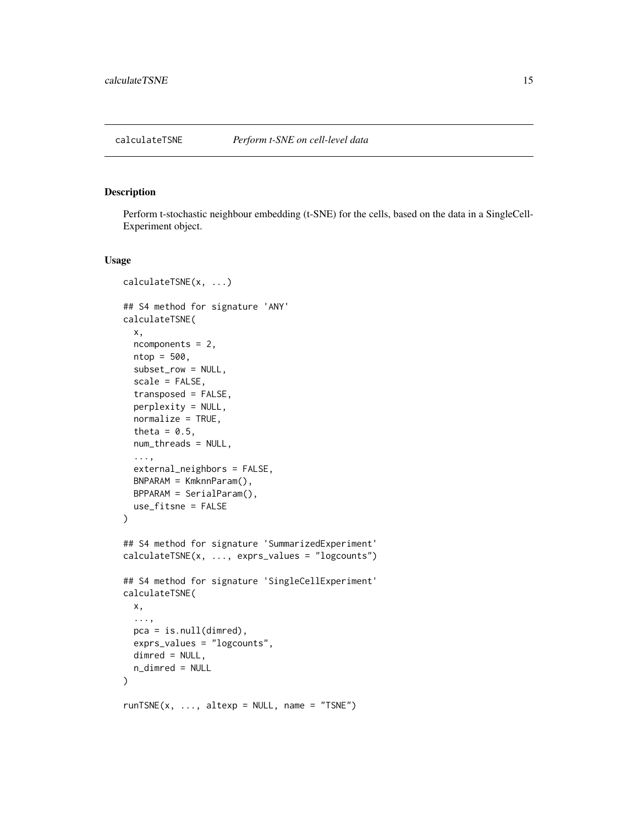<span id="page-14-0"></span>

#### Description

Perform t-stochastic neighbour embedding (t-SNE) for the cells, based on the data in a SingleCell-Experiment object.

#### Usage

```
calculateTSNE(x, ...)
## S4 method for signature 'ANY'
calculateTSNE(
  x,
  ncomponents = 2,
 ntop = 500,
  subset_row = NULL,
  scale = FALSE,
  transposed = FALSE,
  perplexity = NULL,
  normalize = TRUE,
  theta = 0.5,
  num_threads = NULL,
  ...,
  external_neighbors = FALSE,
 BNPARAM = KmknnParam(),
 BPPARAM = SerialParam(),
  use_fitsne = FALSE
)
## S4 method for signature 'SummarizedExperiment'
calculateTSNE(x, ..., exprs_values = "logcounts")
## S4 method for signature 'SingleCellExperiment'
calculateTSNE(
 x,
  ...,
 pca = is.null(dimred),
 exprs_values = "logcounts",
 dimred = NULL,
 n_dimred = NULL
)
runTSNE(x, ..., alterp = NULL, name = "TSNE")
```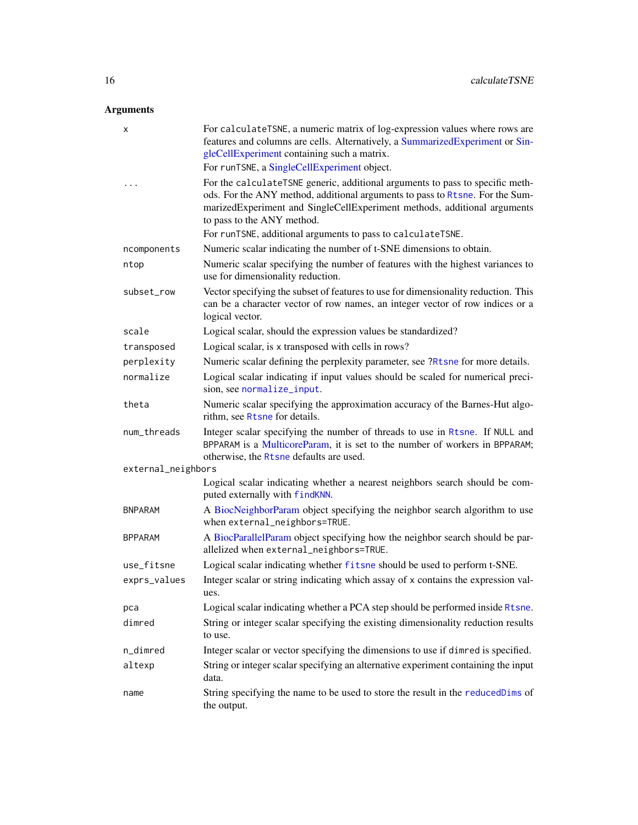# Arguments

| x                  | For calculateTSNE, a numeric matrix of log-expression values where rows are<br>features and columns are cells. Alternatively, a SummarizedExperiment or Sin-<br>gleCellExperiment containing such a matrix.                                                             |
|--------------------|-------------------------------------------------------------------------------------------------------------------------------------------------------------------------------------------------------------------------------------------------------------------------|
|                    | For runTSNE, a SingleCellExperiment object.                                                                                                                                                                                                                             |
| $\cdots$           | For the calculateTSNE generic, additional arguments to pass to specific meth-<br>ods. For the ANY method, additional arguments to pass to Rtsne. For the Sum-<br>marizedExperiment and SingleCellExperiment methods, additional arguments<br>to pass to the ANY method. |
|                    | For runTSNE, additional arguments to pass to calculateTSNE.                                                                                                                                                                                                             |
| ncomponents        | Numeric scalar indicating the number of t-SNE dimensions to obtain.                                                                                                                                                                                                     |
| ntop               | Numeric scalar specifying the number of features with the highest variances to<br>use for dimensionality reduction.                                                                                                                                                     |
| subset_row         | Vector specifying the subset of features to use for dimensionality reduction. This<br>can be a character vector of row names, an integer vector of row indices or a<br>logical vector.                                                                                  |
| scale              | Logical scalar, should the expression values be standardized?                                                                                                                                                                                                           |
| transposed         | Logical scalar, is x transposed with cells in rows?                                                                                                                                                                                                                     |
| perplexity         | Numeric scalar defining the perplexity parameter, see ?Rtsne for more details.                                                                                                                                                                                          |
| normalize          | Logical scalar indicating if input values should be scaled for numerical preci-<br>sion, see normalize_input.                                                                                                                                                           |
| theta              | Numeric scalar specifying the approximation accuracy of the Barnes-Hut algo-<br>rithm, see Rtsne for details.                                                                                                                                                           |
| num_threads        | Integer scalar specifying the number of threads to use in Rtsne. If NULL and<br>BPPARAM is a MulticoreParam, it is set to the number of workers in BPPARAM;<br>otherwise, the Rtsne defaults are used.                                                                  |
| external_neighbors |                                                                                                                                                                                                                                                                         |
|                    | Logical scalar indicating whether a nearest neighbors search should be com-<br>puted externally with findKNN.                                                                                                                                                           |
| <b>BNPARAM</b>     | A BiocNeighborParam object specifying the neighbor search algorithm to use<br>when external_neighbors=TRUE.                                                                                                                                                             |
| <b>BPPARAM</b>     | A BiocParallelParam object specifying how the neighbor search should be par-<br>allelized when external_neighbors=TRUE.                                                                                                                                                 |
| use_fitsne         | Logical scalar indicating whether fitsne should be used to perform t-SNE.                                                                                                                                                                                               |
| exprs_values       | Integer scalar or string indicating which assay of x contains the expression val-                                                                                                                                                                                       |
| рса                | Logical scalar indicating whether a PCA step should be performed inside Rtsne.                                                                                                                                                                                          |
| dimred             | String or integer scalar specifying the existing dimensionality reduction results<br>to use.                                                                                                                                                                            |
| n_dimred           | Integer scalar or vector specifying the dimensions to use if dimred is specified.                                                                                                                                                                                       |
| altexp             | String or integer scalar specifying an alternative experiment containing the input<br>data.                                                                                                                                                                             |
| name               | String specifying the name to be used to store the result in the reducedDims of<br>the output.                                                                                                                                                                          |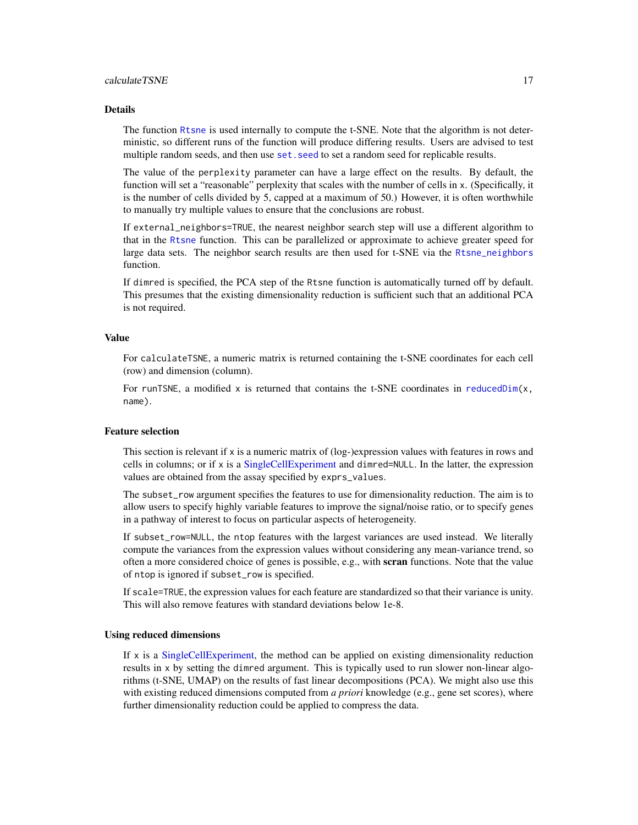#### Details

The function [Rtsne](#page-0-0) is used internally to compute the t-SNE. Note that the algorithm is not deterministic, so different runs of the function will produce differing results. Users are advised to test multiple random seeds, and then use set. seed to set a random seed for replicable results.

The value of the perplexity parameter can have a large effect on the results. By default, the function will set a "reasonable" perplexity that scales with the number of cells in x. (Specifically, it is the number of cells divided by 5, capped at a maximum of 50.) However, it is often worthwhile to manually try multiple values to ensure that the conclusions are robust.

If external\_neighbors=TRUE, the nearest neighbor search step will use a different algorithm to that in the [Rtsne](#page-0-0) function. This can be parallelized or approximate to achieve greater speed for large data sets. The neighbor search results are then used for t-SNE via the [Rtsne\\_neighbors](#page-0-0) function.

If dimred is specified, the PCA step of the Rtsne function is automatically turned off by default. This presumes that the existing dimensionality reduction is sufficient such that an additional PCA is not required.

#### Value

For calculateTSNE, a numeric matrix is returned containing the t-SNE coordinates for each cell (row) and dimension (column).

For runTSNE, a modified  $x$  is returned that contains the t-SNE coordinates in [reducedDim\(](#page-0-0)x, name).

#### Feature selection

This section is relevant if  $x$  is a numeric matrix of  $(log$ -)expression values with features in rows and cells in columns; or if x is a [SingleCellExperiment](#page-0-0) and dimred=NULL. In the latter, the expression values are obtained from the assay specified by exprs\_values.

The subset\_row argument specifies the features to use for dimensionality reduction. The aim is to allow users to specify highly variable features to improve the signal/noise ratio, or to specify genes in a pathway of interest to focus on particular aspects of heterogeneity.

If subset\_row=NULL, the ntop features with the largest variances are used instead. We literally compute the variances from the expression values without considering any mean-variance trend, so often a more considered choice of genes is possible, e.g., with scran functions. Note that the value of ntop is ignored if subset\_row is specified.

If scale=TRUE, the expression values for each feature are standardized so that their variance is unity. This will also remove features with standard deviations below 1e-8.

#### Using reduced dimensions

If  $x$  is a [SingleCellExperiment,](#page-0-0) the method can be applied on existing dimensionality reduction results in x by setting the dimred argument. This is typically used to run slower non-linear algorithms (t-SNE, UMAP) on the results of fast linear decompositions (PCA). We might also use this with existing reduced dimensions computed from *a priori* knowledge (e.g., gene set scores), where further dimensionality reduction could be applied to compress the data.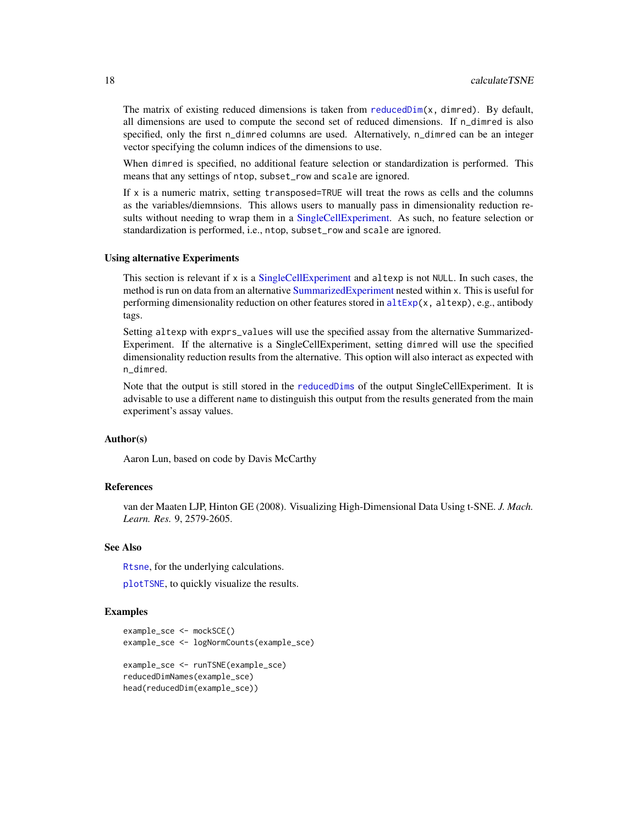The matrix of existing reduced dimensions is taken from reduced  $Dim(x, dimred)$ . By default, all dimensions are used to compute the second set of reduced dimensions. If n\_dimred is also specified, only the first n\_dimred columns are used. Alternatively, n\_dimred can be an integer vector specifying the column indices of the dimensions to use.

When dimred is specified, no additional feature selection or standardization is performed. This means that any settings of ntop, subset\_row and scale are ignored.

If x is a numeric matrix, setting transposed=TRUE will treat the rows as cells and the columns as the variables/diemnsions. This allows users to manually pass in dimensionality reduction results without needing to wrap them in a [SingleCellExperiment.](#page-0-0) As such, no feature selection or standardization is performed, i.e., ntop, subset\_row and scale are ignored.

#### Using alternative Experiments

This section is relevant if x is a [SingleCellExperiment](#page-0-0) and altexp is not NULL. In such cases, the method is run on data from an alternative [SummarizedExperiment](#page-0-0) nested within x. This is useful for performing dimensionality reduction on other features stored in  $altExp(x, altexp)$  $altExp(x, altexp)$ , e.g., antibody tags.

Setting altexp with exprs\_values will use the specified assay from the alternative Summarized-Experiment. If the alternative is a SingleCellExperiment, setting dimred will use the specified dimensionality reduction results from the alternative. This option will also interact as expected with n\_dimred.

Note that the output is still stored in the [reducedDims](#page-0-0) of the output SingleCellExperiment. It is advisable to use a different name to distinguish this output from the results generated from the main experiment's assay values.

# Author(s)

Aaron Lun, based on code by Davis McCarthy

# References

van der Maaten LJP, Hinton GE (2008). Visualizing High-Dimensional Data Using t-SNE. *J. Mach. Learn. Res.* 9, 2579-2605.

# See Also

[Rtsne](#page-0-0), for the underlying calculations.

[plotTSNE](#page-56-1), to quickly visualize the results.

#### Examples

```
example_sce <- mockSCE()
example_sce <- logNormCounts(example_sce)
example_sce <- runTSNE(example_sce)
reducedDimNames(example_sce)
```

```
head(reducedDim(example_sce))
```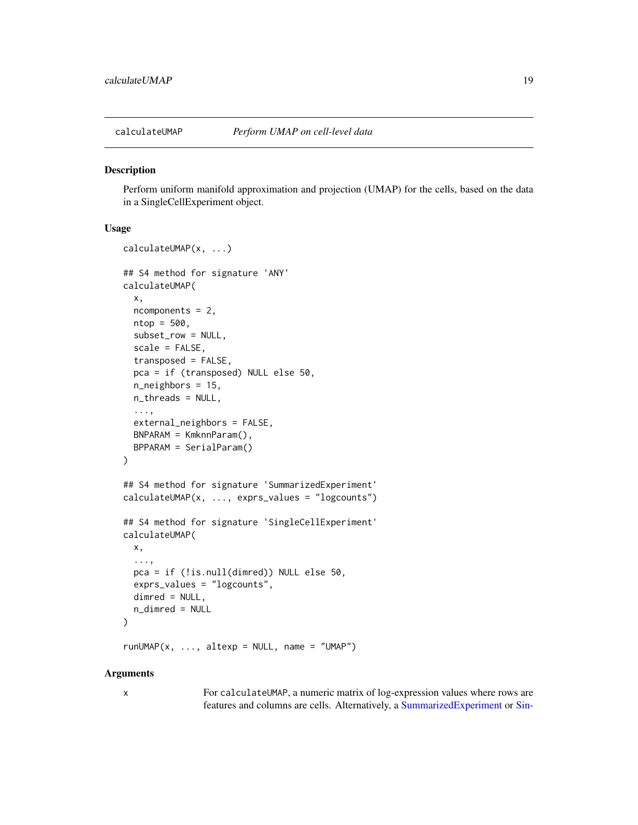<span id="page-18-0"></span>

#### **Description**

Perform uniform manifold approximation and projection (UMAP) for the cells, based on the data in a SingleCellExperiment object.

# Usage

```
calculateUMAP(x, ...)
## S4 method for signature 'ANY'
calculateUMAP(
  x,
  ncomponents = 2,
  ntop = 500,subset_row = NULL,
  scale = FALSE,
  transposed = FALSE,
  pca = if (transposed) NULL else 50,
  n_neighbors = 15,
  n_threads = NULL,
  ...,
  external_neighbors = FALSE,
  BNPARAM = KmknnParam(),
  BPPARAM = SerialParam()
\lambda## S4 method for signature 'SummarizedExperiment'
calculateUMAP(x, ..., exprs_values = "logcounts")
## S4 method for signature 'SingleCellExperiment'
calculateUMAP(
  x,
  ...,
  pca = if (!is.null(dimred)) NULL else 50,
  exprs_values = "logcounts",
  dimred = NULL,n_dimred = NULL
)
```
 $runUMAP(x, ..., alterp = NULL, name = "UMAP")$ 

# Arguments

|  | S |   |  |
|--|---|---|--|
|  |   | I |  |
|  |   | ٦ |  |

x For calculateUMAP, a numeric matrix of log-expression values where rows are features and columns are cells. Alternatively, a [SummarizedExperiment](#page-0-0) or [Sin-](#page-0-0)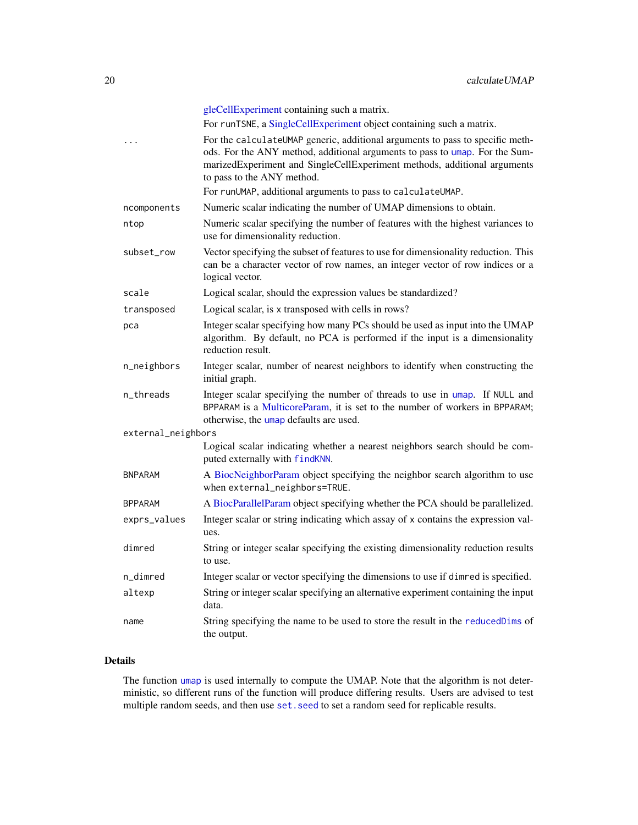|                    | gleCellExperiment containing such a matrix.                                                                                                                                                                                                                            |
|--------------------|------------------------------------------------------------------------------------------------------------------------------------------------------------------------------------------------------------------------------------------------------------------------|
|                    | For runTSNE, a SingleCellExperiment object containing such a matrix.                                                                                                                                                                                                   |
| .                  | For the calculateUMAP generic, additional arguments to pass to specific meth-<br>ods. For the ANY method, additional arguments to pass to umap. For the Sum-<br>marizedExperiment and SingleCellExperiment methods, additional arguments<br>to pass to the ANY method. |
|                    | For runUMAP, additional arguments to pass to calculateUMAP.                                                                                                                                                                                                            |
| ncomponents        | Numeric scalar indicating the number of UMAP dimensions to obtain.                                                                                                                                                                                                     |
| ntop               | Numeric scalar specifying the number of features with the highest variances to<br>use for dimensionality reduction.                                                                                                                                                    |
| subset_row         | Vector specifying the subset of features to use for dimensionality reduction. This<br>can be a character vector of row names, an integer vector of row indices or a<br>logical vector.                                                                                 |
| scale              | Logical scalar, should the expression values be standardized?                                                                                                                                                                                                          |
| transposed         | Logical scalar, is x transposed with cells in rows?                                                                                                                                                                                                                    |
| рса                | Integer scalar specifying how many PCs should be used as input into the UMAP<br>algorithm. By default, no PCA is performed if the input is a dimensionality<br>reduction result.                                                                                       |
| n_neighbors        | Integer scalar, number of nearest neighbors to identify when constructing the<br>initial graph.                                                                                                                                                                        |
| n_threads          | Integer scalar specifying the number of threads to use in umap. If NULL and<br>BPPARAM is a MulticoreParam, it is set to the number of workers in BPPARAM;<br>otherwise, the umap defaults are used.                                                                   |
| external_neighbors |                                                                                                                                                                                                                                                                        |
|                    | Logical scalar indicating whether a nearest neighbors search should be com-<br>puted externally with findKNN.                                                                                                                                                          |
| <b>BNPARAM</b>     | A BiocNeighborParam object specifying the neighbor search algorithm to use<br>when external_neighbors=TRUE.                                                                                                                                                            |
| <b>BPPARAM</b>     | A BiocParallelParam object specifying whether the PCA should be parallelized.                                                                                                                                                                                          |
| exprs_values       | Integer scalar or string indicating which assay of x contains the expression val-<br>ues.                                                                                                                                                                              |
| dimred             | String or integer scalar specifying the existing dimensionality reduction results<br>to use.                                                                                                                                                                           |
| n_dimred           | Integer scalar or vector specifying the dimensions to use if dimred is specified.                                                                                                                                                                                      |
| altexp             | String or integer scalar specifying an alternative experiment containing the input<br>data.                                                                                                                                                                            |
| name               | String specifying the name to be used to store the result in the reducedDims of<br>the output.                                                                                                                                                                         |

# Details

The function [umap](#page-0-0) is used internally to compute the UMAP. Note that the algorithm is not deterministic, so different runs of the function will produce differing results. Users are advised to test multiple random seeds, and then use set. seed to set a random seed for replicable results.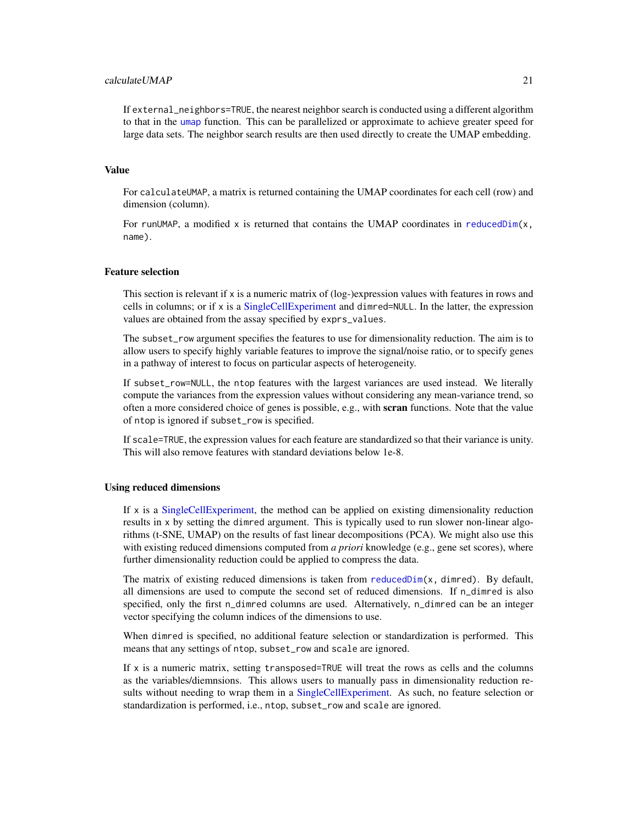# calculateUMAP 21

If external\_neighbors=TRUE, the nearest neighbor search is conducted using a different algorithm to that in the [umap](#page-0-0) function. This can be parallelized or approximate to achieve greater speed for large data sets. The neighbor search results are then used directly to create the UMAP embedding.

#### Value

For calculateUMAP, a matrix is returned containing the UMAP coordinates for each cell (row) and dimension (column).

For runUMAP, a modified  $x$  is returned that contains the UMAP coordinates in [reducedDim\(](#page-0-0) $x$ , name).

#### Feature selection

This section is relevant if x is a numeric matrix of (log-)expression values with features in rows and cells in columns; or if x is a [SingleCellExperiment](#page-0-0) and dimred=NULL. In the latter, the expression values are obtained from the assay specified by exprs\_values.

The subset\_row argument specifies the features to use for dimensionality reduction. The aim is to allow users to specify highly variable features to improve the signal/noise ratio, or to specify genes in a pathway of interest to focus on particular aspects of heterogeneity.

If subset\_row=NULL, the ntop features with the largest variances are used instead. We literally compute the variances from the expression values without considering any mean-variance trend, so often a more considered choice of genes is possible, e.g., with scran functions. Note that the value of ntop is ignored if subset\_row is specified.

If scale=TRUE, the expression values for each feature are standardized so that their variance is unity. This will also remove features with standard deviations below 1e-8.

#### Using reduced dimensions

If x is a [SingleCellExperiment,](#page-0-0) the method can be applied on existing dimensionality reduction results in x by setting the dimred argument. This is typically used to run slower non-linear algorithms (t-SNE, UMAP) on the results of fast linear decompositions (PCA). We might also use this with existing reduced dimensions computed from *a priori* knowledge (e.g., gene set scores), where further dimensionality reduction could be applied to compress the data.

The matrix of existing reduced dimensions is taken from [reducedDim\(](#page-0-0)x, dimred). By default, all dimensions are used to compute the second set of reduced dimensions. If n\_dimred is also specified, only the first n\_dimred columns are used. Alternatively, n\_dimred can be an integer vector specifying the column indices of the dimensions to use.

When dimred is specified, no additional feature selection or standardization is performed. This means that any settings of ntop, subset\_row and scale are ignored.

If  $x$  is a numeric matrix, setting transposed=TRUE will treat the rows as cells and the columns as the variables/diemnsions. This allows users to manually pass in dimensionality reduction results without needing to wrap them in a [SingleCellExperiment.](#page-0-0) As such, no feature selection or standardization is performed, i.e., ntop, subset\_row and scale are ignored.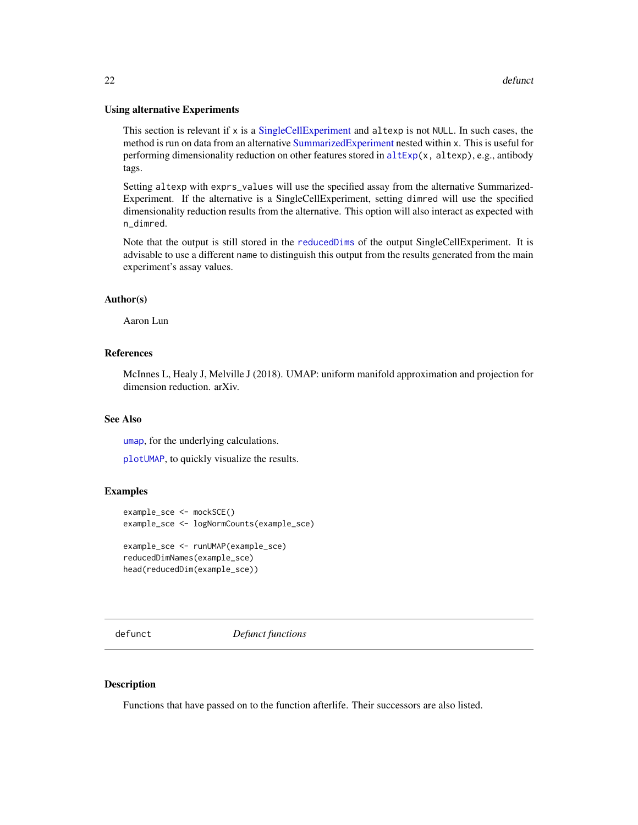#### <span id="page-21-0"></span>Using alternative Experiments

This section is relevant if x is a [SingleCellExperiment](#page-0-0) and altexp is not NULL. In such cases, the method is run on data from an alternative [SummarizedExperiment](#page-0-0) nested within x. This is useful for performing dimensionality reduction on other features stored in [altExp\(](#page-0-0)x, altexp), e.g., antibody tags.

Setting altexp with exprs\_values will use the specified assay from the alternative Summarized-Experiment. If the alternative is a SingleCellExperiment, setting dimred will use the specified dimensionality reduction results from the alternative. This option will also interact as expected with n\_dimred.

Note that the output is still stored in the [reducedDims](#page-0-0) of the output SingleCellExperiment. It is advisable to use a different name to distinguish this output from the results generated from the main experiment's assay values.

#### Author(s)

Aaron Lun

## References

McInnes L, Healy J, Melville J (2018). UMAP: uniform manifold approximation and projection for dimension reduction. arXiv.

# See Also

[umap](#page-0-0), for the underlying calculations.

[plotUMAP](#page-56-1), to quickly visualize the results.

#### Examples

```
example_sce <- mockSCE()
example_sce <- logNormCounts(example_sce)
example_sce <- runUMAP(example_sce)
reducedDimNames(example_sce)
head(reducedDim(example_sce))
```
defunct *Defunct functions*

#### Description

Functions that have passed on to the function afterlife. Their successors are also listed.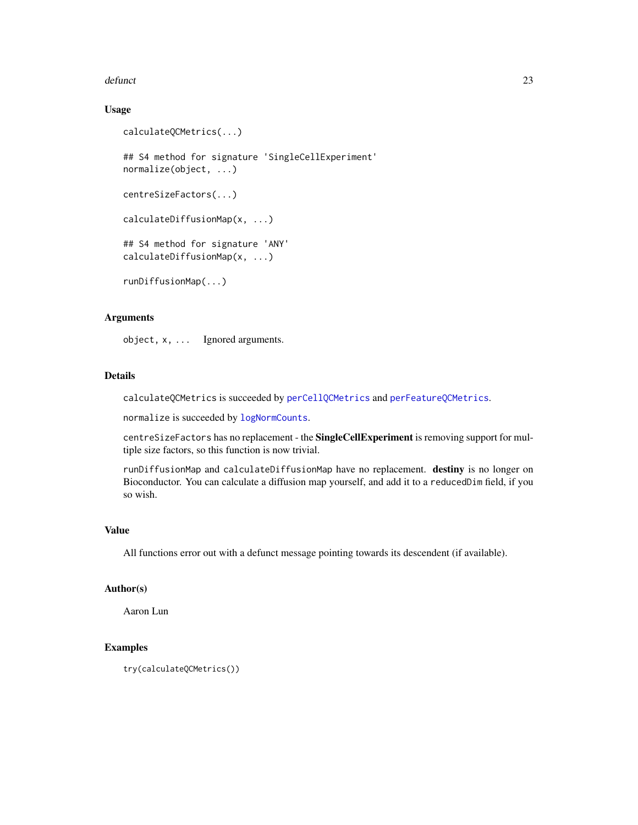#### defunct 23

# Usage

```
calculateQCMetrics(...)
## S4 method for signature 'SingleCellExperiment'
normalize(object, ...)
centreSizeFactors(...)
calculateDiffusionMap(x, ...)
## S4 method for signature 'ANY'
calculateDiffusionMap(x, ...)
runDiffusionMap(...)
```
# Arguments

object, x, ... Ignored arguments.

# Details

calculateQCMetrics is succeeded by [perCellQCMetrics](#page-0-0) and [perFeatureQCMetrics](#page-0-0).

normalize is succeeded by [logNormCounts](#page-0-0).

centreSizeFactors has no replacement - the SingleCellExperiment is removing support for multiple size factors, so this function is now trivial.

runDiffusionMap and calculateDiffusionMap have no replacement. destiny is no longer on Bioconductor. You can calculate a diffusion map yourself, and add it to a reducedDim field, if you so wish.

#### Value

All functions error out with a defunct message pointing towards its descendent (if available).

#### Author(s)

Aaron Lun

# Examples

try(calculateQCMetrics())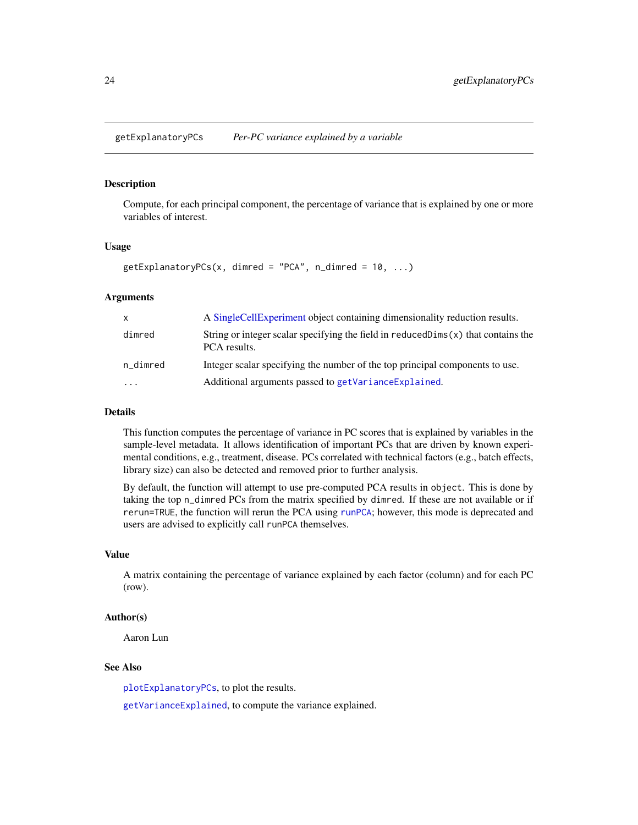<span id="page-23-1"></span><span id="page-23-0"></span>getExplanatoryPCs *Per-PC variance explained by a variable*

#### **Description**

Compute, for each principal component, the percentage of variance that is explained by one or more variables of interest.

# Usage

```
getExplanatoryPCs(x, dimred = "PCA", n_dimred = 10, ...)
```
# Arguments

| X        | A Single Cell Experiment object containing dimensionality reduction results.                       |
|----------|----------------------------------------------------------------------------------------------------|
| dimred   | String or integer scalar specifying the field in $reducedDim(s)$ that contains the<br>PCA results. |
| n_dimred | Integer scalar specifying the number of the top principal components to use.                       |
| $\cdots$ | Additional arguments passed to getVarianceExplained.                                               |

#### Details

This function computes the percentage of variance in PC scores that is explained by variables in the sample-level metadata. It allows identification of important PCs that are driven by known experimental conditions, e.g., treatment, disease. PCs correlated with technical factors (e.g., batch effects, library size) can also be detected and removed prior to further analysis.

By default, the function will attempt to use pre-computed PCA results in object. This is done by taking the top n\_dimred PCs from the matrix specified by dimred. If these are not available or if rerun=TRUE, the function will rerun the PCA using [runPCA](#page-10-1); however, this mode is deprecated and users are advised to explicitly call runPCA themselves.

#### Value

A matrix containing the percentage of variance explained by each factor (column) and for each PC (row).

#### Author(s)

Aaron Lun

#### See Also

[plotExplanatoryPCs](#page-35-1), to plot the results.

[getVarianceExplained](#page-24-1), to compute the variance explained.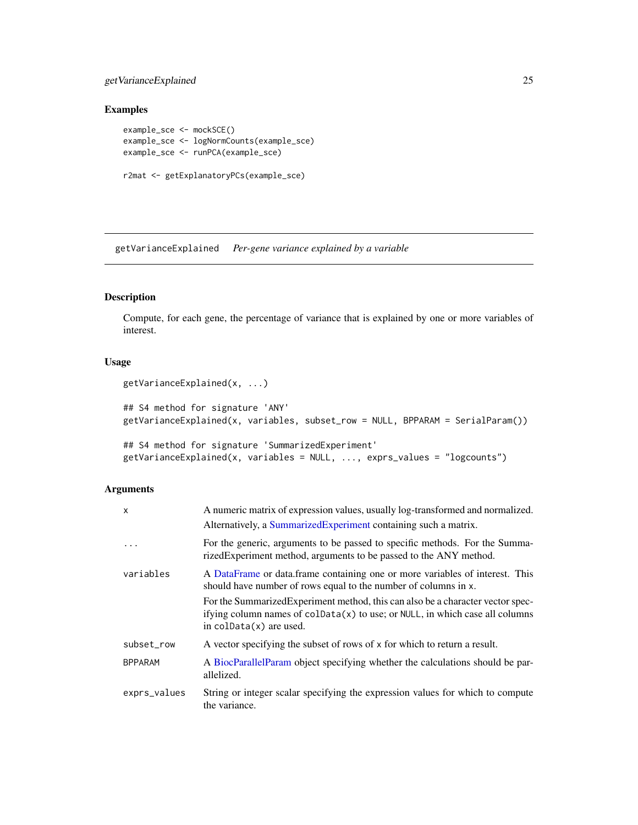# <span id="page-24-0"></span>getVarianceExplained 25

# Examples

```
example_sce <- mockSCE()
example_sce <- logNormCounts(example_sce)
example_sce <- runPCA(example_sce)
r2mat <- getExplanatoryPCs(example_sce)
```
<span id="page-24-1"></span>getVarianceExplained *Per-gene variance explained by a variable*

# Description

Compute, for each gene, the percentage of variance that is explained by one or more variables of interest.

# Usage

```
getVarianceExplained(x, ...)
## S4 method for signature 'ANY'
getVarianceExplained(x, variables, subset_row = NULL, BPPARAM = SerialParam())
## S4 method for signature 'SummarizedExperiment'
```

```
getVarianceExplained(x, variables = NULL, ..., exprs_values = "logcounts")
```
## Arguments

| $\mathsf{x}$   | A numeric matrix of expression values, usually log-transformed and normalized.                                                                                                                  |
|----------------|-------------------------------------------------------------------------------------------------------------------------------------------------------------------------------------------------|
|                | Alternatively, a SummarizedExperiment containing such a matrix.                                                                                                                                 |
|                | For the generic, arguments to be passed to specific methods. For the Summa-<br>rizedExperiment method, arguments to be passed to the ANY method.                                                |
| variables      | A DataFrame or data.frame containing one or more variables of interest. This<br>should have number of rows equal to the number of columns in x.                                                 |
|                | For the Summarized Experiment method, this can also be a character vector spec-<br>if ying column names of $colData(x)$ to use; or NULL, in which case all columns<br>in $colData(x)$ are used. |
| subset_row     | A vector specifying the subset of rows of x for which to return a result.                                                                                                                       |
| <b>BPPARAM</b> | A BiocParallelParam object specifying whether the calculations should be par-<br>allelized.                                                                                                     |
| exprs_values   | String or integer scalar specifying the expression values for which to compute<br>the variance.                                                                                                 |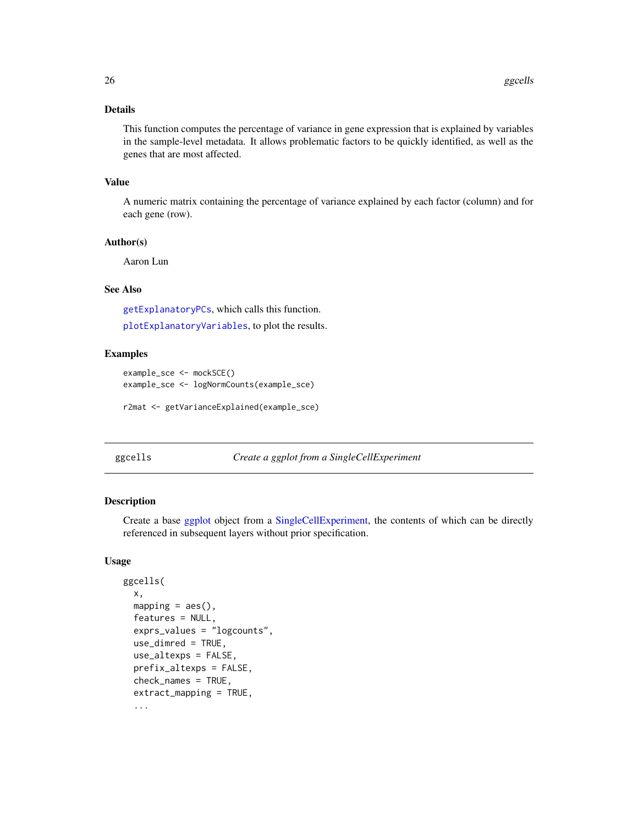# <span id="page-25-0"></span>Details

This function computes the percentage of variance in gene expression that is explained by variables in the sample-level metadata. It allows problematic factors to be quickly identified, as well as the genes that are most affected.

#### Value

A numeric matrix containing the percentage of variance explained by each factor (column) and for each gene (row).

#### Author(s)

Aaron Lun

# See Also

[getExplanatoryPCs](#page-23-1), which calls this function.

[plotExplanatoryVariables](#page-37-1), to plot the results.

#### Examples

```
example_sce <- mockSCE()
example_sce <- logNormCounts(example_sce)
```

```
r2mat <- getVarianceExplained(example_sce)
```
# ggcells *Create a ggplot from a SingleCellExperiment*

#### Description

Create a base [ggplot](#page-0-0) object from a [SingleCellExperiment,](#page-0-0) the contents of which can be directly referenced in subsequent layers without prior specification.

# Usage

```
ggcells(
  x,
  mapping = acs(),features = NULL,
  exprs_values = "logcounts",
  use\_dimred = TRUE,
  use_altexps = FALSE,
  prefix_altexps = FALSE,
  check_names = TRUE,
  extract_mapping = TRUE,
  ...
```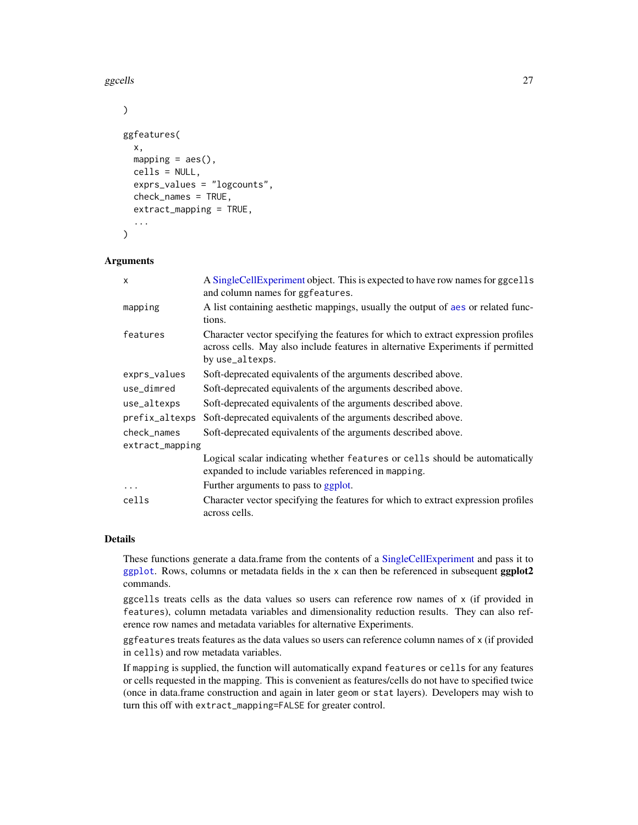ggcells 27

```
)
ggfeatures(
 x,
 mapping = aes(),
 cells = NULL,
  exprs_values = "logcounts",
  check_names = TRUE,
  extract_mapping = TRUE,
  ...
)
```
# Arguments

| $\mathsf{x}$    | A Single Cell Experiment object. This is expected to have row names for ggcells<br>and column names for ggfeatures.                                                                     |  |
|-----------------|-----------------------------------------------------------------------------------------------------------------------------------------------------------------------------------------|--|
| mapping         | A list containing aesthetic mappings, usually the output of aes or related func-<br>tions.                                                                                              |  |
| features        | Character vector specifying the features for which to extract expression profiles<br>across cells. May also include features in alternative Experiments if permitted<br>by use_altexps. |  |
| exprs_values    | Soft-deprecated equivalents of the arguments described above.                                                                                                                           |  |
| use_dimred      | Soft-deprecated equivalents of the arguments described above.                                                                                                                           |  |
| use_altexps     | Soft-deprecated equivalents of the arguments described above.                                                                                                                           |  |
| prefix_altexps  | Soft-deprecated equivalents of the arguments described above.                                                                                                                           |  |
| check names     | Soft-deprecated equivalents of the arguments described above.                                                                                                                           |  |
| extract_mapping |                                                                                                                                                                                         |  |
|                 | Logical scalar indicating whether features or cells should be automatically<br>expanded to include variables referenced in mapping.                                                     |  |
| $\cdots$        | Further arguments to pass to ggplot.                                                                                                                                                    |  |
| cells           | Character vector specifying the features for which to extract expression profiles<br>across cells.                                                                                      |  |

# Details

These functions generate a data.frame from the contents of a [SingleCellExperiment](#page-0-0) and pass it to [ggplot](#page-0-0). Rows, columns or metadata fields in the x can then be referenced in subsequent ggplot2 commands.

ggcells treats cells as the data values so users can reference row names of x (if provided in features), column metadata variables and dimensionality reduction results. They can also reference row names and metadata variables for alternative Experiments.

ggfeatures treats features as the data values so users can reference column names of x (if provided in cells) and row metadata variables.

If mapping is supplied, the function will automatically expand features or cells for any features or cells requested in the mapping. This is convenient as features/cells do not have to specified twice (once in data.frame construction and again in later geom or stat layers). Developers may wish to turn this off with extract\_mapping=FALSE for greater control.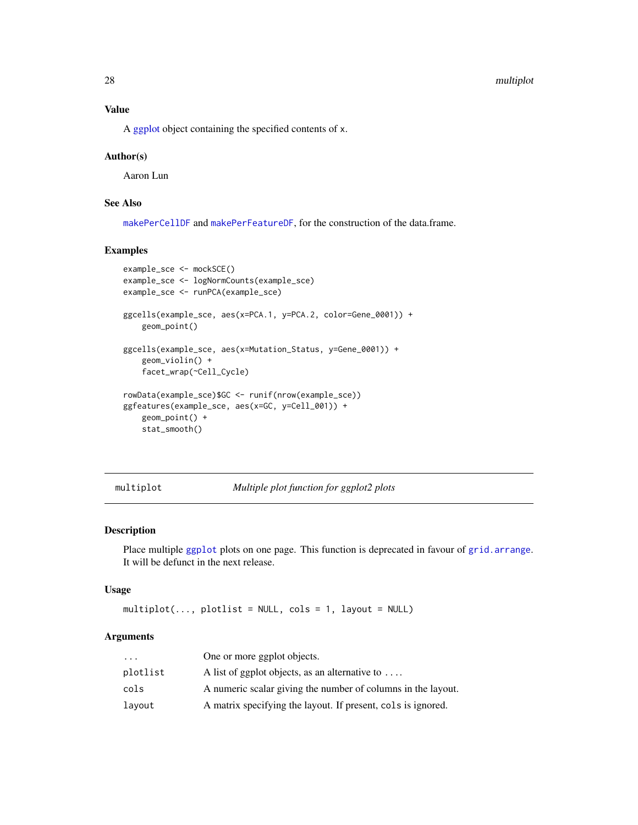#### <span id="page-27-0"></span>28 multiplot

# Value

A [ggplot](#page-0-0) object containing the specified contents of x.

#### Author(s)

Aaron Lun

# See Also

[makePerCellDF](#page-0-0) and [makePerFeatureDF](#page-0-0), for the construction of the data.frame.

#### Examples

```
example_sce <- mockSCE()
example_sce <- logNormCounts(example_sce)
example_sce <- runPCA(example_sce)
ggcells(example_sce, aes(x=PCA.1, y=PCA.2, color=Gene_0001)) +
   geom_point()
ggcells(example_sce, aes(x=Mutation_Status, y=Gene_0001)) +
   geom_violin() +
   facet_wrap(~Cell_Cycle)
rowData(example_sce)$GC <- runif(nrow(example_sce))
ggfeatures(example_sce, aes(x=GC, y=Cell_001)) +
   geom_point() +
   stat_smooth()
```
multiplot *Multiple plot function for ggplot2 plots*

#### Description

Place multiple [ggplot](#page-0-0) plots on one page. This function is deprecated in favour of [grid.arrange](#page-0-0). It will be defunct in the next release.

# Usage

 $multiplot(..., plotlist = NULL, cols = 1, layout = NULL)$ 

# Arguments

| $\cdots$ | One or more ggplot objects.                                  |
|----------|--------------------------------------------------------------|
| plotlist | A list of ggplot objects, as an alternative to $\dots$       |
| cols     | A numeric scalar giving the number of columns in the layout. |
| layout   | A matrix specifying the layout. If present, cols is ignored. |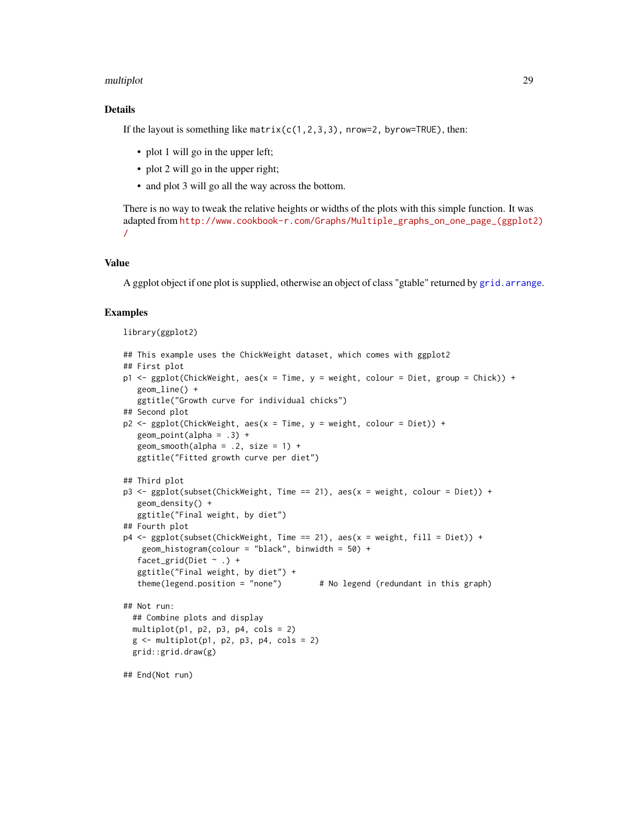#### multiplot 29

# Details

If the layout is something like matrix( $c(1,2,3,3)$ , nrow=2, byrow=TRUE), then:

- plot 1 will go in the upper left;
- plot 2 will go in the upper right;
- and plot 3 will go all the way across the bottom.

There is no way to tweak the relative heights or widths of the plots with this simple function. It was adapted from [http://www.cookbook-r.com/Graphs/Multiple\\_graphs\\_on\\_one\\_page\\_\(ggplot2](http://www.cookbook-r.com/Graphs/Multiple_graphs_on_one_page_(ggplot2)/)) [/](http://www.cookbook-r.com/Graphs/Multiple_graphs_on_one_page_(ggplot2)/)

# Value

A ggplot object if one plot is supplied, otherwise an object of class "gtable" returned by [grid.arrange](#page-0-0).

#### Examples

#### library(ggplot2)

```
## This example uses the ChickWeight dataset, which comes with ggplot2
## First plot
p1 <- ggplot(ChickWeight, aes(x = Time, y = weight, colour = Diet, group = Chick)) +
  geom_line() +
   ggtitle("Growth curve for individual chicks")
## Second plot
p2 <- ggplot(ChickWeight, aes(x = Time, y = weight, colour = Diet)) +
  geom_point(alpha = .3) +
  geom\_smooth(alpha = .2, size = 1) +ggtitle("Fitted growth curve per diet")
## Third plot
p3 <- ggplot(subset(ChickWeight, Time == 21), aes(x = weight, colour = Diet)) +
  geom_density() +
  ggtitle("Final weight, by diet")
## Fourth plot
p4 <- ggplot(subset(ChickWeight, Time == 21), aes(x = weight, fill = Diet)) +
    geom_histogram(colour = "black", binwidth = 50) +
   facet_grid(Diet \sim .) +
   ggtitle("Final weight, by diet") +
   theme(legend.position = "none") # No legend (redundant in this graph)
## Not run:
 ## Combine plots and display
 multiplot(p1, p2, p3, p4, cols = 2)
 g \leftarrow \text{multiplot}(p1, p2, p3, p4, \text{cols} = 2)grid::grid.draw(g)
## End(Not run)
```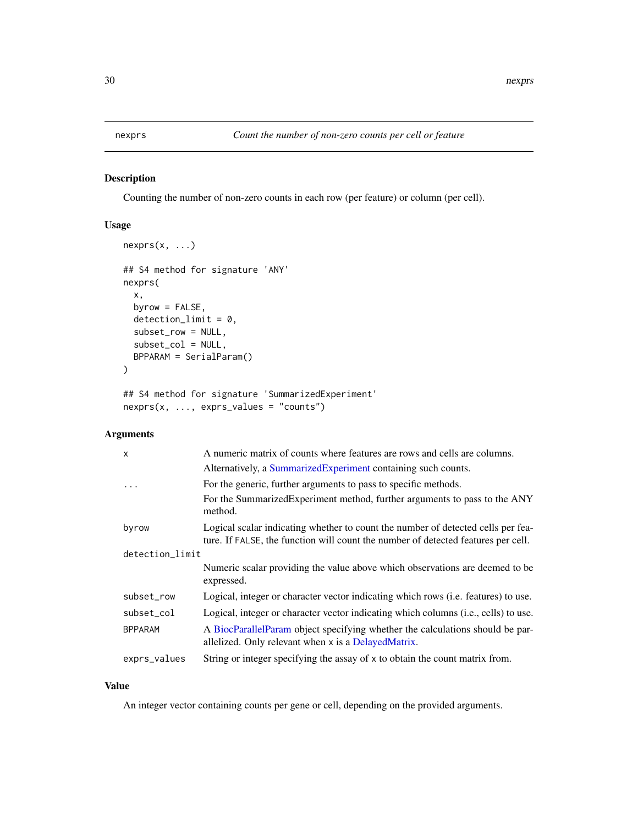# <span id="page-29-0"></span>Description

Counting the number of non-zero counts in each row (per feature) or column (per cell).

# Usage

```
nexprs(x, ...)
## S4 method for signature 'ANY'
nexprs(
 x,
 byrow = FALSE,
 detection\_limit = 0,subset_row = NULL,
  subset_col = NULL,
 BPPARAM = SerialParam()
)
```
## S4 method for signature 'SummarizedExperiment' nexprs(x, ..., exprs\_values = "counts")

#### Arguments

| $\mathsf{x}$    | A numeric matrix of counts where features are rows and cells are columns.                                                                                             |
|-----------------|-----------------------------------------------------------------------------------------------------------------------------------------------------------------------|
|                 | Alternatively, a SummarizedExperiment containing such counts.                                                                                                         |
| $\ddots$        | For the generic, further arguments to pass to specific methods.                                                                                                       |
|                 | For the SummarizedExperiment method, further arguments to pass to the ANY<br>method.                                                                                  |
| byrow           | Logical scalar indicating whether to count the number of detected cells per fea-<br>ture. If FALSE, the function will count the number of detected features per cell. |
| detection_limit |                                                                                                                                                                       |
|                 | Numeric scalar providing the value above which observations are deemed to be<br>expressed.                                                                            |
| subset_row      | Logical, integer or character vector indicating which rows (i.e. features) to use.                                                                                    |
| subset_col      | Logical, integer or character vector indicating which columns (i.e., cells) to use.                                                                                   |
| <b>BPPARAM</b>  | A BiocParallelParam object specifying whether the calculations should be par-<br>allelized. Only relevant when x is a DelayedMatrix.                                  |
| exprs_values    | String or integer specifying the assay of x to obtain the count matrix from.                                                                                          |

# Value

An integer vector containing counts per gene or cell, depending on the provided arguments.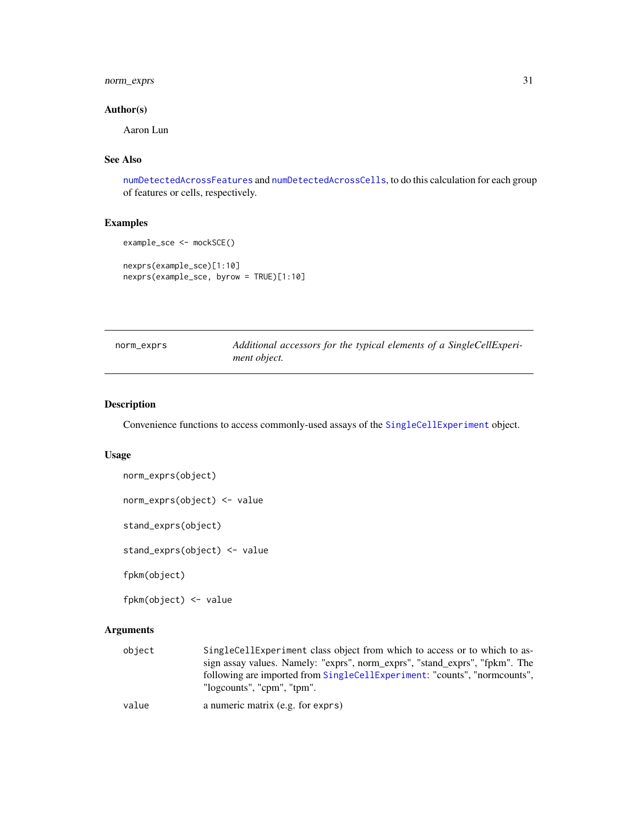# <span id="page-30-0"></span>norm\_exprs 31

# Author(s)

Aaron Lun

# See Also

[numDetectedAcrossFeatures](#page-0-0) and [numDetectedAcrossCells](#page-0-0), to do this calculation for each group of features or cells, respectively.

# Examples

```
example_sce <- mockSCE()
nexprs(example_sce)[1:10]
nexprs(example_sce, byrow = TRUE)[1:10]
```

| norm_exprs | Additional accessors for the typical elements of a SingleCellExperi- |
|------------|----------------------------------------------------------------------|
|            | <i>ment object.</i>                                                  |

# Description

Convenience functions to access commonly-used assays of the [SingleCellExperiment](#page-0-0) object.

#### Usage

```
norm_exprs(object)
norm_exprs(object) <- value
stand_exprs(object)
```
stand\_exprs(object) <- value

fpkm(object)

fpkm(object) <- value

# Arguments

| obiect | SingleCellExperiment class object from which to access or to which to as-   |
|--------|-----------------------------------------------------------------------------|
|        | sign assay values. Namely: "exprs", norm_exprs", "stand_exprs", "fpkm". The |
|        | following are imported from SingleCellExperiment: "counts", "normcounts",   |
|        | "logcounts", "cpm", "tpm".                                                  |
|        |                                                                             |

value a numeric matrix (e.g. for exprs)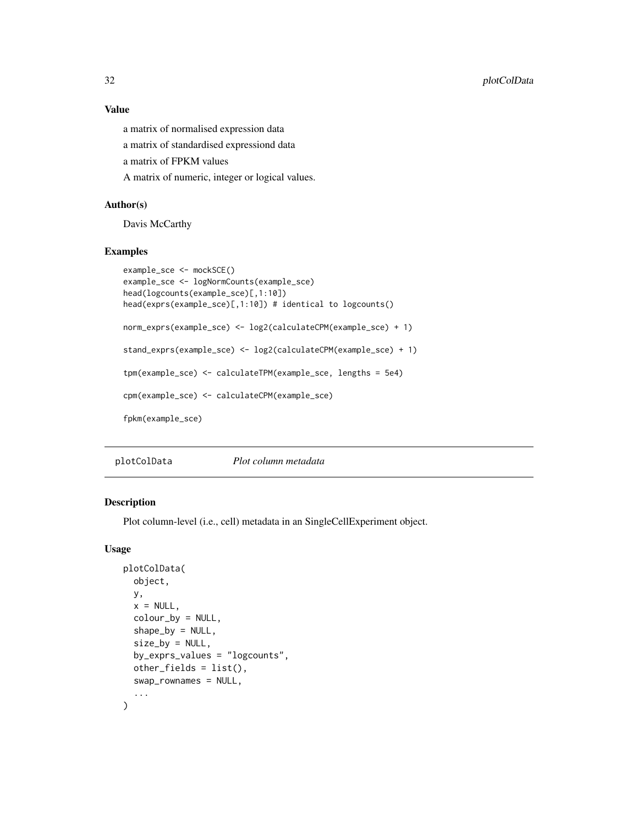# Value

a matrix of normalised expression data

a matrix of standardised expressiond data

a matrix of FPKM values

A matrix of numeric, integer or logical values.

# Author(s)

Davis McCarthy

# Examples

```
example_sce <- mockSCE()
example_sce <- logNormCounts(example_sce)
head(logcounts(example_sce)[,1:10])
head(exprs(example_sce)[,1:10]) # identical to logcounts()
norm_exprs(example_sce) <- log2(calculateCPM(example_sce) + 1)
stand_exprs(example_sce) <- log2(calculateCPM(example_sce) + 1)
tpm(example_sce) <- calculateTPM(example_sce, lengths = 5e4)
cpm(example_sce) <- calculateCPM(example_sce)
fpkm(example_sce)
```
plotColData *Plot column metadata*

## Description

Plot column-level (i.e., cell) metadata in an SingleCellExperiment object.

# Usage

```
plotColData(
 object,
 y,
  x = NULL,colour_by = NULL,
  shape_by = NULL,
  size_by = NULL,
 by_exprs_values = "logcounts",
  other_fields = list(),
  swap_rownames = NULL,
  ...
)
```
<span id="page-31-0"></span>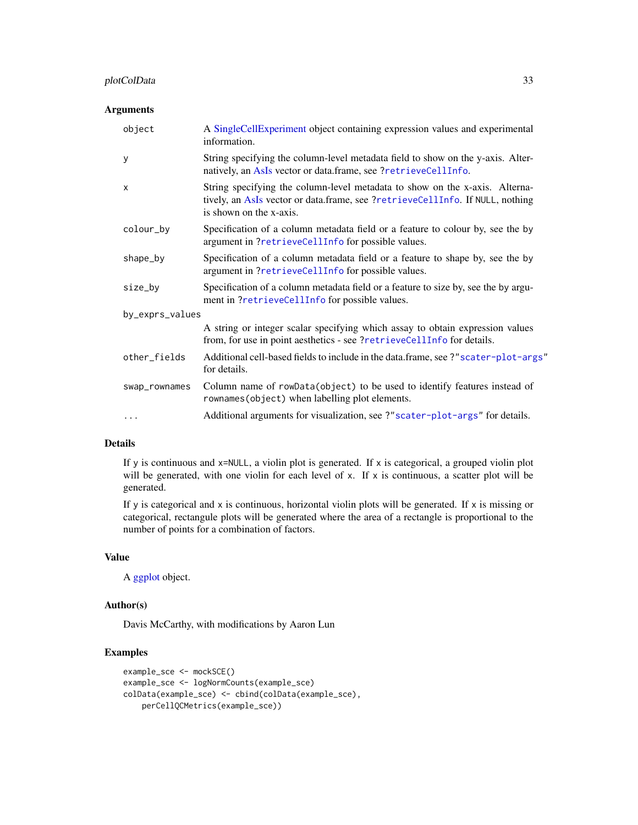# plotColData 33

# Arguments

| object          | A SingleCellExperiment object containing expression values and experimental<br>information.                                                                                             |  |
|-----------------|-----------------------------------------------------------------------------------------------------------------------------------------------------------------------------------------|--|
| У               | String specifying the column-level metadata field to show on the y-axis. Alter-<br>natively, an AsIs vector or data.frame, see ?retrieveCellInfo.                                       |  |
| X               | String specifying the column-level metadata to show on the x-axis. Alterna-<br>tively, an AsIs vector or data.frame, see ?retrieveCellInfo. If NULL, nothing<br>is shown on the x-axis. |  |
| colour_by       | Specification of a column metadata field or a feature to colour by, see the by<br>argument in ?retrieveCellInfo for possible values.                                                    |  |
| shape_by        | Specification of a column metadata field or a feature to shape by, see the by<br>argument in ?retrieveCellInfo for possible values.                                                     |  |
| size_by         | Specification of a column metadata field or a feature to size by, see the by argu-<br>ment in ?retrieveCellInfo for possible values.                                                    |  |
| by_exprs_values |                                                                                                                                                                                         |  |
|                 | A string or integer scalar specifying which assay to obtain expression values<br>from, for use in point aesthetics - see ?retrieveCellInfo for details.                                 |  |
| other_fields    | Additional cell-based fields to include in the data.frame, see ?"scater-plot-args"<br>for details.                                                                                      |  |
| swap_rownames   | Column name of rowData(object) to be used to identify features instead of<br>rownames (object) when labelling plot elements.                                                            |  |
| .               | Additional arguments for visualization, see ?"scater-plot-args" for details.                                                                                                            |  |

# Details

If y is continuous and x=NULL, a violin plot is generated. If x is categorical, a grouped violin plot will be generated, with one violin for each level of x. If x is continuous, a scatter plot will be generated.

If y is categorical and x is continuous, horizontal violin plots will be generated. If x is missing or categorical, rectangule plots will be generated where the area of a rectangle is proportional to the number of points for a combination of factors.

# Value

A [ggplot](#page-0-0) object.

## Author(s)

Davis McCarthy, with modifications by Aaron Lun

# Examples

```
example_sce <- mockSCE()
example_sce <- logNormCounts(example_sce)
colData(example_sce) <- cbind(colData(example_sce),
   perCellQCMetrics(example_sce))
```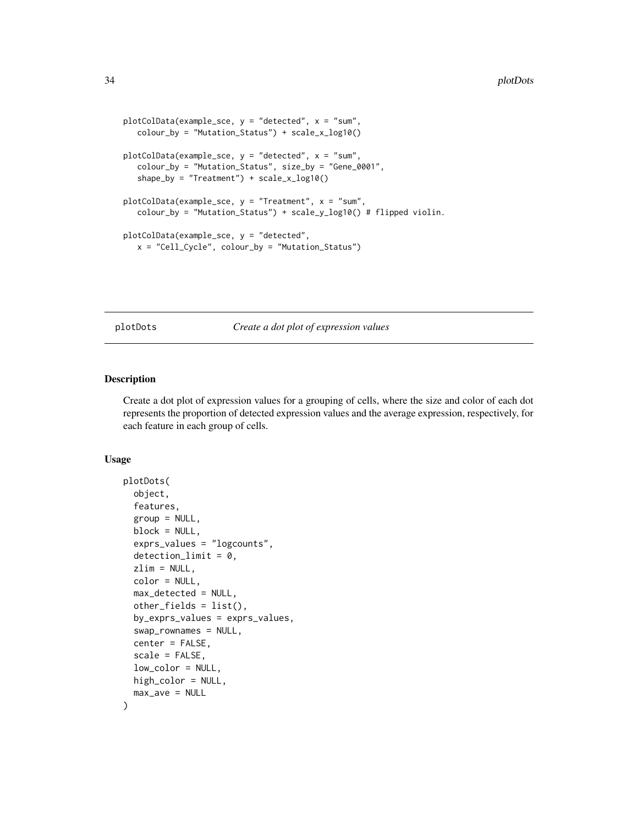```
plotColData(example_sce, y = "detected", x = "sum",
  colour_by = "Mutation_Status") + scale_x_log10()
plotColData(example_sce, y = "detected", x = "sum",
  colour_by = "Mutation_Status", size_by = "Gene_0001",
   shape_by = "Treatment") + scale_x_log10()
plotCollData(example\_sce, y = "Treatment", x = "sum",colour_by = "Mutation_Status") + scale_y_log10() # flipped violin.
plotColData(example_sce, y = "detected",
  x = "Cell_Cycle", colour_by = "Mutation_Status")
```
plotDots *Create a dot plot of expression values*

#### Description

Create a dot plot of expression values for a grouping of cells, where the size and color of each dot represents the proportion of detected expression values and the average expression, respectively, for each feature in each group of cells.

#### Usage

```
plotDots(
  object,
  features,
  group = NULL,block = NULL,
  exprs_values = "logcounts",
  detection_limit = 0,
  zlim = NULL,color = NULL,
  max_detected = NULL,
  other_fields = list(),
  by_exprs_values = exprs_values,
  swap_rownames = NULL,
  center = FALSE,
  scale = FALSE,
  low_color = NULL,
  high_color = NULL,
  max_ave = NULL)
```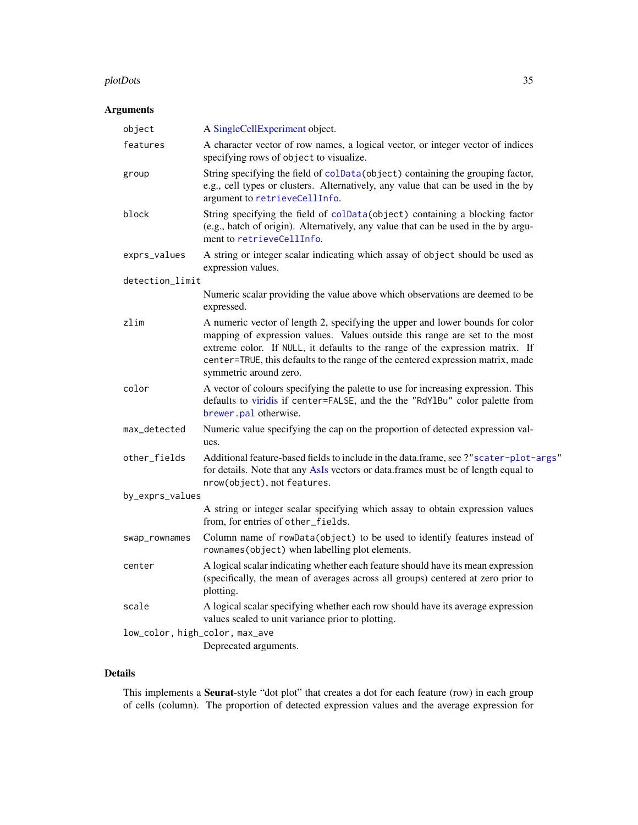#### plotDots 35

# Arguments

| object                         | A SingleCellExperiment object.                                                                                                                                                                                                                                                                                                                             |
|--------------------------------|------------------------------------------------------------------------------------------------------------------------------------------------------------------------------------------------------------------------------------------------------------------------------------------------------------------------------------------------------------|
| features                       | A character vector of row names, a logical vector, or integer vector of indices<br>specifying rows of object to visualize.                                                                                                                                                                                                                                 |
| group                          | String specifying the field of colData(object) containing the grouping factor,<br>e.g., cell types or clusters. Alternatively, any value that can be used in the by<br>argument to retrieveCellInfo.                                                                                                                                                       |
| block                          | String specifying the field of colData(object) containing a blocking factor<br>(e.g., batch of origin). Alternatively, any value that can be used in the by argu-<br>ment to retrieveCellInfo.                                                                                                                                                             |
| exprs_values                   | A string or integer scalar indicating which assay of object should be used as<br>expression values.                                                                                                                                                                                                                                                        |
| detection_limit                |                                                                                                                                                                                                                                                                                                                                                            |
|                                | Numeric scalar providing the value above which observations are deemed to be<br>expressed.                                                                                                                                                                                                                                                                 |
| zlim                           | A numeric vector of length 2, specifying the upper and lower bounds for color<br>mapping of expression values. Values outside this range are set to the most<br>extreme color. If NULL, it defaults to the range of the expression matrix. If<br>center=TRUE, this defaults to the range of the centered expression matrix, made<br>symmetric around zero. |
| color                          | A vector of colours specifying the palette to use for increasing expression. This<br>defaults to viridis if center=FALSE, and the the "RdY1Bu" color palette from<br>brewer.pal otherwise.                                                                                                                                                                 |
| max_detected                   | Numeric value specifying the cap on the proportion of detected expression val-<br>ues.                                                                                                                                                                                                                                                                     |
| other_fields                   | Additional feature-based fields to include in the data.frame, see ?"scater-plot-args"<br>for details. Note that any AsIs vectors or data.frames must be of length equal to<br>nrow(object), not features.                                                                                                                                                  |
| by_exprs_values                |                                                                                                                                                                                                                                                                                                                                                            |
|                                | A string or integer scalar specifying which assay to obtain expression values<br>from, for entries of other_fields.                                                                                                                                                                                                                                        |
| swap_rownames                  | Column name of rowData(object) to be used to identify features instead of<br>rownames(object) when labelling plot elements.                                                                                                                                                                                                                                |
| center                         | A logical scalar indicating whether each feature should have its mean expression<br>(specifically, the mean of averages across all groups) centered at zero prior to<br>plotting.                                                                                                                                                                          |
| scale                          | A logical scalar specifying whether each row should have its average expression<br>values scaled to unit variance prior to plotting.                                                                                                                                                                                                                       |
| low_color, high_color, max_ave |                                                                                                                                                                                                                                                                                                                                                            |
|                                | Deprecated arguments.                                                                                                                                                                                                                                                                                                                                      |

# Details

This implements a Seurat-style "dot plot" that creates a dot for each feature (row) in each group of cells (column). The proportion of detected expression values and the average expression for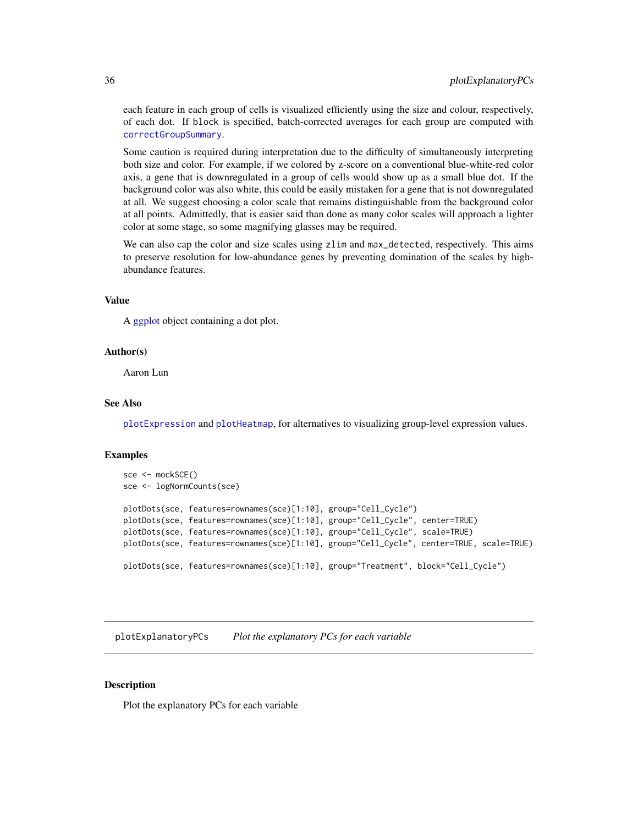<span id="page-35-0"></span>each feature in each group of cells is visualized efficiently using the size and colour, respectively, of each dot. If block is specified, batch-corrected averages for each group are computed with [correctGroupSummary](#page-0-0).

Some caution is required during interpretation due to the difficulty of simultaneously interpreting both size and color. For example, if we colored by z-score on a conventional blue-white-red color axis, a gene that is downregulated in a group of cells would show up as a small blue dot. If the background color was also white, this could be easily mistaken for a gene that is not downregulated at all. We suggest choosing a color scale that remains distinguishable from the background color at all points. Admittedly, that is easier said than done as many color scales will approach a lighter color at some stage, so some magnifying glasses may be required.

We can also cap the color and size scales using zlim and max\_detected, respectively. This aims to preserve resolution for low-abundance genes by preventing domination of the scales by highabundance features.

#### Value

A [ggplot](#page-0-0) object containing a dot plot.

#### Author(s)

Aaron Lun

#### See Also

[plotExpression](#page-38-1) and [plotHeatmap](#page-42-1), for alternatives to visualizing group-level expression values.

#### Examples

```
sce <- mockSCE()
sce <- logNormCounts(sce)
plotDots(sce, features=rownames(sce)[1:10], group="Cell_Cycle")
plotDots(sce, features=rownames(sce)[1:10], group="Cell_Cycle", center=TRUE)
plotDots(sce, features=rownames(sce)[1:10], group="Cell_Cycle", scale=TRUE)
plotDots(sce, features=rownames(sce)[1:10], group="Cell_Cycle", center=TRUE, scale=TRUE)
plotDots(sce, features=rownames(sce)[1:10], group="Treatment", block="Cell_Cycle")
```
<span id="page-35-1"></span>plotExplanatoryPCs *Plot the explanatory PCs for each variable*

# **Description**

Plot the explanatory PCs for each variable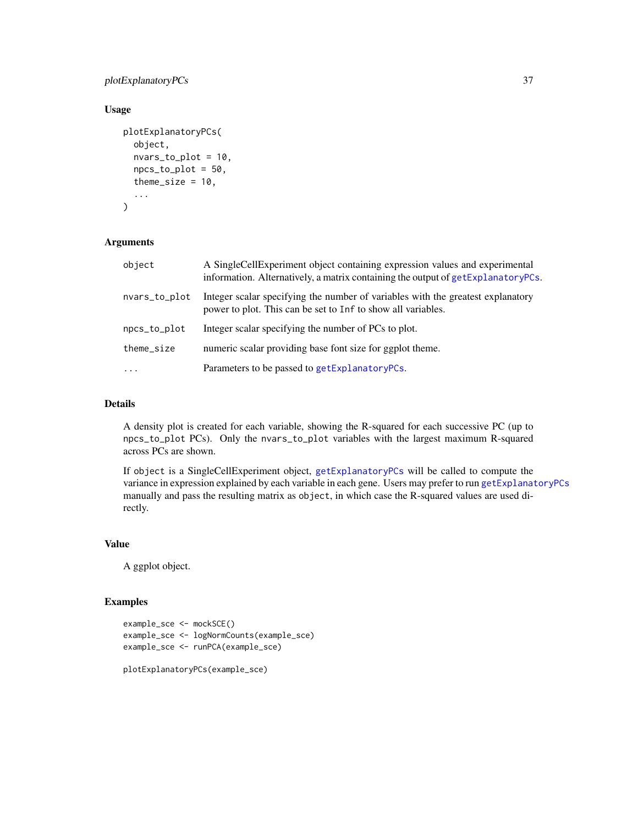# <span id="page-36-0"></span>plotExplanatoryPCs 37

# Usage

```
plotExplanatoryPCs(
  object,
  nvars_to_plot = 10,
  npcs_to_plot = 50,
  theme_size = 10,
  ...
)
```
# Arguments

| object        | A SingleCellExperiment object containing expression values and experimental<br>information. Alternatively, a matrix containing the output of getExplanatoryPCs. |
|---------------|-----------------------------------------------------------------------------------------------------------------------------------------------------------------|
| nvars_to_plot | Integer scalar specifying the number of variables with the greatest explanatory<br>power to plot. This can be set to Inf to show all variables.                 |
| npcs_to_plot  | Integer scalar specifying the number of PCs to plot.                                                                                                            |
| theme_size    | numeric scalar providing base font size for ggplot theme.                                                                                                       |
| $\cdots$      | Parameters to be passed to getExplanatoryPCs.                                                                                                                   |

# Details

A density plot is created for each variable, showing the R-squared for each successive PC (up to npcs\_to\_plot PCs). Only the nvars\_to\_plot variables with the largest maximum R-squared across PCs are shown.

If object is a SingleCellExperiment object, [getExplanatoryPCs](#page-23-0) will be called to compute the variance in expression explained by each variable in each gene. Users may prefer to run [getExplanatoryPCs](#page-23-0) manually and pass the resulting matrix as object, in which case the R-squared values are used directly.

## Value

A ggplot object.

# Examples

```
example_sce <- mockSCE()
example_sce <- logNormCounts(example_sce)
example_sce <- runPCA(example_sce)
```
plotExplanatoryPCs(example\_sce)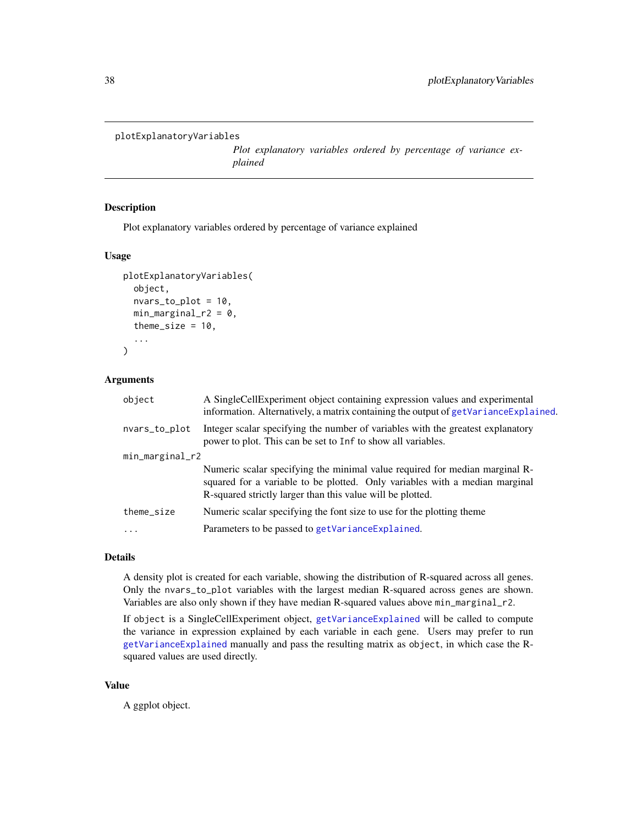```
plotExplanatoryVariables
```
*Plot explanatory variables ordered by percentage of variance explained*

# Description

Plot explanatory variables ordered by percentage of variance explained

#### Usage

```
plotExplanatoryVariables(
  object,
  nvars_to_plot = 10,
  min\_marginal_r2 = 0,
  theme_size = 10,
  ...
)
```
#### Arguments

| object          | A SingleCellExperiment object containing expression values and experimental<br>information. Alternatively, a matrix containing the output of $getVarianceExplained$ .                                                    |  |
|-----------------|--------------------------------------------------------------------------------------------------------------------------------------------------------------------------------------------------------------------------|--|
| nvars_to_plot   | Integer scalar specifying the number of variables with the greatest explanatory<br>power to plot. This can be set to Inf to show all variables.                                                                          |  |
| min_marginal_r2 |                                                                                                                                                                                                                          |  |
|                 | Numeric scalar specifying the minimal value required for median marginal R-<br>squared for a variable to be plotted. Only variables with a median marginal<br>R-squared strictly larger than this value will be plotted. |  |
| theme_size      | Numeric scalar specifying the font size to use for the plotting theme                                                                                                                                                    |  |
| $\cdot$         | Parameters to be passed to getVarianceExplained.                                                                                                                                                                         |  |
|                 |                                                                                                                                                                                                                          |  |

# Details

A density plot is created for each variable, showing the distribution of R-squared across all genes. Only the nvars\_to\_plot variables with the largest median R-squared across genes are shown. Variables are also only shown if they have median R-squared values above min\_marginal\_r2.

If object is a SingleCellExperiment object, [getVarianceExplained](#page-24-0) will be called to compute the variance in expression explained by each variable in each gene. Users may prefer to run [getVarianceExplained](#page-24-0) manually and pass the resulting matrix as object, in which case the Rsquared values are used directly.

# Value

A ggplot object.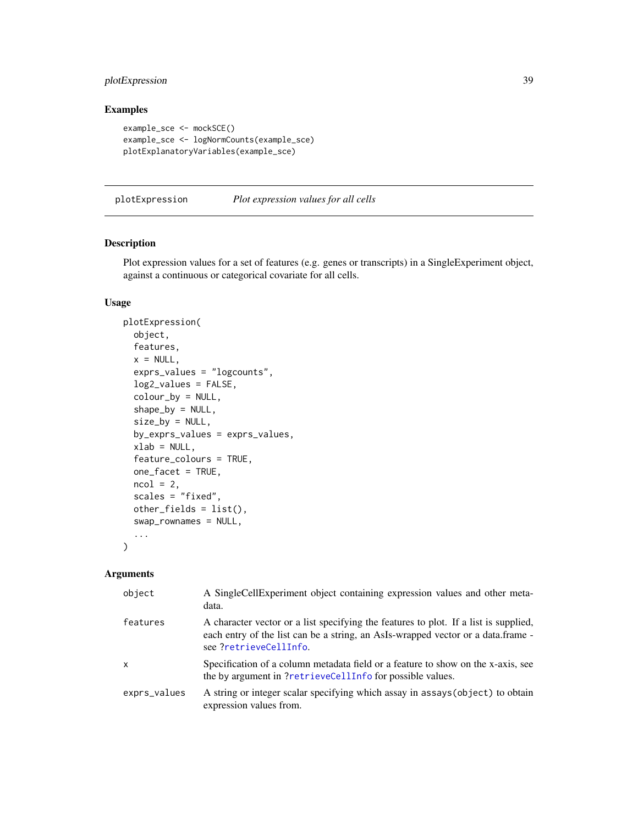# <span id="page-38-1"></span>plotExpression 39

# Examples

```
example_sce <- mockSCE()
example_sce <- logNormCounts(example_sce)
plotExplanatoryVariables(example_sce)
```
<span id="page-38-0"></span>plotExpression *Plot expression values for all cells*

## Description

Plot expression values for a set of features (e.g. genes or transcripts) in a SingleExperiment object, against a continuous or categorical covariate for all cells.

# Usage

```
plotExpression(
 object,
  features,
  x = NULL,exprs_values = "logcounts",
  log2_values = FALSE,
  colour_by = NULL,
  shape_by = NULL,size_by = NULL,
  by_exprs_values = exprs_values,
  xlab = NULL,
  feature_colours = TRUE,
  one_facet = TRUE,
 ncol = 2,
  scales = "fixed",
  other_fields = list(),
  swap_rownames = NULL,
  ...
\mathcal{L}
```

| object       | A SingleCellExperiment object containing expression values and other meta-<br>data.                                                                                                               |
|--------------|---------------------------------------------------------------------------------------------------------------------------------------------------------------------------------------------------|
| features     | A character vector or a list specifying the features to plot. If a list is supplied,<br>each entry of the list can be a string, an AsIs-wrapped vector or a data.frame -<br>see?retrieveCellInfo. |
| $\mathsf{x}$ | Specification of a column metadata field or a feature to show on the x-axis, see<br>the by argument in ?retrieveCellInfo for possible values.                                                     |
| exprs_values | A string or integer scalar specifying which assay in assays (object) to obtain<br>expression values from.                                                                                         |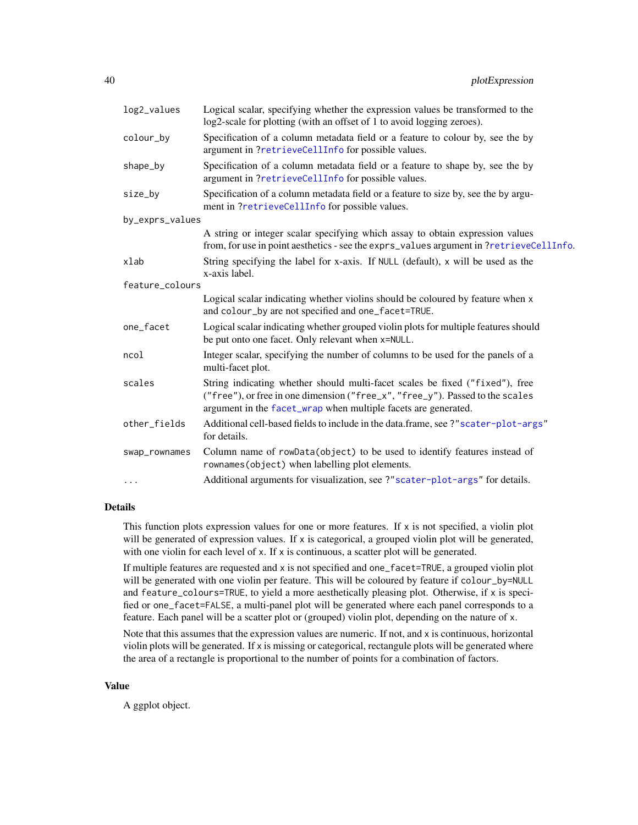<span id="page-39-0"></span>

| log2_values     | Logical scalar, specifying whether the expression values be transformed to the<br>log2-scale for plotting (with an offset of 1 to avoid logging zeroes).                                                                        |
|-----------------|---------------------------------------------------------------------------------------------------------------------------------------------------------------------------------------------------------------------------------|
| colour_by       | Specification of a column metadata field or a feature to colour by, see the by<br>argument in ?retrieveCellInfo for possible values.                                                                                            |
| shape_by        | Specification of a column metadata field or a feature to shape by, see the by<br>argument in ?retrieveCellInfo for possible values.                                                                                             |
| size_by         | Specification of a column metadata field or a feature to size by, see the by argu-<br>ment in ?retrieveCellInfo for possible values.                                                                                            |
| by_exprs_values |                                                                                                                                                                                                                                 |
|                 | A string or integer scalar specifying which assay to obtain expression values<br>from, for use in point aesthetics - see the exprs_values argument in ?retrieveCellInfo.                                                        |
| xlab            | String specifying the label for x-axis. If NULL (default), x will be used as the<br>x-axis label.                                                                                                                               |
| feature_colours |                                                                                                                                                                                                                                 |
|                 | Logical scalar indicating whether violins should be coloured by feature when x<br>and colour_by are not specified and one_facet=TRUE.                                                                                           |
| one_facet       | Logical scalar indicating whether grouped violin plots for multiple features should<br>be put onto one facet. Only relevant when x=NULL.                                                                                        |
| ncol            | Integer scalar, specifying the number of columns to be used for the panels of a<br>multi-facet plot.                                                                                                                            |
| scales          | String indicating whether should multi-facet scales be fixed ("fixed"), free<br>("free"), or free in one dimension ("free_x", "free_y"). Passed to the scales<br>argument in the facet_wrap when multiple facets are generated. |
| other_fields    | Additional cell-based fields to include in the data.frame, see ?"scater-plot-args"<br>for details.                                                                                                                              |
| swap_rownames   | Column name of rowData(object) to be used to identify features instead of<br>rownames (object) when labelling plot elements.                                                                                                    |
| $\ddots$        | Additional arguments for visualization, see ?"scater-plot-args" for details.                                                                                                                                                    |
|                 |                                                                                                                                                                                                                                 |

#### Details

This function plots expression values for one or more features. If x is not specified, a violin plot will be generated of expression values. If  $x$  is categorical, a grouped violin plot will be generated, with one violin for each level of x. If x is continuous, a scatter plot will be generated.

If multiple features are requested and x is not specified and one\_facet=TRUE, a grouped violin plot will be generated with one violin per feature. This will be coloured by feature if colour\_by=NULL and feature\_colours=TRUE, to yield a more aesthetically pleasing plot. Otherwise, if x is specified or one\_facet=FALSE, a multi-panel plot will be generated where each panel corresponds to a feature. Each panel will be a scatter plot or (grouped) violin plot, depending on the nature of x.

Note that this assumes that the expression values are numeric. If not, and x is continuous, horizontal violin plots will be generated. If x is missing or categorical, rectangule plots will be generated where the area of a rectangle is proportional to the number of points for a combination of factors.

#### Value

A ggplot object.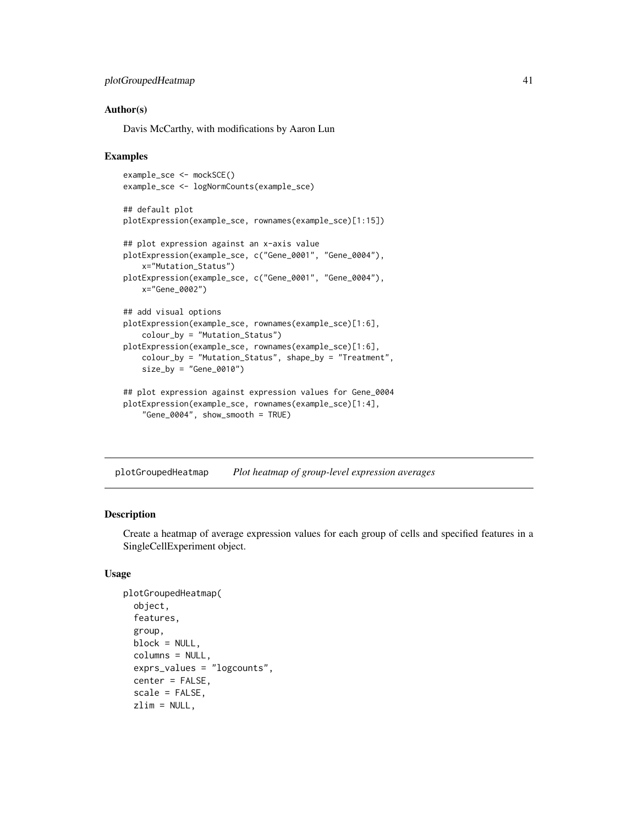```
plotGroupedHeatmap 41
```
## Author(s)

Davis McCarthy, with modifications by Aaron Lun

#### Examples

```
example_sce <- mockSCE()
example_sce <- logNormCounts(example_sce)
## default plot
plotExpression(example_sce, rownames(example_sce)[1:15])
## plot expression against an x-axis value
plotExpression(example_sce, c("Gene_0001", "Gene_0004"),
   x="Mutation_Status")
plotExpression(example_sce, c("Gene_0001", "Gene_0004"),
   x="Gene_0002")
## add visual options
plotExpression(example_sce, rownames(example_sce)[1:6],
    colour_by = "Mutation_Status")
plotExpression(example_sce, rownames(example_sce)[1:6],
    colour_by = "Mutation_Status", shape_by = "Treatment",
    size_by = "Gene_0010")## plot expression against expression values for Gene_0004
plotExpression(example_sce, rownames(example_sce)[1:4],
```

```
"Gene_0004", show_smooth = TRUE)
```
plotGroupedHeatmap *Plot heatmap of group-level expression averages*

# Description

Create a heatmap of average expression values for each group of cells and specified features in a SingleCellExperiment object.

#### Usage

```
plotGroupedHeatmap(
  object,
  features,
  group,
 block = NULL,
  columns = NULL,
  exprs_values = "logcounts",
  center = FALSE,
  scale = FALSE,
  zlim = NULL,
```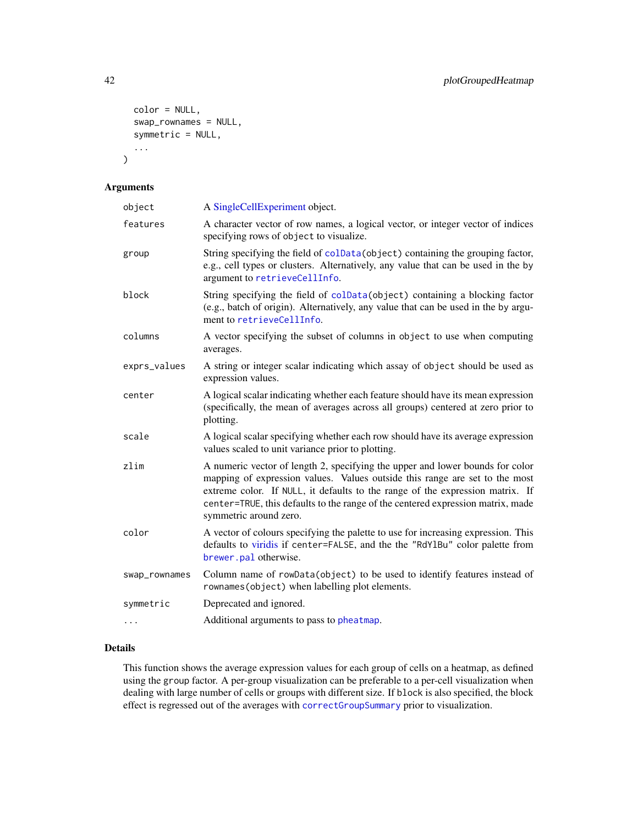```
color = NULL,
 swap_rownames = NULL,
 symmetric = NULL,
  ...
)
```
# Arguments

| object        | A SingleCellExperiment object.                                                                                                                                                                                                                                                                                                                             |
|---------------|------------------------------------------------------------------------------------------------------------------------------------------------------------------------------------------------------------------------------------------------------------------------------------------------------------------------------------------------------------|
| features      | A character vector of row names, a logical vector, or integer vector of indices<br>specifying rows of object to visualize.                                                                                                                                                                                                                                 |
| group         | String specifying the field of colData(object) containing the grouping factor,<br>e.g., cell types or clusters. Alternatively, any value that can be used in the by<br>argument to retrieveCellInfo.                                                                                                                                                       |
| block         | String specifying the field of colData(object) containing a blocking factor<br>(e.g., batch of origin). Alternatively, any value that can be used in the by argu-<br>ment to retrieveCellInfo.                                                                                                                                                             |
| columns       | A vector specifying the subset of columns in object to use when computing<br>averages.                                                                                                                                                                                                                                                                     |
| exprs_values  | A string or integer scalar indicating which assay of object should be used as<br>expression values.                                                                                                                                                                                                                                                        |
| center        | A logical scalar indicating whether each feature should have its mean expression<br>(specifically, the mean of averages across all groups) centered at zero prior to<br>plotting.                                                                                                                                                                          |
| scale         | A logical scalar specifying whether each row should have its average expression<br>values scaled to unit variance prior to plotting.                                                                                                                                                                                                                       |
| zlim          | A numeric vector of length 2, specifying the upper and lower bounds for color<br>mapping of expression values. Values outside this range are set to the most<br>extreme color. If NULL, it defaults to the range of the expression matrix. If<br>center=TRUE, this defaults to the range of the centered expression matrix, made<br>symmetric around zero. |
| color         | A vector of colours specifying the palette to use for increasing expression. This<br>defaults to viridis if center=FALSE, and the the "RdY1Bu" color palette from<br>brewer.pal otherwise.                                                                                                                                                                 |
| swap_rownames | Column name of rowData(object) to be used to identify features instead of<br>rownames (object) when labelling plot elements.                                                                                                                                                                                                                               |
| symmetric     | Deprecated and ignored.                                                                                                                                                                                                                                                                                                                                    |
|               | Additional arguments to pass to pheatmap.                                                                                                                                                                                                                                                                                                                  |

# Details

This function shows the average expression values for each group of cells on a heatmap, as defined using the group factor. A per-group visualization can be preferable to a per-cell visualization when dealing with large number of cells or groups with different size. If block is also specified, the block effect is regressed out of the averages with [correctGroupSummary](#page-0-0) prior to visualization.

<span id="page-41-0"></span>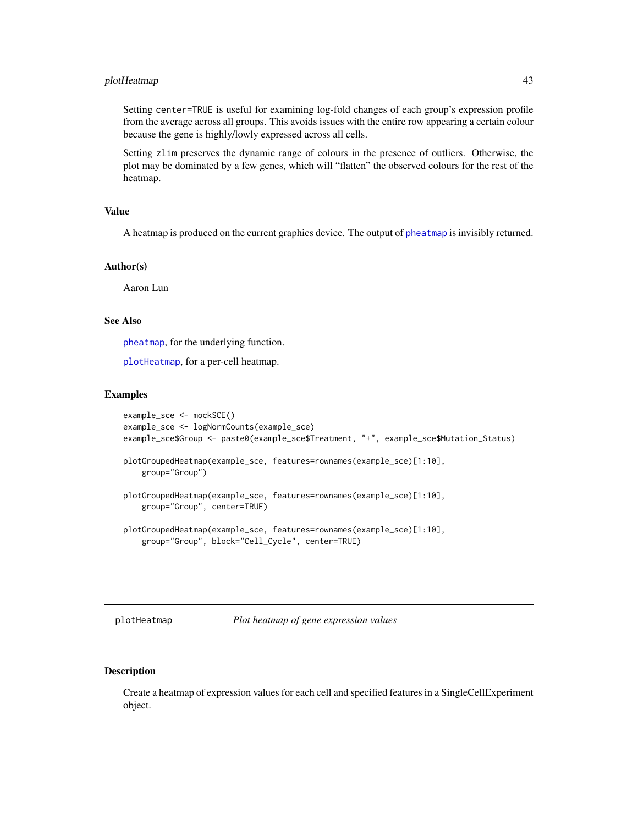# <span id="page-42-1"></span>plotHeatmap 43

Setting center=TRUE is useful for examining log-fold changes of each group's expression profile from the average across all groups. This avoids issues with the entire row appearing a certain colour because the gene is highly/lowly expressed across all cells.

Setting zlim preserves the dynamic range of colours in the presence of outliers. Otherwise, the plot may be dominated by a few genes, which will "flatten" the observed colours for the rest of the heatmap.

#### Value

A heatmap is produced on the current graphics device. The output of [pheatmap](#page-0-0) is invisibly returned.

#### Author(s)

Aaron Lun

## See Also

[pheatmap](#page-0-0), for the underlying function.

[plotHeatmap](#page-42-0), for a per-cell heatmap.

## Examples

```
example_sce <- mockSCE()
example_sce <- logNormCounts(example_sce)
example_sce$Group <- paste0(example_sce$Treatment, "+", example_sce$Mutation_Status)
plotGroupedHeatmap(example_sce, features=rownames(example_sce)[1:10],
    group="Group")
plotGroupedHeatmap(example_sce, features=rownames(example_sce)[1:10],
   group="Group", center=TRUE)
plotGroupedHeatmap(example_sce, features=rownames(example_sce)[1:10],
   group="Group", block="Cell_Cycle", center=TRUE)
```
<span id="page-42-0"></span>plotHeatmap *Plot heatmap of gene expression values*

# Description

Create a heatmap of expression values for each cell and specified features in a SingleCellExperiment object.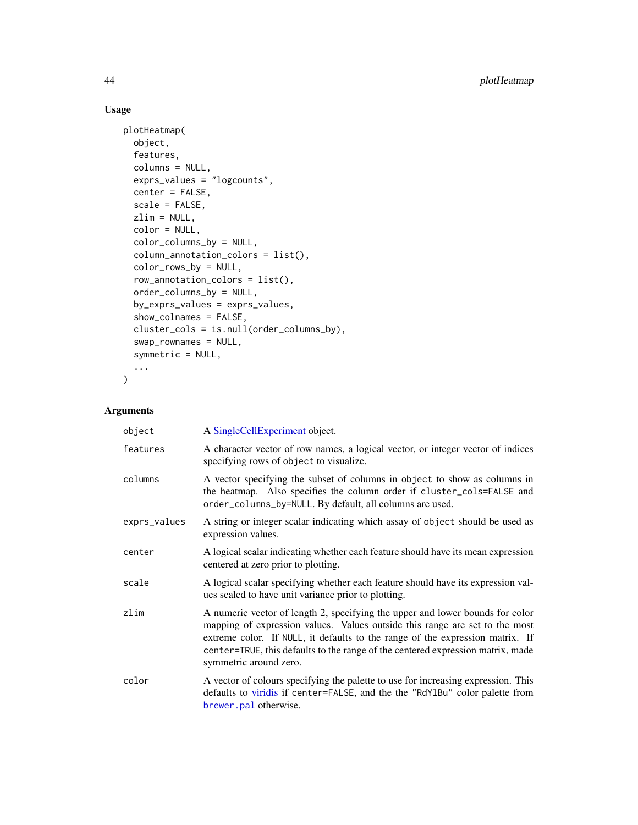# Usage

```
plotHeatmap(
 object,
 features,
 columns = NULL,
 exprs_values = "logcounts",
 center = FALSE,
 scale = FALSE,
 zlim = NULL,color = NULL,
 color_columns_by = NULL,
 column_annotation_colors = list(),
 color_rows_by = NULL,
  row_annotation_colors = list(),
 order_columns_by = NULL,
 by_exprs_values = exprs_values,
  show_colnames = FALSE,
 cluster_cols = is.null(order_columns_by),
 swap_rownames = NULL,
 symmetric = NULL,
  ...
)
```

| object       | A SingleCellExperiment object.                                                                                                                                                                                                                                                                                                                             |
|--------------|------------------------------------------------------------------------------------------------------------------------------------------------------------------------------------------------------------------------------------------------------------------------------------------------------------------------------------------------------------|
| features     | A character vector of row names, a logical vector, or integer vector of indices<br>specifying rows of object to visualize.                                                                                                                                                                                                                                 |
| columns      | A vector specifying the subset of columns in object to show as columns in<br>the heatmap. Also specifies the column order if cluster_cols=FALSE and<br>order_columns_by=NULL. By default, all columns are used.                                                                                                                                            |
| exprs_values | A string or integer scalar indicating which assay of object should be used as<br>expression values.                                                                                                                                                                                                                                                        |
| center       | A logical scalar indicating whether each feature should have its mean expression<br>centered at zero prior to plotting.                                                                                                                                                                                                                                    |
| scale        | A logical scalar specifying whether each feature should have its expression val-<br>ues scaled to have unit variance prior to plotting.                                                                                                                                                                                                                    |
| zlim         | A numeric vector of length 2, specifying the upper and lower bounds for color<br>mapping of expression values. Values outside this range are set to the most<br>extreme color. If NULL, it defaults to the range of the expression matrix. If<br>center=TRUE, this defaults to the range of the centered expression matrix, made<br>symmetric around zero. |
| color        | A vector of colours specifying the palette to use for increasing expression. This<br>defaults to viridis if center=FALSE, and the the "RdY1Bu" color palette from<br>brewer.pal otherwise.                                                                                                                                                                 |

<span id="page-43-0"></span>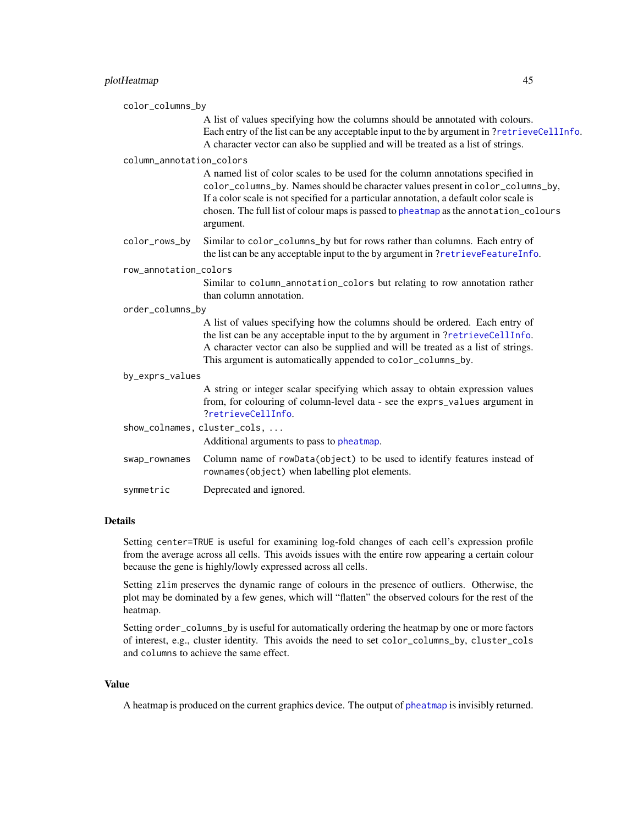<span id="page-44-0"></span>

|                  | color_columns_by         |                                                                                                                                                                                                                                                                                                                                                                    |
|------------------|--------------------------|--------------------------------------------------------------------------------------------------------------------------------------------------------------------------------------------------------------------------------------------------------------------------------------------------------------------------------------------------------------------|
|                  |                          | A list of values specifying how the columns should be annotated with colours.<br>Each entry of the list can be any acceptable input to the by argument in ?retrieveCellInfo.<br>A character vector can also be supplied and will be treated as a list of strings.                                                                                                  |
|                  | column_annotation_colors |                                                                                                                                                                                                                                                                                                                                                                    |
|                  |                          | A named list of color scales to be used for the column annotations specified in<br>color_columns_by. Names should be character values present in color_columns_by,<br>If a color scale is not specified for a particular annotation, a default color scale is<br>chosen. The full list of colour maps is passed to pheatmap as the annotation_colours<br>argument. |
|                  | color_rows_by            | Similar to color_columns_by but for rows rather than columns. Each entry of<br>the list can be any acceptable input to the by argument in ?retrieveFeatureInfo.                                                                                                                                                                                                    |
|                  | row_annotation_colors    |                                                                                                                                                                                                                                                                                                                                                                    |
|                  |                          | Similar to column_annotation_colors but relating to row annotation rather<br>than column annotation.                                                                                                                                                                                                                                                               |
| order_columns_by |                          |                                                                                                                                                                                                                                                                                                                                                                    |
|                  |                          | A list of values specifying how the columns should be ordered. Each entry of<br>the list can be any acceptable input to the by argument in ?retrieveCellInfo.<br>A character vector can also be supplied and will be treated as a list of strings.<br>This argument is automatically appended to color_columns_by.                                                 |
|                  | by_exprs_values          |                                                                                                                                                                                                                                                                                                                                                                    |
|                  |                          | A string or integer scalar specifying which assay to obtain expression values<br>from, for colouring of column-level data - see the exprs_values argument in<br>?retrieveCellInfo.                                                                                                                                                                                 |
|                  |                          | show_colnames, cluster_cols,<br>Additional arguments to pass to pheatmap.                                                                                                                                                                                                                                                                                          |
|                  | swap_rownames            | Column name of rowData(object) to be used to identify features instead of<br>rownames (object) when labelling plot elements.                                                                                                                                                                                                                                       |
|                  | symmetric                | Deprecated and ignored.                                                                                                                                                                                                                                                                                                                                            |
|                  |                          |                                                                                                                                                                                                                                                                                                                                                                    |

# Details

Setting center=TRUE is useful for examining log-fold changes of each cell's expression profile from the average across all cells. This avoids issues with the entire row appearing a certain colour because the gene is highly/lowly expressed across all cells.

Setting zlim preserves the dynamic range of colours in the presence of outliers. Otherwise, the plot may be dominated by a few genes, which will "flatten" the observed colours for the rest of the heatmap.

Setting order\_columns\_by is useful for automatically ordering the heatmap by one or more factors of interest, e.g., cluster identity. This avoids the need to set color\_columns\_by, cluster\_cols and columns to achieve the same effect.

# Value

A heatmap is produced on the current graphics device. The output of [pheatmap](#page-0-0) is invisibly returned.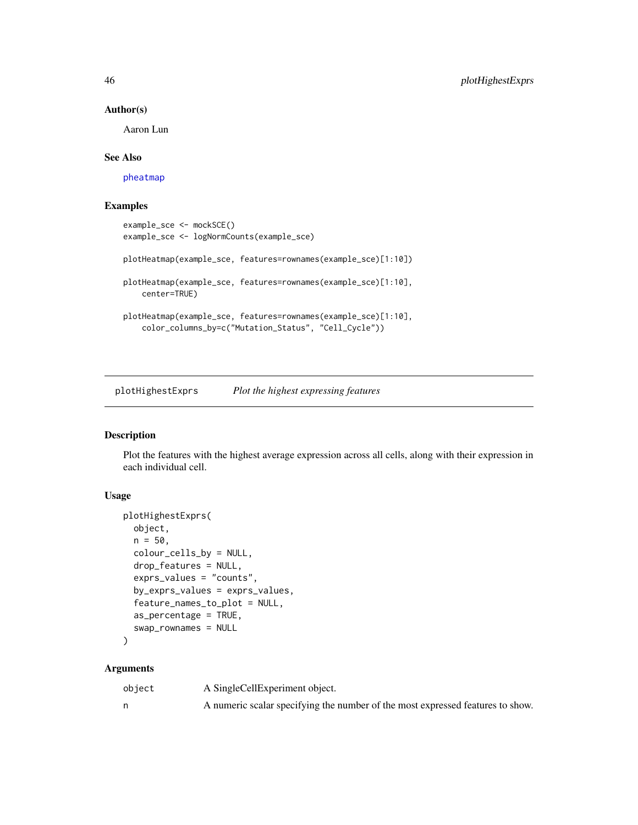# Author(s)

Aaron Lun

# See Also

[pheatmap](#page-0-0)

# Examples

```
example_sce <- mockSCE()
example_sce <- logNormCounts(example_sce)
plotHeatmap(example_sce, features=rownames(example_sce)[1:10])
plotHeatmap(example_sce, features=rownames(example_sce)[1:10],
   center=TRUE)
plotHeatmap(example_sce, features=rownames(example_sce)[1:10],
    color_columns_by=c("Mutation_Status", "Cell_Cycle"))
```
plotHighestExprs *Plot the highest expressing features*

# Description

Plot the features with the highest average expression across all cells, along with their expression in each individual cell.

# Usage

```
plotHighestExprs(
  object,
  n = 50,
  colour_cells_by = NULL,
  drop_features = NULL,
  exprs_values = "counts",
  by_exprs_values = exprs_values,
  feature_names_to_plot = NULL,
  as_percentage = TRUE,
  swap_rownames = NULL
\mathcal{L}
```

| object | A SingleCellExperiment object.                                                 |
|--------|--------------------------------------------------------------------------------|
|        | A numeric scalar specifying the number of the most expressed features to show. |

<span id="page-45-0"></span>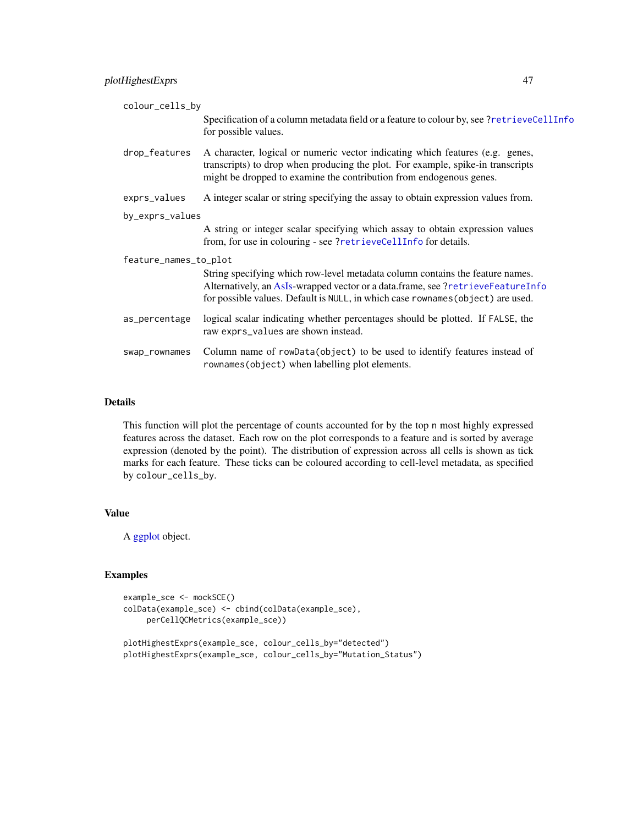<span id="page-46-0"></span>

| colour_cells_by       |                                                                                                                                                                                                                                                     |
|-----------------------|-----------------------------------------------------------------------------------------------------------------------------------------------------------------------------------------------------------------------------------------------------|
|                       | Specification of a column metadata field or a feature to colour by, see ?retrieveCellInfo<br>for possible values.                                                                                                                                   |
| drop_features         | A character, logical or numeric vector indicating which features (e.g. genes,<br>transcripts) to drop when producing the plot. For example, spike-in transcripts<br>might be dropped to examine the contribution from endogenous genes.             |
| exprs_values          | A integer scalar or string specifying the assay to obtain expression values from.                                                                                                                                                                   |
| by_exprs_values       |                                                                                                                                                                                                                                                     |
|                       | A string or integer scalar specifying which assay to obtain expression values<br>from, for use in colouring - see ?retrieveCellInfo for details.                                                                                                    |
| feature_names_to_plot |                                                                                                                                                                                                                                                     |
|                       | String specifying which row-level metadata column contains the feature names.<br>Alternatively, an AsIs-wrapped vector or a data.frame, see ?retrieveFeatureInfo<br>for possible values. Default is NULL, in which case rownames (object) are used. |
| as_percentage         | logical scalar indicating whether percentages should be plotted. If FALSE, the<br>raw exprs_values are shown instead.                                                                                                                               |
| swap_rownames         | Column name of rowData(object) to be used to identify features instead of<br>rownames (object) when labelling plot elements.                                                                                                                        |

# Details

This function will plot the percentage of counts accounted for by the top n most highly expressed features across the dataset. Each row on the plot corresponds to a feature and is sorted by average expression (denoted by the point). The distribution of expression across all cells is shown as tick marks for each feature. These ticks can be coloured according to cell-level metadata, as specified by colour\_cells\_by.

# Value

A [ggplot](#page-0-0) object.

# Examples

```
example_sce <- mockSCE()
colData(example_sce) <- cbind(colData(example_sce),
    perCellQCMetrics(example_sce))
```

```
plotHighestExprs(example_sce, colour_cells_by="detected")
plotHighestExprs(example_sce, colour_cells_by="Mutation_Status")
```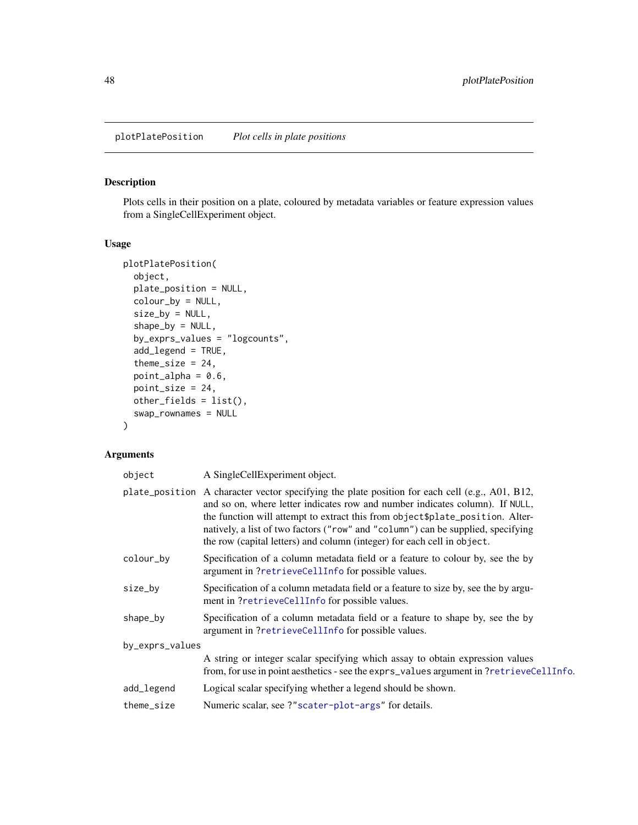<span id="page-47-1"></span><span id="page-47-0"></span>plotPlatePosition *Plot cells in plate positions*

# Description

Plots cells in their position on a plate, coloured by metadata variables or feature expression values from a SingleCellExperiment object.

# Usage

```
plotPlatePosition(
  object,
 plate_position = NULL,
  colour_by = NULL,
  size_by = NULL,
  shape_by = NULL,
  by_exprs_values = "logcounts",
  add_legend = TRUE,
  theme_size = 24,
  point_alpha = 0.6,
 point_size = 24,
 other_fields = list(),
  swap_rownames = NULL
)
```

| object          | A SingleCellExperiment object.                                                                                                                                                                                                                                                                                                                                                                                                  |
|-----------------|---------------------------------------------------------------------------------------------------------------------------------------------------------------------------------------------------------------------------------------------------------------------------------------------------------------------------------------------------------------------------------------------------------------------------------|
|                 | plate_position A character vector specifying the plate position for each cell (e.g., A01, B12,<br>and so on, where letter indicates row and number indicates column). If NULL,<br>the function will attempt to extract this from object \$plate_position. Alter-<br>natively, a list of two factors ("row" and "column") can be supplied, specifying<br>the row (capital letters) and column (integer) for each cell in object. |
| colour_by       | Specification of a column metadata field or a feature to colour by, see the by<br>argument in ?retrieveCellInfo for possible values.                                                                                                                                                                                                                                                                                            |
| size_by         | Specification of a column metadata field or a feature to size by, see the by argu-<br>ment in ?retrieveCellInfo for possible values.                                                                                                                                                                                                                                                                                            |
| shape_by        | Specification of a column metadata field or a feature to shape by, see the by<br>argument in ?retrieveCellInfo for possible values.                                                                                                                                                                                                                                                                                             |
| by_exprs_values |                                                                                                                                                                                                                                                                                                                                                                                                                                 |
|                 | A string or integer scalar specifying which assay to obtain expression values<br>from, for use in point aesthetics - see the exprs_values argument in ?retrieveCellInfo.                                                                                                                                                                                                                                                        |
| add_legend      | Logical scalar specifying whether a legend should be shown.                                                                                                                                                                                                                                                                                                                                                                     |
| theme_size      | Numeric scalar, see ?"scater-plot-args" for details.                                                                                                                                                                                                                                                                                                                                                                            |
|                 |                                                                                                                                                                                                                                                                                                                                                                                                                                 |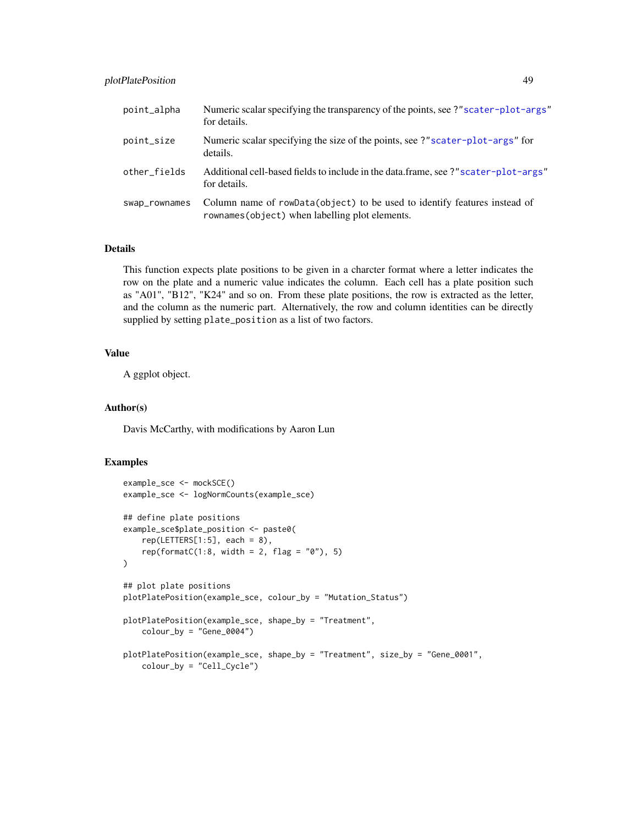# plotPlatePosition 49

| point_alpha   | Numeric scalar specifying the transparency of the points, see ?" scater-plot-args"<br>for details.                           |
|---------------|------------------------------------------------------------------------------------------------------------------------------|
| point_size    | Numeric scalar specifying the size of the points, see ?"scater-plot-args" for<br>details.                                    |
| other_fields  | Additional cell-based fields to include in the data.frame, see ?"scater-plot-args"<br>for details.                           |
| swap_rownames | Column name of rowData(object) to be used to identify features instead of<br>rownames (object) when labelling plot elements. |

# Details

This function expects plate positions to be given in a charcter format where a letter indicates the row on the plate and a numeric value indicates the column. Each cell has a plate position such as "A01", "B12", "K24" and so on. From these plate positions, the row is extracted as the letter, and the column as the numeric part. Alternatively, the row and column identities can be directly supplied by setting plate\_position as a list of two factors.

# Value

A ggplot object.

# Author(s)

Davis McCarthy, with modifications by Aaron Lun

## Examples

```
example_sce <- mockSCE()
example_sce <- logNormCounts(example_sce)
## define plate positions
example_sce$plate_position <- paste0(
   rep(LETTERS[1:5], each = 8),rep(formatC(1:8, width = 2, flag = "0"), 5)\mathcal{L}## plot plate positions
plotPlatePosition(example_sce, colour_by = "Mutation_Status")
plotPlatePosition(example_sce, shape_by = "Treatment",
    color_by = "Gene_0004")plotPlatePosition(example_sce, shape_by = "Treatment", size_by = "Gene_0001",
    colour_by = "Cell_Cycle")
```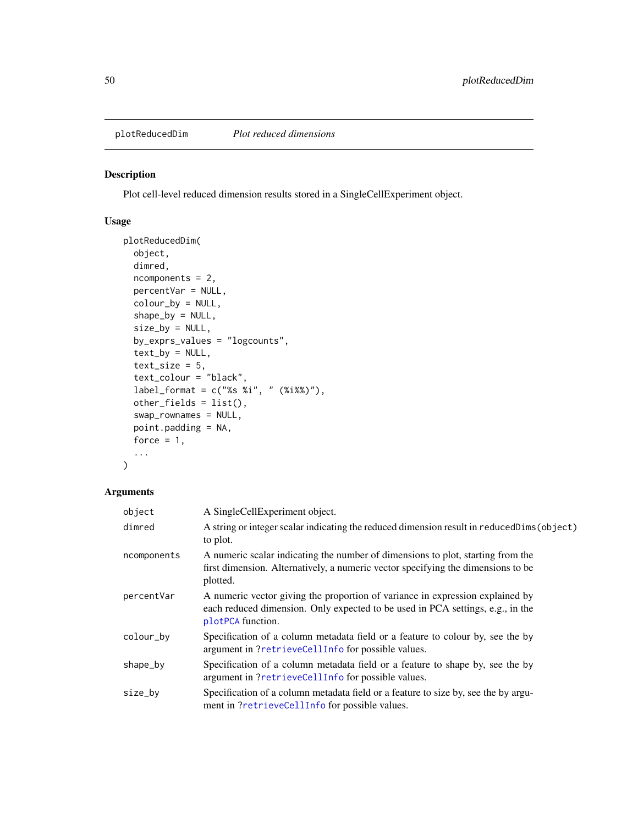<span id="page-49-1"></span><span id="page-49-0"></span>plotReducedDim *Plot reduced dimensions*

# Description

Plot cell-level reduced dimension results stored in a SingleCellExperiment object.

# Usage

```
plotReducedDim(
  object,
  dimred,
  ncomponents = 2,
  percentVar = NULL,
  colour_by = NULL,
  shape_by = NULL,
  size_by = NULL,
  by_exprs_values = "logcounts",
  text_by = NULL,
  text\_size = 5,
  text_colour = "black",
  label_{frm} indel_format = c("%s %i", " (%i%%)"),
  other_fields = list(),
  swap_rownames = NULL,
  point.padding = NA,
  force = 1,
  ...
\mathcal{L}
```

| object      | A SingleCellExperiment object.                                                                                                                                                       |
|-------------|--------------------------------------------------------------------------------------------------------------------------------------------------------------------------------------|
| dimred      | A string or integer scalar indicating the reduced dimension result in reducedDims (object)<br>to plot.                                                                               |
| ncomponents | A numeric scalar indicating the number of dimensions to plot, starting from the<br>first dimension. Alternatively, a numeric vector specifying the dimensions to be<br>plotted.      |
| percentVar  | A numeric vector giving the proportion of variance in expression explained by<br>each reduced dimension. Only expected to be used in PCA settings, e.g., in the<br>plotPCA function. |
| colour_by   | Specification of a column metadata field or a feature to colour by, see the by<br>argument in ?retrieveCellInfo for possible values.                                                 |
| shape_by    | Specification of a column metadata field or a feature to shape by, see the by<br>argument in ?retrieveCellInfo for possible values.                                                  |
| size_by     | Specification of a column metadata field or a feature to size by, see the by argu-<br>ment in ?retrieveCellInfo for possible values.                                                 |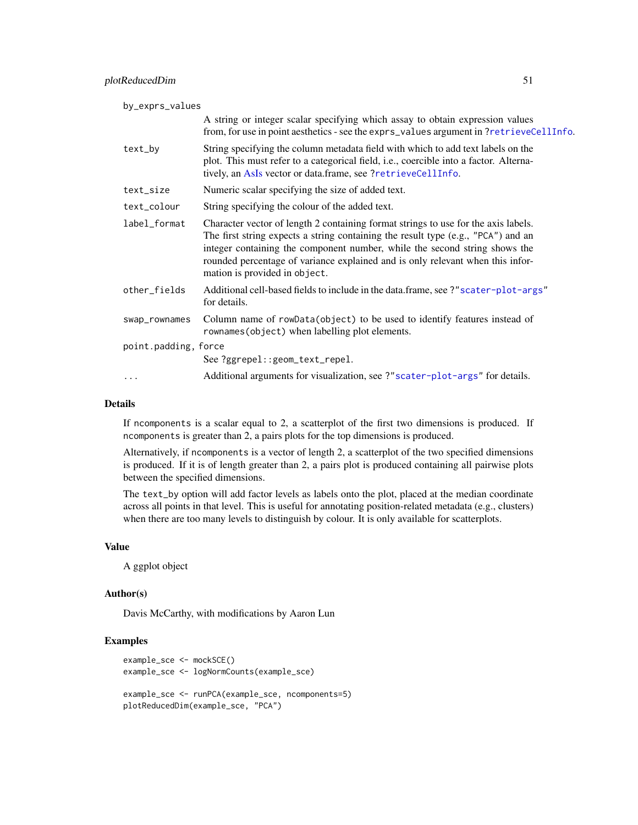<span id="page-50-0"></span>

| by_exprs_values      |                                                                                                                                                                                                                                                                                                                                                                          |  |  |  |
|----------------------|--------------------------------------------------------------------------------------------------------------------------------------------------------------------------------------------------------------------------------------------------------------------------------------------------------------------------------------------------------------------------|--|--|--|
|                      | A string or integer scalar specifying which assay to obtain expression values<br>from, for use in point aesthetics - see the exprs_values argument in?retrieveCellInfo.                                                                                                                                                                                                  |  |  |  |
| text_by              | String specifying the column metadata field with which to add text labels on the<br>plot. This must refer to a categorical field, i.e., coercible into a factor. Alterna-<br>tively, an AsIs vector or data.frame, see ?retrieveCellInfo.                                                                                                                                |  |  |  |
| text_size            | Numeric scalar specifying the size of added text.                                                                                                                                                                                                                                                                                                                        |  |  |  |
| text_colour          | String specifying the colour of the added text.                                                                                                                                                                                                                                                                                                                          |  |  |  |
| label_format         | Character vector of length 2 containing format strings to use for the axis labels.<br>The first string expects a string containing the result type (e.g., "PCA") and an<br>integer containing the component number, while the second string shows the<br>rounded percentage of variance explained and is only relevant when this infor-<br>mation is provided in object. |  |  |  |
| other_fields         | Additional cell-based fields to include in the data.frame, see ?"scater-plot-args"<br>for details.                                                                                                                                                                                                                                                                       |  |  |  |
| swap_rownames        | Column name of rowData(object) to be used to identify features instead of<br>rownames (object) when labelling plot elements.                                                                                                                                                                                                                                             |  |  |  |
| point.padding, force |                                                                                                                                                                                                                                                                                                                                                                          |  |  |  |
|                      | See ?ggrepel::geom_text_repel.                                                                                                                                                                                                                                                                                                                                           |  |  |  |
|                      | Additional arguments for visualization, see ?" scater-plot-args" for details.                                                                                                                                                                                                                                                                                            |  |  |  |

#### Details

If ncomponents is a scalar equal to 2, a scatterplot of the first two dimensions is produced. If ncomponents is greater than 2, a pairs plots for the top dimensions is produced.

Alternatively, if ncomponents is a vector of length 2, a scatterplot of the two specified dimensions is produced. If it is of length greater than 2, a pairs plot is produced containing all pairwise plots between the specified dimensions.

The text\_by option will add factor levels as labels onto the plot, placed at the median coordinate across all points in that level. This is useful for annotating position-related metadata (e.g., clusters) when there are too many levels to distinguish by colour. It is only available for scatterplots.

#### Value

A ggplot object

## Author(s)

Davis McCarthy, with modifications by Aaron Lun

# Examples

```
example_sce <- mockSCE()
example_sce <- logNormCounts(example_sce)
example_sce <- runPCA(example_sce, ncomponents=5)
plotReducedDim(example_sce, "PCA")
```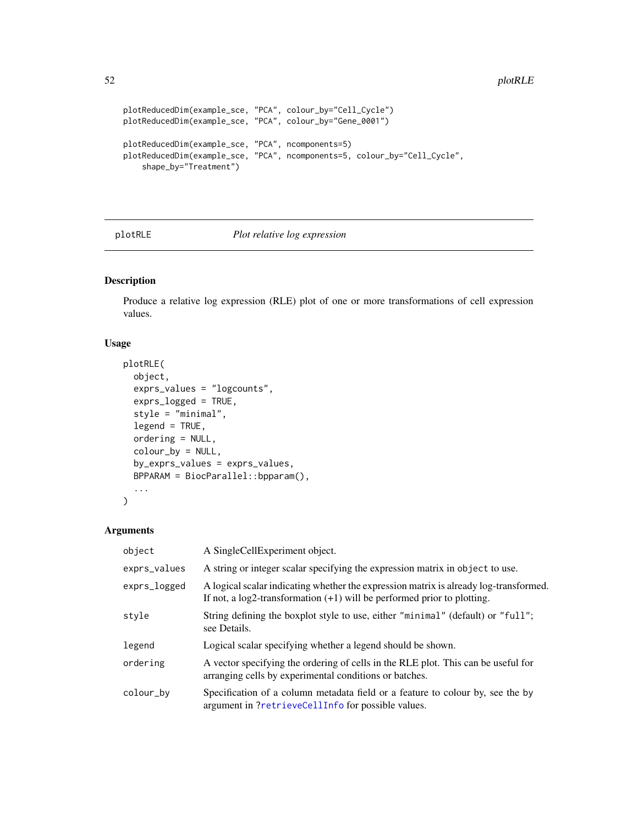```
plotReducedDim(example_sce, "PCA", colour_by="Cell_Cycle")
plotReducedDim(example_sce, "PCA", colour_by="Gene_0001")
plotReducedDim(example_sce, "PCA", ncomponents=5)
plotReducedDim(example_sce, "PCA", ncomponents=5, colour_by="Cell_Cycle",
    shape_by="Treatment")
```
# plotRLE *Plot relative log expression*

# Description

Produce a relative log expression (RLE) plot of one or more transformations of cell expression values.

# Usage

```
plotRLE(
  object,
  exprs_values = "logcounts",
  exprs_logged = TRUE,
  style = "minimal",
  legend = TRUE,ordering = NULL,
  colour_by = NULL,
 by_exprs_values = exprs_values,
 BPPARAM = BiocParallel::bpparam(),
  ...
\mathcal{L}
```

| object       | A SingleCellExperiment object.                                                                                                                                        |
|--------------|-----------------------------------------------------------------------------------------------------------------------------------------------------------------------|
| exprs_values | A string or integer scalar specifying the expression matrix in object to use.                                                                                         |
| exprs_logged | A logical scalar indicating whether the expression matrix is already log-transformed.<br>If not, a $log2$ -transformation $(+1)$ will be performed prior to plotting. |
| style        | String defining the boxplot style to use, either "minimal" (default) or "full";<br>see Details.                                                                       |
| legend       | Logical scalar specifying whether a legend should be shown.                                                                                                           |
| ordering     | A vector specifying the ordering of cells in the RLE plot. This can be useful for<br>arranging cells by experimental conditions or batches.                           |
| colour_by    | Specification of a column metadata field or a feature to colour by, see the by<br>argument in ?retrieveCellInfo for possible values.                                  |

<span id="page-51-0"></span>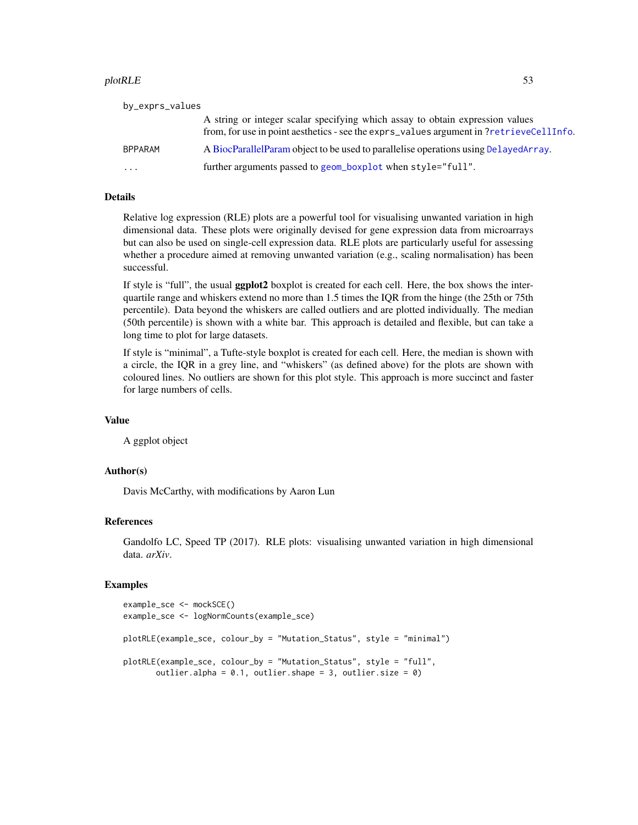#### <span id="page-52-0"></span>plotRLE 53

| by_exprs_values |                                                                                                                                                                          |
|-----------------|--------------------------------------------------------------------------------------------------------------------------------------------------------------------------|
|                 | A string or integer scalar specifying which assay to obtain expression values<br>from, for use in point aesthetics - see the exprs_values argument in ?retrieveCellInfo. |
| <b>BPPARAM</b>  | A BiocParallelParam object to be used to parallelise operations using DelayedArray.                                                                                      |
| .               | further arguments passed to geom_boxplot when style="full".                                                                                                              |

## Details

Relative log expression (RLE) plots are a powerful tool for visualising unwanted variation in high dimensional data. These plots were originally devised for gene expression data from microarrays but can also be used on single-cell expression data. RLE plots are particularly useful for assessing whether a procedure aimed at removing unwanted variation (e.g., scaling normalisation) has been successful.

If style is "full", the usual ggplot2 boxplot is created for each cell. Here, the box shows the interquartile range and whiskers extend no more than 1.5 times the IQR from the hinge (the 25th or 75th percentile). Data beyond the whiskers are called outliers and are plotted individually. The median (50th percentile) is shown with a white bar. This approach is detailed and flexible, but can take a long time to plot for large datasets.

If style is "minimal", a Tufte-style boxplot is created for each cell. Here, the median is shown with a circle, the IQR in a grey line, and "whiskers" (as defined above) for the plots are shown with coloured lines. No outliers are shown for this plot style. This approach is more succinct and faster for large numbers of cells.

#### Value

A ggplot object

# Author(s)

Davis McCarthy, with modifications by Aaron Lun

#### References

Gandolfo LC, Speed TP (2017). RLE plots: visualising unwanted variation in high dimensional data. *arXiv*.

#### Examples

```
example_sce <- mockSCE()
example_sce <- logNormCounts(example_sce)
plotRLE(example_sce, colour_by = "Mutation_Status", style = "minimal")
plotRLE(example_sce, colour_by = "Mutation_Status", style = "full",
      outlier.alpha = 0.1, outlier.shape = 3, outlier.size = 0)
```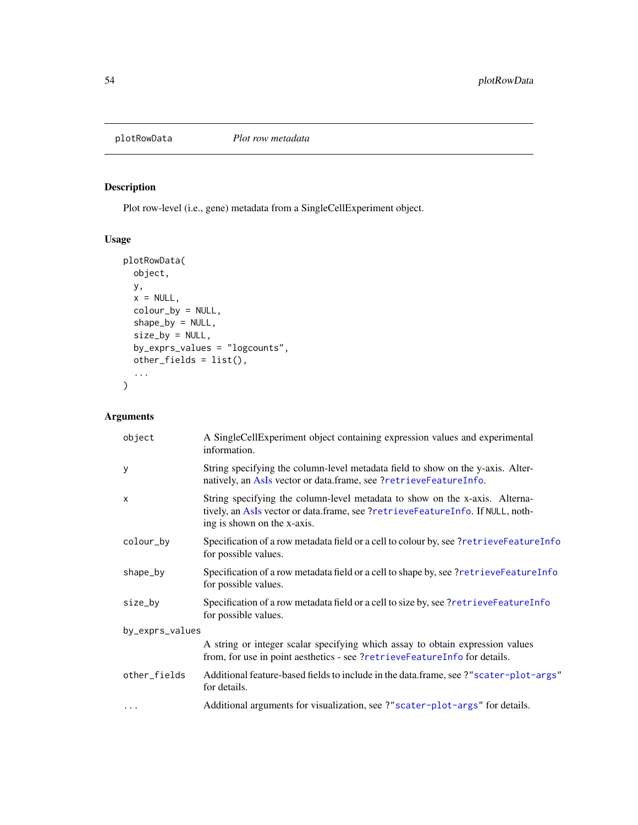<span id="page-53-1"></span><span id="page-53-0"></span>

# Description

Plot row-level (i.e., gene) metadata from a SingleCellExperiment object.

# Usage

```
plotRowData(
 object,
 y,
 x = NULL,colour_by = NULL,
 shape_by = NULL,
 size_by = NULL,
 by_exprs_values = "logcounts",
 other_fields = list(),
  ...
)
```

| object          | A SingleCellExperiment object containing expression values and experimental<br>information.                                                                                                  |  |  |  |
|-----------------|----------------------------------------------------------------------------------------------------------------------------------------------------------------------------------------------|--|--|--|
| y               | String specifying the column-level metadata field to show on the y-axis. Alter-<br>natively, an AsIs vector or data.frame, see ?retrieveFeatureInfo.                                         |  |  |  |
| $\mathsf{x}$    | String specifying the column-level metadata to show on the x-axis. Alterna-<br>tively, an AsIs vector or data.frame, see ?retrieveFeatureInfo. If NULL, noth-<br>ing is shown on the x-axis. |  |  |  |
| colour_by       | Specification of a row metadata field or a cell to colour by, see ?retrieveFeatureInfo<br>for possible values.                                                                               |  |  |  |
| shape_by        | Specification of a row metadata field or a cell to shape by, see ?retrieveFeatureInfo<br>for possible values.                                                                                |  |  |  |
| size_by         | Specification of a row metadata field or a cell to size by, see ?retrieveFeatureInfo<br>for possible values.                                                                                 |  |  |  |
| by_exprs_values |                                                                                                                                                                                              |  |  |  |
|                 | A string or integer scalar specifying which assay to obtain expression values<br>from, for use in point aesthetics - see ?retrieveFeatureInfo for details.                                   |  |  |  |
| other_fields    | Additional feature-based fields to include in the data.frame, see ?"scater-plot-args"<br>for details.                                                                                        |  |  |  |
| $\cdots$        | Additional arguments for visualization, see ?" scater-plot-args" for details.                                                                                                                |  |  |  |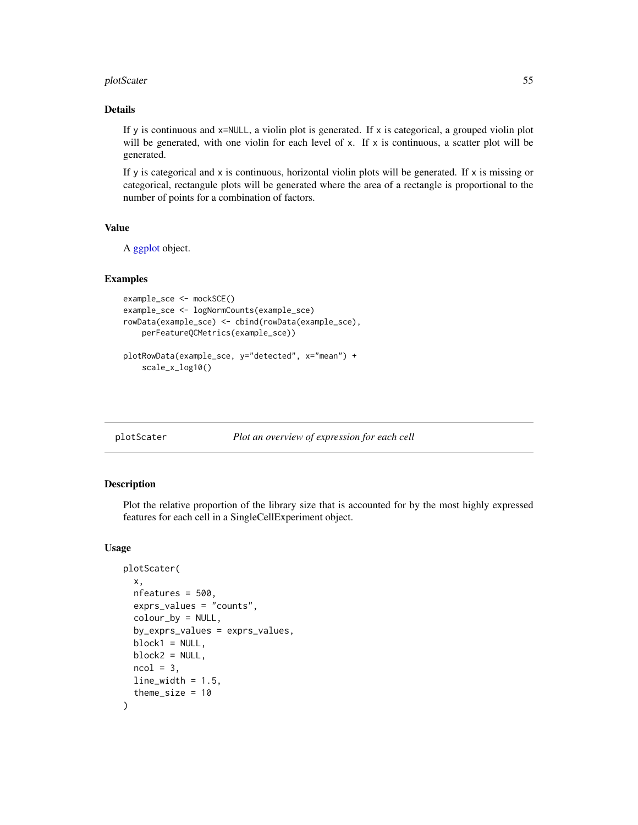#### <span id="page-54-0"></span>plotScater 55

## Details

If y is continuous and  $x=$  NULL, a violin plot is generated. If  $x$  is categorical, a grouped violin plot will be generated, with one violin for each level of x. If x is continuous, a scatter plot will be generated.

If y is categorical and x is continuous, horizontal violin plots will be generated. If x is missing or categorical, rectangule plots will be generated where the area of a rectangle is proportional to the number of points for a combination of factors.

## Value

A [ggplot](#page-0-0) object.

## Examples

```
example_sce <- mockSCE()
example_sce <- logNormCounts(example_sce)
rowData(example_sce) <- cbind(rowData(example_sce),
   perFeatureQCMetrics(example_sce))
plotRowData(example_sce, y="detected", x="mean") +
```

```
scale_x_log10()
```
plotScater *Plot an overview of expression for each cell*

#### Description

Plot the relative proportion of the library size that is accounted for by the most highly expressed features for each cell in a SingleCellExperiment object.

#### Usage

```
plotScater(
  x,
  nfeatures = 500,
  exprs_values = "counts",
  colour_by = NULL,
  by_exprs_values = exprs_values,
  block1 = NULL,block2 = NULL,
  ncol = 3,
  line\_width = 1.5,
  theme_size = 10)
```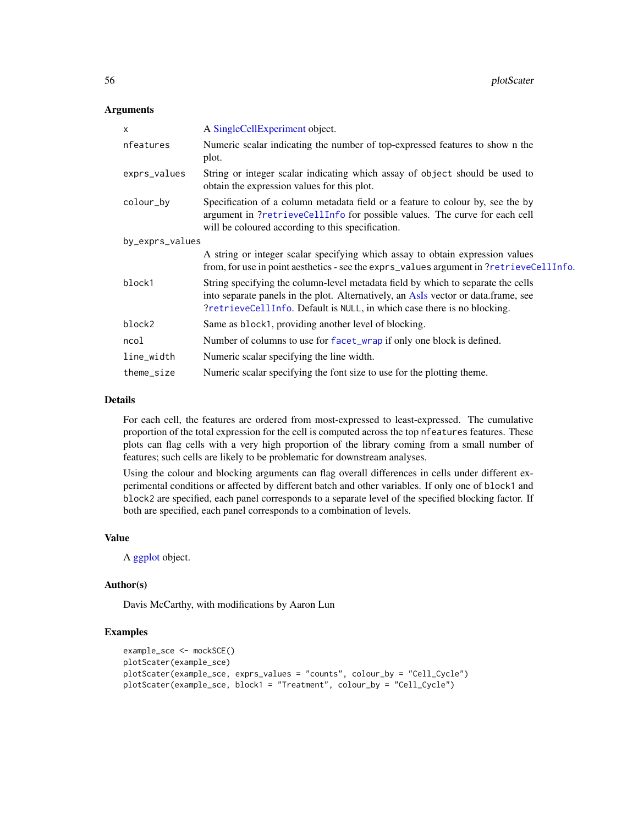## <span id="page-55-0"></span>**Arguments**

| X               | A SingleCellExperiment object.                                                                                                                                                                                                                    |  |  |  |  |
|-----------------|---------------------------------------------------------------------------------------------------------------------------------------------------------------------------------------------------------------------------------------------------|--|--|--|--|
| nfeatures       | Numeric scalar indicating the number of top-expressed features to show n the<br>plot.                                                                                                                                                             |  |  |  |  |
| exprs_values    | String or integer scalar indicating which assay of object should be used to<br>obtain the expression values for this plot.                                                                                                                        |  |  |  |  |
| colour_by       | Specification of a column metadata field or a feature to colour by, see the by<br>argument in ?retrieveCellInfo for possible values. The curve for each cell<br>will be coloured according to this specification.                                 |  |  |  |  |
| by_exprs_values |                                                                                                                                                                                                                                                   |  |  |  |  |
|                 | A string or integer scalar specifying which assay to obtain expression values<br>from, for use in point aesthetics - see the exprs_values argument in ?retrieveCellInfo.                                                                          |  |  |  |  |
| block1          | String specifying the column-level metadata field by which to separate the cells<br>into separate panels in the plot. Alternatively, an AsIs vector or data frame, see<br>?retrieveCellInfo. Default is NULL, in which case there is no blocking. |  |  |  |  |
| block2          | Same as block1, providing another level of blocking.                                                                                                                                                                                              |  |  |  |  |
| ncol            | Number of columns to use for facet_wrap if only one block is defined.                                                                                                                                                                             |  |  |  |  |
| line_width      | Numeric scalar specifying the line width.                                                                                                                                                                                                         |  |  |  |  |
| theme_size      | Numeric scalar specifying the font size to use for the plotting theme.                                                                                                                                                                            |  |  |  |  |

# Details

For each cell, the features are ordered from most-expressed to least-expressed. The cumulative proportion of the total expression for the cell is computed across the top nfeatures features. These plots can flag cells with a very high proportion of the library coming from a small number of features; such cells are likely to be problematic for downstream analyses.

Using the colour and blocking arguments can flag overall differences in cells under different experimental conditions or affected by different batch and other variables. If only one of block1 and block2 are specified, each panel corresponds to a separate level of the specified blocking factor. If both are specified, each panel corresponds to a combination of levels.

## Value

A [ggplot](#page-0-0) object.

#### Author(s)

Davis McCarthy, with modifications by Aaron Lun

#### Examples

```
example_sce <- mockSCE()
plotScater(example_sce)
plotScater(example_sce, exprs_values = "counts", colour_by = "Cell_Cycle")
plotScater(example_sce, block1 = "Treatment", colour_by = "Cell_Cycle")
```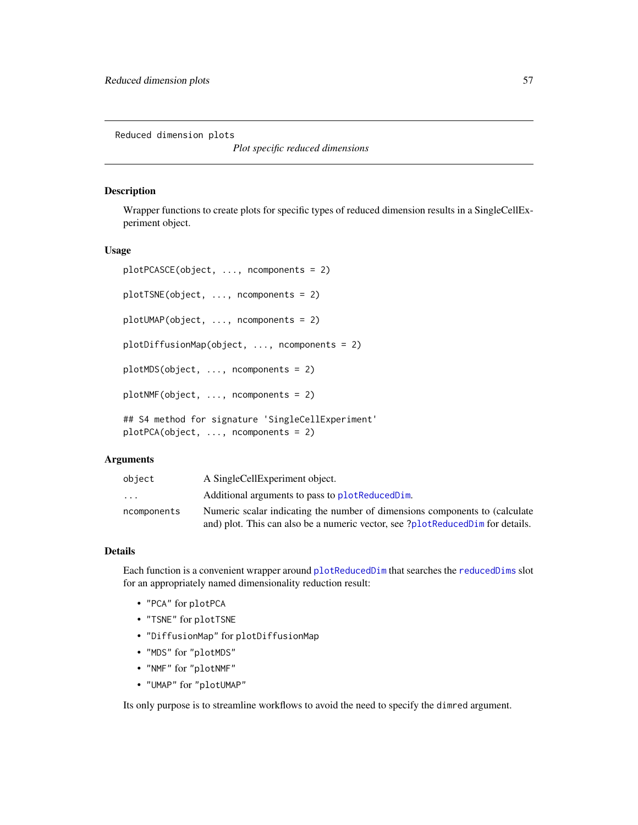<span id="page-56-1"></span>Reduced dimension plots

*Plot specific reduced dimensions*

#### <span id="page-56-0"></span>Description

Wrapper functions to create plots for specific types of reduced dimension results in a SingleCellExperiment object.

#### Usage

```
plotPCASCE(object, ..., ncomponents = 2)
plotTSNE(object, ..., ncomponents = 2)
plotUMAP(object, ..., ncomponents = 2)
plotDiffusionMap(object, ..., ncomponents = 2)
plotMDS(object, ..., ncomponents = 2)
plotNMF(object, ..., ncomponents = 2)
## S4 method for signature 'SingleCellExperiment'
plotPCA(object, ..., ncomponents = 2)
```
## Arguments

| object      | A SingleCellExperiment object.                                                 |
|-------------|--------------------------------------------------------------------------------|
| $\ddotsc$   | Additional arguments to pass to plot Reduced Dim.                              |
| ncomponents | Numeric scalar indicating the number of dimensions components to (calculate    |
|             | and) plot. This can also be a numeric vector, see ?plotReducedDim for details. |

# Details

Each function is a convenient wrapper around [plotReducedDim](#page-49-0) that searches the [reducedDims](#page-0-0) slot for an appropriately named dimensionality reduction result:

- "PCA" for plotPCA
- "TSNE" for plotTSNE
- "DiffusionMap" for plotDiffusionMap
- "MDS" for "plotMDS"
- "NMF" for "plotNMF"
- "UMAP" for "plotUMAP"

Its only purpose is to streamline workflows to avoid the need to specify the dimred argument.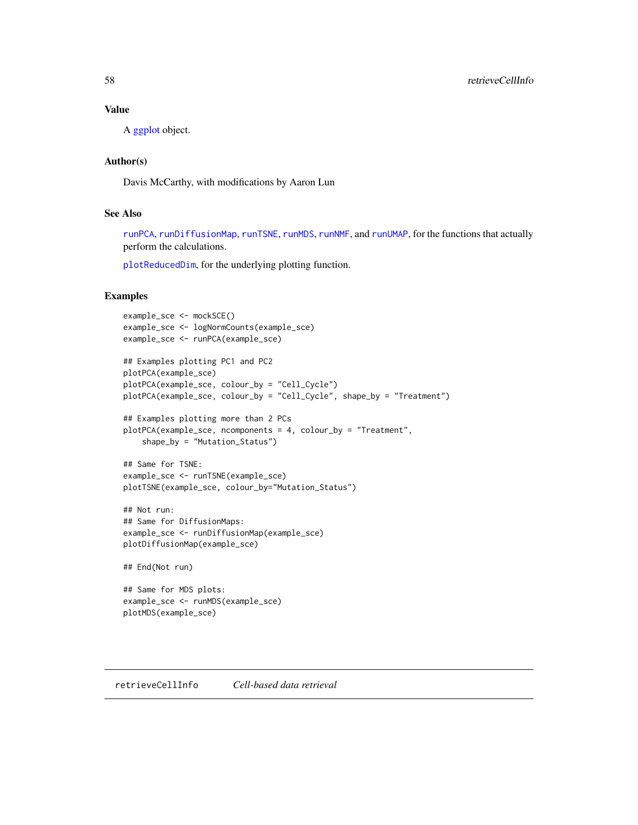# <span id="page-57-1"></span>Value

A [ggplot](#page-0-0) object.

# Author(s)

Davis McCarthy, with modifications by Aaron Lun

# See Also

[runPCA](#page-10-0), [runDiffusionMap](#page-21-0), [runTSNE](#page-14-0), [runMDS](#page-4-0), [runNMF](#page-7-0), and [runUMAP](#page-18-0), for the functions that actually perform the calculations.

[plotReducedDim](#page-49-0), for the underlying plotting function.

# Examples

```
example_sce <- mockSCE()
example_sce <- logNormCounts(example_sce)
example_sce <- runPCA(example_sce)
## Examples plotting PC1 and PC2
plotPCA(example_sce)
plotPCA(example_sce, colour_by = "Cell_Cycle")
plotPCA(example_sce, colour_by = "Cell_Cycle", shape_by = "Treatment")
## Examples plotting more than 2 PCs
plotPCA(example_sce, ncomponents = 4, colour_by = "Treatment",
    shape_by = "Mutation_Status")
## Same for TSNE:
example_sce <- runTSNE(example_sce)
plotTSNE(example_sce, colour_by="Mutation_Status")
## Not run:
## Same for DiffusionMaps:
example_sce <- runDiffusionMap(example_sce)
plotDiffusionMap(example_sce)
## End(Not run)
## Same for MDS plots:
example_sce <- runMDS(example_sce)
```
<span id="page-57-0"></span>plotMDS(example\_sce)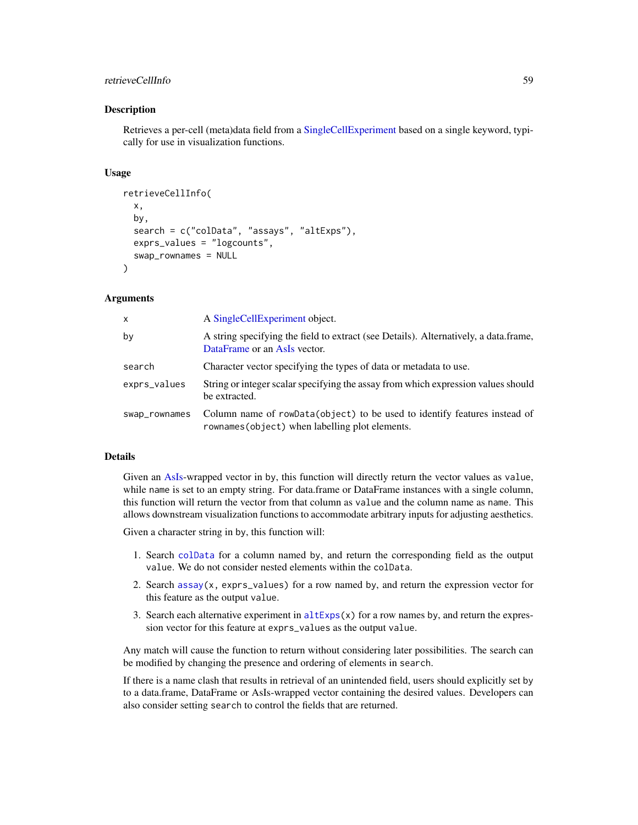# <span id="page-58-0"></span>retrieveCellInfo 59

#### Description

Retrieves a per-cell (meta)data field from a [SingleCellExperiment](#page-0-0) based on a single keyword, typically for use in visualization functions.

#### Usage

```
retrieveCellInfo(
  x,
  by,
  search = c("colData", "assays", "altExps"),
  exprs_values = "logcounts",
  swap_rownames = NULL
)
```
## Arguments

| x             | A Single Cell Experiment object.                                                                                             |
|---------------|------------------------------------------------------------------------------------------------------------------------------|
| bν            | A string specifying the field to extract (see Details). Alternatively, a data frame,<br>DataFrame or an AsIs vector.         |
| search        | Character vector specifying the types of data or metadata to use.                                                            |
| exprs_values  | String or integer scalar specifying the assay from which expression values should<br>be extracted.                           |
| swap_rownames | Column name of rowData(object) to be used to identify features instead of<br>rownames (object) when labelling plot elements. |

#### Details

Given an [AsIs-](#page-0-0)wrapped vector in by, this function will directly return the vector values as value, while name is set to an empty string. For data.frame or DataFrame instances with a single column, this function will return the vector from that column as value and the column name as name. This allows downstream visualization functions to accommodate arbitrary inputs for adjusting aesthetics.

Given a character string in by, this function will:

- 1. Search [colData](#page-0-0) for a column named by, and return the corresponding field as the output value. We do not consider nested elements within the colData.
- 2. Search assay $(x, \text{expressed})$  for a row named by, and return the expression vector for this feature as the output value.
- 3. Search each alternative experiment in  $altExpress(x)$  for a row names by, and return the expression vector for this feature at exprs\_values as the output value.

Any match will cause the function to return without considering later possibilities. The search can be modified by changing the presence and ordering of elements in search.

If there is a name clash that results in retrieval of an unintended field, users should explicitly set by to a data.frame, DataFrame or AsIs-wrapped vector containing the desired values. Developers can also consider setting search to control the fields that are returned.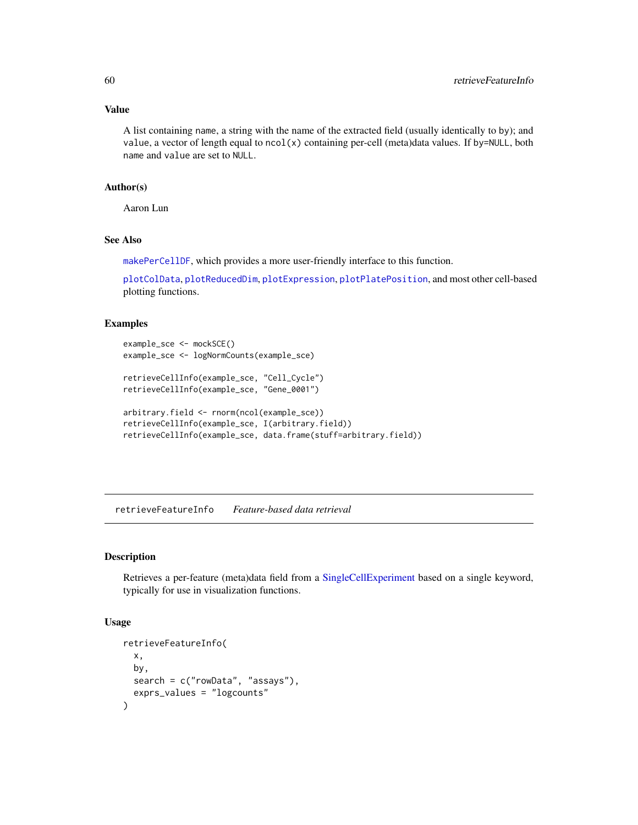## Value

A list containing name, a string with the name of the extracted field (usually identically to by); and value, a vector of length equal to ncol(x) containing per-cell (meta)data values. If by=NULL, both name and value are set to NULL.

#### Author(s)

Aaron Lun

# See Also

[makePerCellDF](#page-0-0), which provides a more user-friendly interface to this function.

[plotColData](#page-31-0), [plotReducedDim](#page-49-0), [plotExpression](#page-38-0), [plotPlatePosition](#page-47-0), and most other cell-based plotting functions.

## Examples

```
example_sce <- mockSCE()
example_sce <- logNormCounts(example_sce)
retrieveCellInfo(example_sce, "Cell_Cycle")
retrieveCellInfo(example_sce, "Gene_0001")
arbitrary.field <- rnorm(ncol(example_sce))
retrieveCellInfo(example_sce, I(arbitrary.field))
retrieveCellInfo(example_sce, data.frame(stuff=arbitrary.field))
```
<span id="page-59-0"></span>retrieveFeatureInfo *Feature-based data retrieval*

# Description

Retrieves a per-feature (meta)data field from a [SingleCellExperiment](#page-0-0) based on a single keyword, typically for use in visualization functions.

# Usage

```
retrieveFeatureInfo(
 x,
 by,
  search = c("rowData", "assays"),
  exprs_values = "logcounts"
)
```
<span id="page-59-1"></span>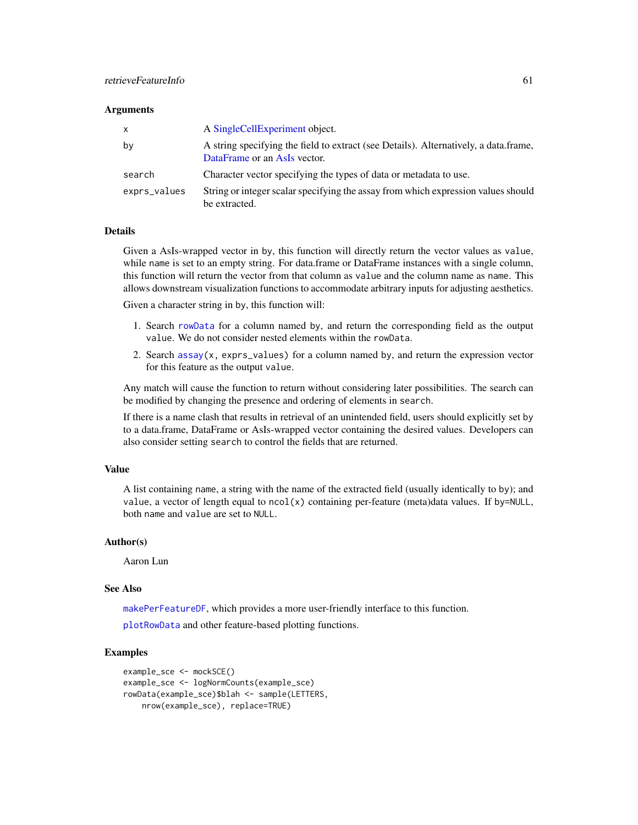# <span id="page-60-0"></span>retrieveFeatureInfo 61

#### **Arguments**

| x            | A SingleCellExperiment object.                                                                                       |  |  |  |
|--------------|----------------------------------------------------------------------------------------------------------------------|--|--|--|
| by           | A string specifying the field to extract (see Details). Alternatively, a data frame,<br>DataFrame or an AsIs vector. |  |  |  |
| search       | Character vector specifying the types of data or metadata to use.                                                    |  |  |  |
| exprs_values | String or integer scalar specifying the assay from which expression values should<br>be extracted.                   |  |  |  |

#### Details

Given a AsIs-wrapped vector in by, this function will directly return the vector values as value, while name is set to an empty string. For data.frame or DataFrame instances with a single column, this function will return the vector from that column as value and the column name as name. This allows downstream visualization functions to accommodate arbitrary inputs for adjusting aesthetics.

Given a character string in by, this function will:

- 1. Search [rowData](#page-0-0) for a column named by, and return the corresponding field as the output value. We do not consider nested elements within the rowData.
- 2. Search assay $(x, \text{expressed})$  for a column named by, and return the expression vector for this feature as the output value.

Any match will cause the function to return without considering later possibilities. The search can be modified by changing the presence and ordering of elements in search.

If there is a name clash that results in retrieval of an unintended field, users should explicitly set by to a data.frame, DataFrame or AsIs-wrapped vector containing the desired values. Developers can also consider setting search to control the fields that are returned.

# Value

A list containing name, a string with the name of the extracted field (usually identically to by); and value, a vector of length equal to  $ncol(x)$  containing per-feature (meta)data values. If by=NULL, both name and value are set to NULL.

#### Author(s)

Aaron Lun

#### See Also

[makePerFeatureDF](#page-0-0), which provides a more user-friendly interface to this function.

[plotRowData](#page-53-0) and other feature-based plotting functions.

## Examples

```
example_sce <- mockSCE()
example_sce <- logNormCounts(example_sce)
rowData(example_sce)$blah <- sample(LETTERS,
   nrow(example_sce), replace=TRUE)
```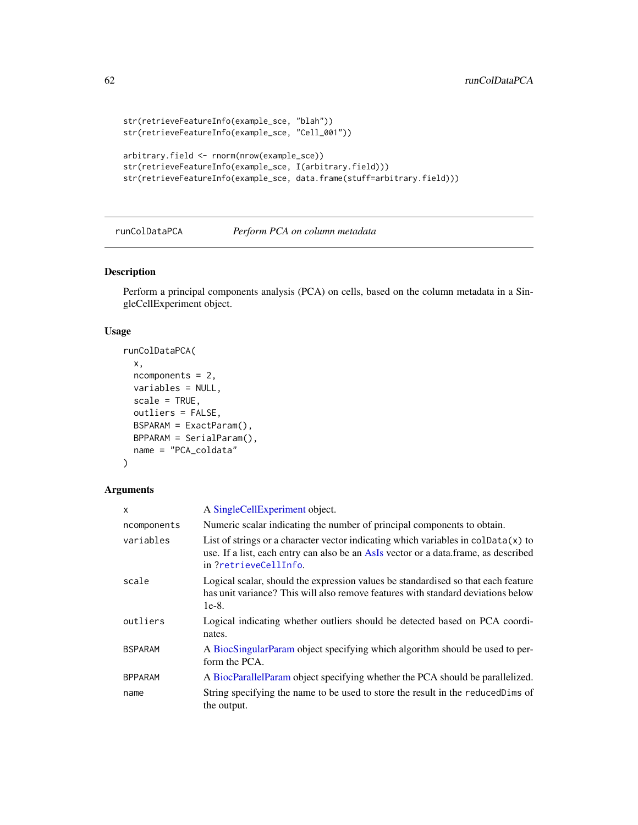```
str(retrieveFeatureInfo(example_sce, "blah"))
str(retrieveFeatureInfo(example_sce, "Cell_001"))
arbitrary.field <- rnorm(nrow(example_sce))
str(retrieveFeatureInfo(example_sce, I(arbitrary.field)))
str(retrieveFeatureInfo(example_sce, data.frame(stuff=arbitrary.field)))
```
runColDataPCA *Perform PCA on column metadata*

# Description

Perform a principal components analysis (PCA) on cells, based on the column metadata in a SingleCellExperiment object.

## Usage

```
runColDataPCA(
 x,
 ncomponents = 2,
 variables = NULL,
  scale = TRUE,
 outliers = FALSE,
 BSPARAM = ExactParam(),
 BPPARAM = SerialParam(),
 name = "PCA_coldata"
)
```

| x              | A SingleCellExperiment object.                                                                                                                                                                        |  |  |  |  |
|----------------|-------------------------------------------------------------------------------------------------------------------------------------------------------------------------------------------------------|--|--|--|--|
| ncomponents    | Numeric scalar indicating the number of principal components to obtain.                                                                                                                               |  |  |  |  |
| variables      | List of strings or a character vector indicating which variables in coldata $(x)$ to<br>use. If a list, each entry can also be an AsIs vector or a data. frame, as described<br>in ?retrieveCellInfo. |  |  |  |  |
| scale          | Logical scalar, should the expression values be standardised so that each feature<br>has unit variance? This will also remove features with standard deviations below<br>$1e-8$ .                     |  |  |  |  |
| outliers       | Logical indicating whether outliers should be detected based on PCA coordi-<br>nates.                                                                                                                 |  |  |  |  |
| <b>BSPARAM</b> | A BiocSingularParam object specifying which algorithm should be used to per-<br>form the PCA.                                                                                                         |  |  |  |  |
| <b>BPPARAM</b> | A BiocParallelParam object specifying whether the PCA should be parallelized.                                                                                                                         |  |  |  |  |
| name           | String specifying the name to be used to store the result in the reduced Dims of<br>the output.                                                                                                       |  |  |  |  |

<span id="page-61-0"></span>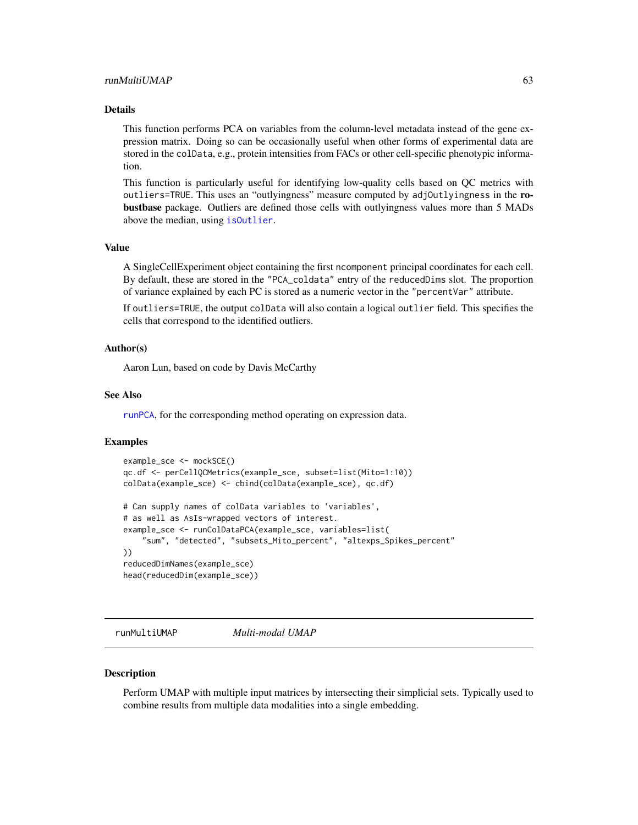#### <span id="page-62-0"></span>runMultiUMAP 63

#### Details

This function performs PCA on variables from the column-level metadata instead of the gene expression matrix. Doing so can be occasionally useful when other forms of experimental data are stored in the colData, e.g., protein intensities from FACs or other cell-specific phenotypic information.

This function is particularly useful for identifying low-quality cells based on QC metrics with outliers=TRUE. This uses an "outlyingness" measure computed by adjOutlyingness in the robustbase package. Outliers are defined those cells with outlyingness values more than 5 MADs above the median, using [isOutlier](#page-0-0).

#### Value

A SingleCellExperiment object containing the first ncomponent principal coordinates for each cell. By default, these are stored in the "PCA\_coldata" entry of the reducedDims slot. The proportion of variance explained by each PC is stored as a numeric vector in the "percentVar" attribute.

If outliers=TRUE, the output colData will also contain a logical outlier field. This specifies the cells that correspond to the identified outliers.

## Author(s)

Aaron Lun, based on code by Davis McCarthy

#### See Also

[runPCA](#page-10-0), for the corresponding method operating on expression data.

#### Examples

```
example_sce <- mockSCE()
qc.df <- perCellQCMetrics(example_sce, subset=list(Mito=1:10))
colData(example_sce) <- cbind(colData(example_sce), qc.df)
# Can supply names of colData variables to 'variables',
# as well as AsIs-wrapped vectors of interest.
example_sce <- runColDataPCA(example_sce, variables=list(
    "sum", "detected", "subsets_Mito_percent", "altexps_Spikes_percent"
))
reducedDimNames(example_sce)
head(reducedDim(example_sce))
```
runMultiUMAP *Multi-modal UMAP*

#### **Description**

Perform UMAP with multiple input matrices by intersecting their simplicial sets. Typically used to combine results from multiple data modalities into a single embedding.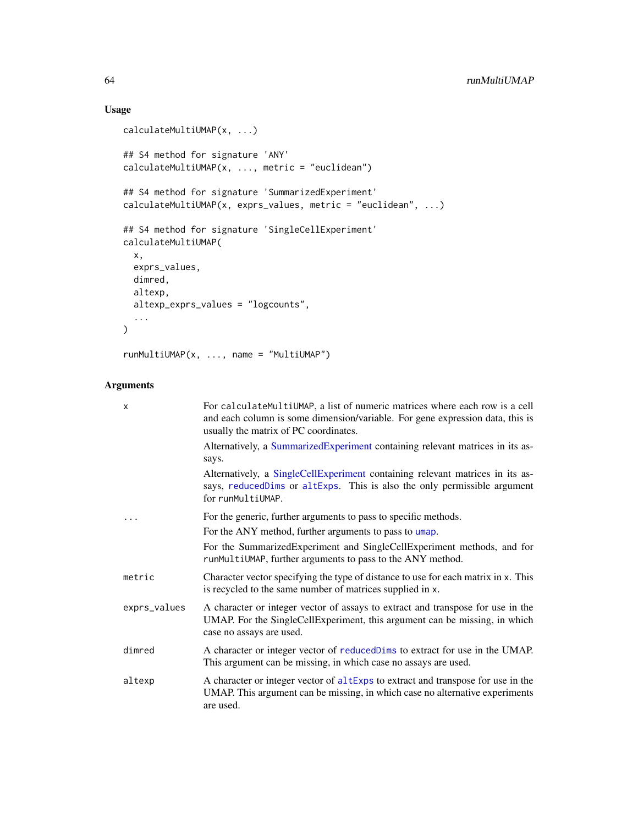# Usage

```
calculateMultiUMAP(x, ...)
## S4 method for signature 'ANY'
calculateMultiUMAP(x, ..., metric = "euclidean")
## S4 method for signature 'SummarizedExperiment'
calculateMultiUMAP(x, exprs_values, metric = "euclidean", ...)
## S4 method for signature 'SingleCellExperiment'
calculateMultiUMAP(
  x,
  exprs_values,
  dimred,
  altexp,
  altexp_exprs_values = "logcounts",
  ...
\mathcal{L}runMultiUMAP(x, ..., name = "MultiUMAP")
```

| X            | For calculateMultiUMAP, a list of numeric matrices where each row is a cell<br>and each column is some dimension/variable. For gene expression data, this is<br>usually the matrix of PC coordinates. |  |  |  |
|--------------|-------------------------------------------------------------------------------------------------------------------------------------------------------------------------------------------------------|--|--|--|
|              | Alternatively, a SummarizedExperiment containing relevant matrices in its as-<br>says.                                                                                                                |  |  |  |
|              | Alternatively, a SingleCellExperiment containing relevant matrices in its as-<br>says, reducedDims or altExps. This is also the only permissible argument<br>for runMultiUMAP.                        |  |  |  |
|              | For the generic, further arguments to pass to specific methods.                                                                                                                                       |  |  |  |
|              | For the ANY method, further arguments to pass to umap.                                                                                                                                                |  |  |  |
|              | For the SummarizedExperiment and SingleCellExperiment methods, and for<br>runMultiUMAP, further arguments to pass to the ANY method.                                                                  |  |  |  |
| metric       | Character vector specifying the type of distance to use for each matrix in x. This<br>is recycled to the same number of matrices supplied in x.                                                       |  |  |  |
| exprs_values | A character or integer vector of assays to extract and transpose for use in the<br>UMAP. For the SingleCellExperiment, this argument can be missing, in which<br>case no assays are used.             |  |  |  |
| dimred       | A character or integer vector of reduced Dims to extract for use in the UMAP.<br>This argument can be missing, in which case no assays are used.                                                      |  |  |  |
| altexp       | A character or integer vector of altExps to extract and transpose for use in the<br>UMAP. This argument can be missing, in which case no alternative experiments<br>are used.                         |  |  |  |

<span id="page-63-0"></span>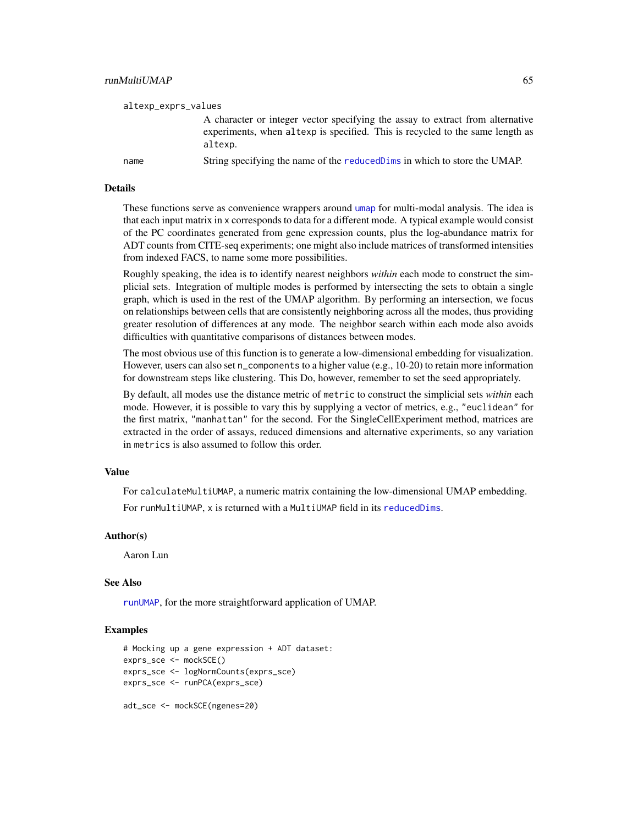<span id="page-64-0"></span>

| altexp_exprs_values |                                                                                                                                                                            |
|---------------------|----------------------------------------------------------------------------------------------------------------------------------------------------------------------------|
|                     | A character or integer vector specifying the assay to extract from alternative<br>experiments, when altexp is specified. This is recycled to the same length as<br>altexp. |
| name                | String specifying the name of the reduced Dims in which to store the UMAP.                                                                                                 |

#### Details

These functions serve as convenience wrappers around [umap](#page-0-0) for multi-modal analysis. The idea is that each input matrix in x corresponds to data for a different mode. A typical example would consist of the PC coordinates generated from gene expression counts, plus the log-abundance matrix for ADT counts from CITE-seq experiments; one might also include matrices of transformed intensities from indexed FACS, to name some more possibilities.

Roughly speaking, the idea is to identify nearest neighbors *within* each mode to construct the simplicial sets. Integration of multiple modes is performed by intersecting the sets to obtain a single graph, which is used in the rest of the UMAP algorithm. By performing an intersection, we focus on relationships between cells that are consistently neighboring across all the modes, thus providing greater resolution of differences at any mode. The neighbor search within each mode also avoids difficulties with quantitative comparisons of distances between modes.

The most obvious use of this function is to generate a low-dimensional embedding for visualization. However, users can also set n\_components to a higher value (e.g., 10-20) to retain more information for downstream steps like clustering. This Do, however, remember to set the seed appropriately.

By default, all modes use the distance metric of metric to construct the simplicial sets *within* each mode. However, it is possible to vary this by supplying a vector of metrics, e.g., "euclidean" for the first matrix, "manhattan" for the second. For the SingleCellExperiment method, matrices are extracted in the order of assays, reduced dimensions and alternative experiments, so any variation in metrics is also assumed to follow this order.

#### Value

For calculateMultiUMAP, a numeric matrix containing the low-dimensional UMAP embedding.

For runMultiUMAP, x is returned with a MultiUMAP field in its [reducedDims](#page-0-0).

#### Author(s)

Aaron Lun

#### See Also

[runUMAP](#page-18-0), for the more straightforward application of UMAP.

#### Examples

```
# Mocking up a gene expression + ADT dataset:
exprs_sce <- mockSCE()
exprs_sce <- logNormCounts(exprs_sce)
exprs_sce <- runPCA(exprs_sce)
adt_sce <- mockSCE(ngenes=20)
```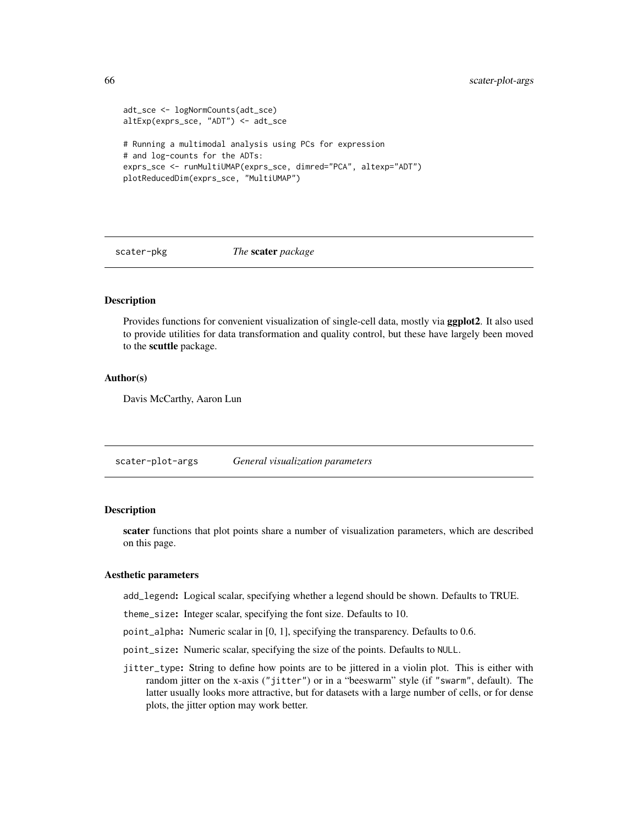```
adt_sce <- logNormCounts(adt_sce)
altExp(exprs_sce, "ADT") <- adt_sce
# Running a multimodal analysis using PCs for expression
# and log-counts for the ADTs:
exprs_sce <- runMultiUMAP(exprs_sce, dimred="PCA", altexp="ADT")
plotReducedDim(exprs_sce, "MultiUMAP")
```
scater-pkg *The* scater *package*

## Description

Provides functions for convenient visualization of single-cell data, mostly via ggplot2. It also used to provide utilities for data transformation and quality control, but these have largely been moved to the scuttle package.

#### Author(s)

Davis McCarthy, Aaron Lun

<span id="page-65-0"></span>scater-plot-args *General visualization parameters*

# **Description**

scater functions that plot points share a number of visualization parameters, which are described on this page.

#### Aesthetic parameters

add\_legend: Logical scalar, specifying whether a legend should be shown. Defaults to TRUE.

theme\_size: Integer scalar, specifying the font size. Defaults to 10.

point\_alpha: Numeric scalar in [0, 1], specifying the transparency. Defaults to 0.6.

- point\_size: Numeric scalar, specifying the size of the points. Defaults to NULL.
- jitter\_type: String to define how points are to be jittered in a violin plot. This is either with random jitter on the x-axis ("jitter") or in a "beeswarm" style (if "swarm", default). The latter usually looks more attractive, but for datasets with a large number of cells, or for dense plots, the jitter option may work better.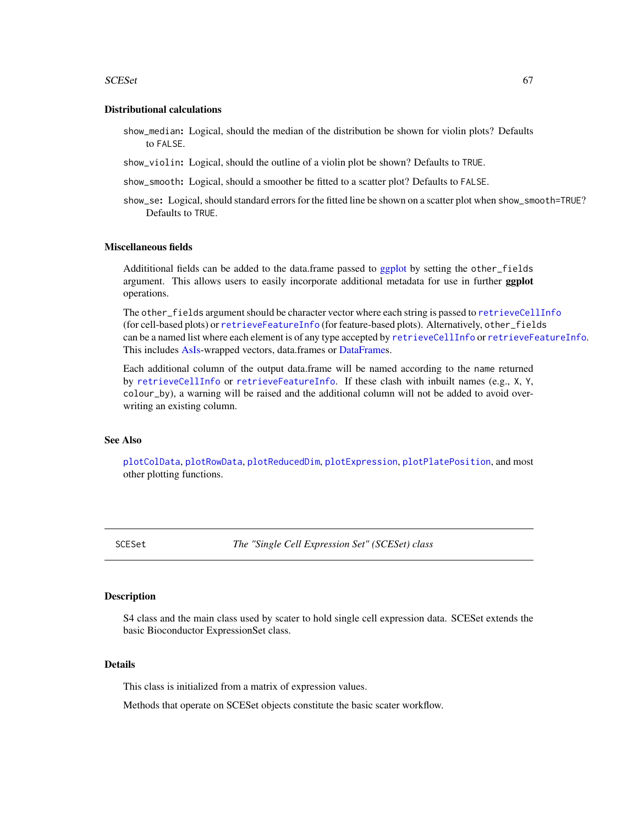#### <span id="page-66-1"></span> $SCESet$  67

#### Distributional calculations

- show\_median: Logical, should the median of the distribution be shown for violin plots? Defaults to FALSE.
- show\_violin: Logical, should the outline of a violin plot be shown? Defaults to TRUE.
- show\_smooth: Logical, should a smoother be fitted to a scatter plot? Defaults to FALSE.
- show\_se: Logical, should standard errors for the fitted line be shown on a scatter plot when show\_smooth=TRUE? Defaults to TRUE.

# Miscellaneous fields

Addititional fields can be added to the data.frame passed to [ggplot](#page-0-0) by setting the other\_fields argument. This allows users to easily incorporate additional metadata for use in further ggplot operations.

The other\_fields argument should be character vector where each string is passed to [retrieveCellInfo](#page-57-0) (for cell-based plots) or [retrieveFeatureInfo](#page-59-0) (for feature-based plots). Alternatively, other\_fields can be a named list where each element is of any type accepted by [retrieveCellInfo](#page-57-0) or [retrieveFeatureInfo](#page-59-0). This includes [AsIs-](#page-0-0)wrapped vectors, data.frames or [DataFrames](#page-0-0).

Each additional column of the output data.frame will be named according to the name returned by [retrieveCellInfo](#page-57-0) or [retrieveFeatureInfo](#page-59-0). If these clash with inbuilt names (e.g., X, Y, colour\_by), a warning will be raised and the additional column will not be added to avoid overwriting an existing column.

# See Also

[plotColData](#page-31-0), [plotRowData](#page-53-0), [plotReducedDim](#page-49-0), [plotExpression](#page-38-0), [plotPlatePosition](#page-47-0), and most other plotting functions.

<span id="page-66-0"></span>SCESet *The "Single Cell Expression Set" (SCESet) class*

#### Description

S4 class and the main class used by scater to hold single cell expression data. SCESet extends the basic Bioconductor ExpressionSet class.

#### Details

This class is initialized from a matrix of expression values.

Methods that operate on SCESet objects constitute the basic scater workflow.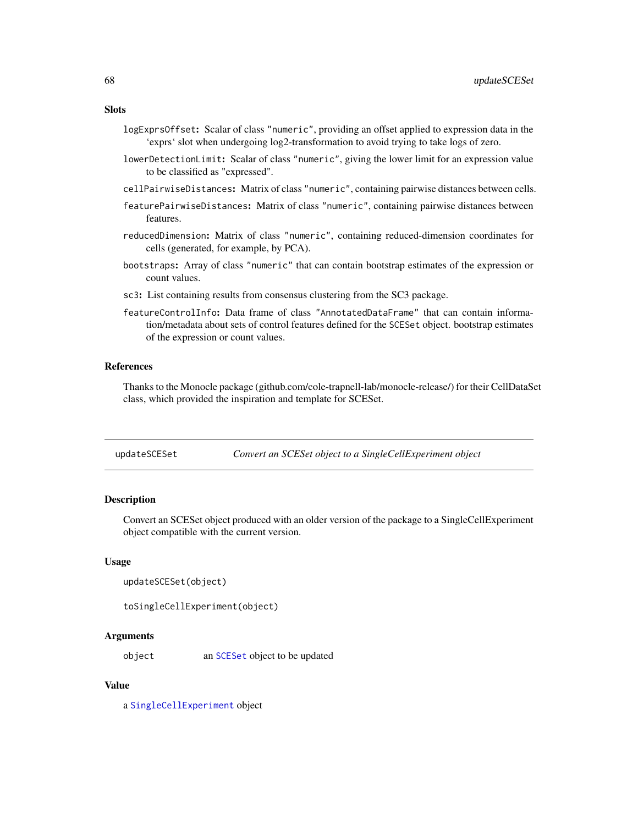# <span id="page-67-0"></span>**Slots**

- logExprsOffset: Scalar of class "numeric", providing an offset applied to expression data in the 'exprs' slot when undergoing log2-transformation to avoid trying to take logs of zero.
- lowerDetectionLimit: Scalar of class "numeric", giving the lower limit for an expression value to be classified as "expressed".
- cellPairwiseDistances: Matrix of class "numeric", containing pairwise distances between cells.
- featurePairwiseDistances: Matrix of class "numeric", containing pairwise distances between features.
- reducedDimension: Matrix of class "numeric", containing reduced-dimension coordinates for cells (generated, for example, by PCA).
- bootstraps: Array of class "numeric" that can contain bootstrap estimates of the expression or count values.
- sc3: List containing results from consensus clustering from the SC3 package.
- featureControlInfo: Data frame of class "AnnotatedDataFrame" that can contain information/metadata about sets of control features defined for the SCESet object. bootstrap estimates of the expression or count values.

# References

Thanks to the Monocle package (github.com/cole-trapnell-lab/monocle-release/) for their CellDataSet class, which provided the inspiration and template for SCESet.

| updateSCESet | Convert an SCESet object to a SingleCellExperiment object |  |  |  |
|--------------|-----------------------------------------------------------|--|--|--|
|              |                                                           |  |  |  |

#### **Description**

Convert an SCESet object produced with an older version of the package to a SingleCellExperiment object compatible with the current version.

#### Usage

```
updateSCESet(object)
```

```
toSingleCellExperiment(object)
```
# Arguments

object an [SCESet](#page-66-0) object to be updated

#### Value

a [SingleCellExperiment](#page-0-0) object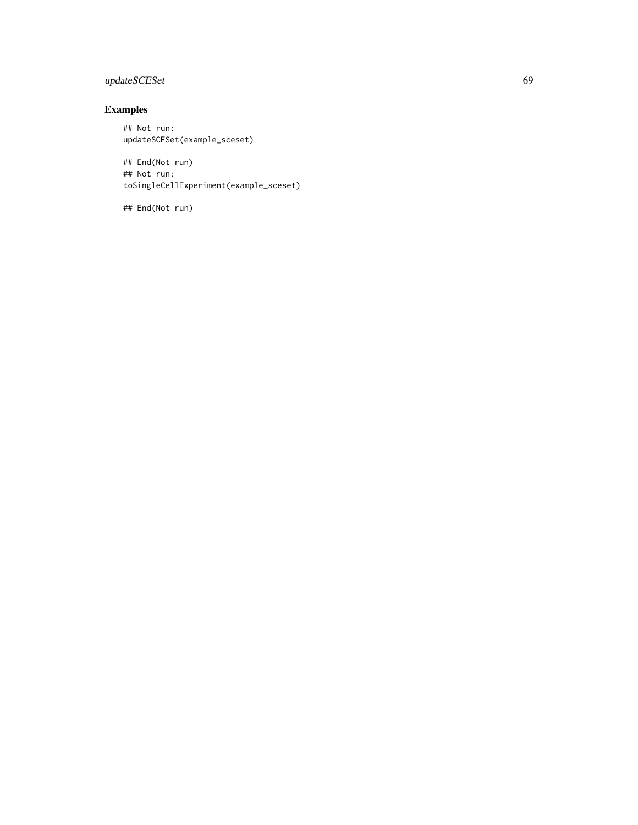# updateSCESet 69

# Examples

## Not run: updateSCESet(example\_sceset)

## End(Not run) ## Not run: toSingleCellExperiment(example\_sceset)

## End(Not run)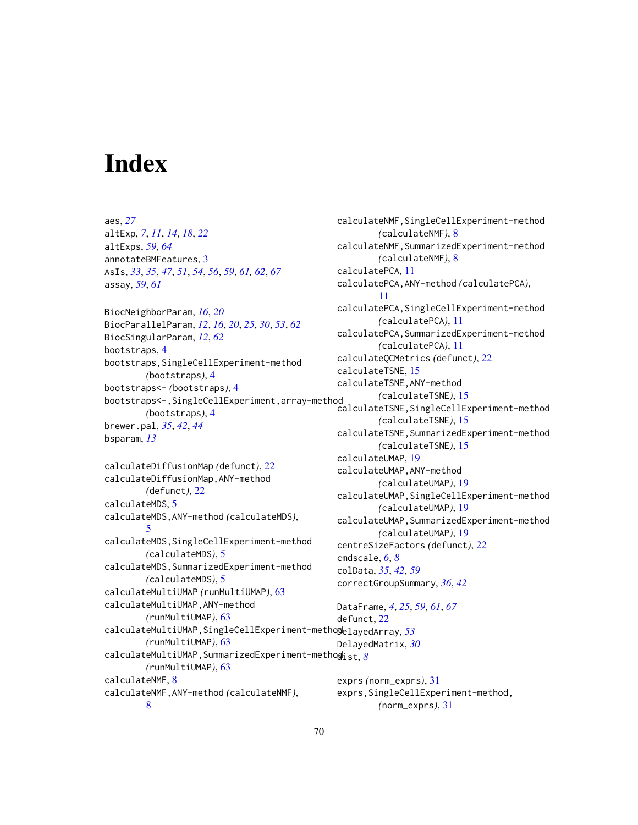# **Index**

aes, *[27](#page-26-0)* altExp, *[7](#page-6-0)*, *[11](#page-10-1)*, *[14](#page-13-0)*, *[18](#page-17-0)*, *[22](#page-21-1)* altExps, *[59](#page-58-0)*, *[64](#page-63-0)* annotateBMFeatures, [3](#page-2-0) AsIs, *[33](#page-32-0)*, *[35](#page-34-0)*, *[47](#page-46-0)*, *[51](#page-50-0)*, *[54](#page-53-1)*, *[56](#page-55-0)*, *[59](#page-58-0)*, *[61,](#page-60-0) [62](#page-61-0)*, *[67](#page-66-1)* assay, *[59](#page-58-0)*, *[61](#page-60-0)* BiocNeighborParam, *[16](#page-15-0)*, *[20](#page-19-0)* BiocParallelParam, *[12](#page-11-0)*, *[16](#page-15-0)*, *[20](#page-19-0)*, *[25](#page-24-1)*, *[30](#page-29-0)*, *[53](#page-52-0)*, *[62](#page-61-0)* BiocSingularParam, *[12](#page-11-0)*, *[62](#page-61-0)* bootstraps, [4](#page-3-0) bootstraps,SingleCellExperiment-method *(*bootstraps*)*, [4](#page-3-0) bootstraps<- *(*bootstraps*)*, [4](#page-3-0) bootstraps<-,SingleCellExperiment,array-method *(*bootstraps*)*, [4](#page-3-0) brewer.pal, *[35](#page-34-0)*, *[42](#page-41-0)*, *[44](#page-43-0)* bsparam, *[13](#page-12-0)* calculateDiffusionMap *(*defunct*)*, [22](#page-21-1) calculateDiffusionMap,ANY-method *(*defunct*)*, [22](#page-21-1) calculateMDS, [5](#page-4-1)

calculateMDS,ANY-method *(*calculateMDS*)*, [5](#page-4-1) calculateMDS,SingleCellExperiment-method *(*calculateMDS*)*, [5](#page-4-1) calculateMDS,SummarizedExperiment-method *(*calculateMDS*)*, [5](#page-4-1) calculateMultiUMAP *(*runMultiUMAP*)*, [63](#page-62-0) calculateMultiUMAP,ANY-method *(*runMultiUMAP*)*, [63](#page-62-0) calculateMultiUMAP,SingleCellExperiment-method DelayedArray, *[53](#page-52-0) (*runMultiUMAP*)*, [63](#page-62-0) calculateMultiUMAP,SummarizedExperiment-method dist, *[8](#page-7-1) (*runMultiUMAP*)*, [63](#page-62-0) calculateNMF, [8](#page-7-1) calculateNMF,ANY-method *(*calculateNMF*)*, defunct, [22](#page-21-1)

[8](#page-7-1)

calculateNMF,SingleCellExperiment-method *(*calculateNMF*)*, [8](#page-7-1) calculateNMF,SummarizedExperiment-method *(*calculateNMF*)*, [8](#page-7-1) calculatePCA, [11](#page-10-1) calculatePCA,ANY-method *(*calculatePCA*)*, [11](#page-10-1) calculatePCA,SingleCellExperiment-method *(*calculatePCA*)*, [11](#page-10-1) calculatePCA,SummarizedExperiment-method *(*calculatePCA*)*, [11](#page-10-1) calculateQCMetrics *(*defunct*)*, [22](#page-21-1) calculateTSNE, [15](#page-14-1) calculateTSNE,ANY-method *(*calculateTSNE*)*, [15](#page-14-1) calculateTSNE,SingleCellExperiment-method *(*calculateTSNE*)*, [15](#page-14-1) calculateTSNE,SummarizedExperiment-method *(*calculateTSNE*)*, [15](#page-14-1) calculateUMAP, [19](#page-18-1) calculateUMAP,ANY-method *(*calculateUMAP*)*, [19](#page-18-1) calculateUMAP,SingleCellExperiment-method *(*calculateUMAP*)*, [19](#page-18-1) calculateUMAP,SummarizedExperiment-method *(*calculateUMAP*)*, [19](#page-18-1) centreSizeFactors *(*defunct*)*, [22](#page-21-1) cmdscale, *[6](#page-5-0)*, *[8](#page-7-1)* colData, *[35](#page-34-0)*, *[42](#page-41-0)*, *[59](#page-58-0)* correctGroupSummary, *[36](#page-35-0)*, *[42](#page-41-0)* DataFrame, *[4](#page-3-0)*, *[25](#page-24-1)*, *[59](#page-58-0)*, *[61](#page-60-0)*, *[67](#page-66-1)*

DelayedMatrix, *[30](#page-29-0)* exprs *(*norm\_exprs*)*, [31](#page-30-0) exprs,SingleCellExperiment-method, *(*norm\_exprs*)*, [31](#page-30-0)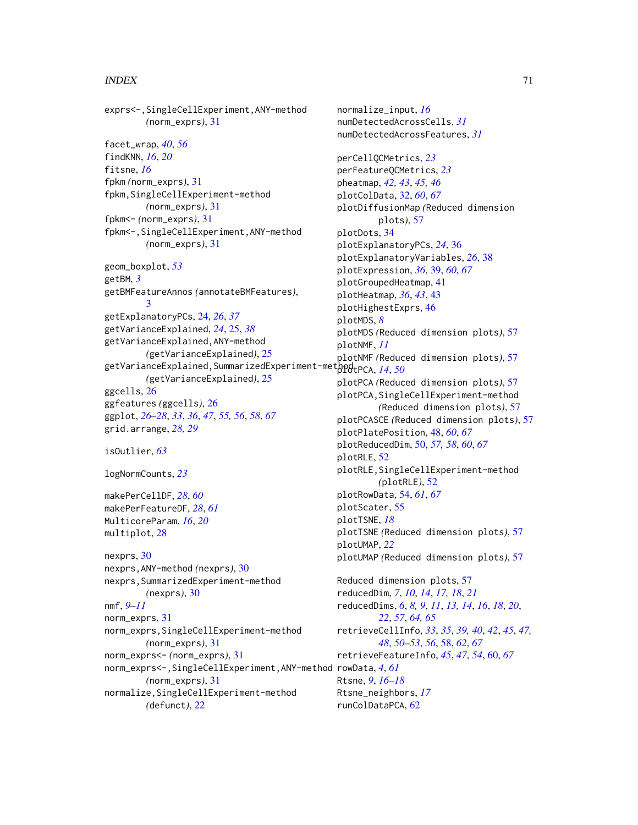## $I<sub>N</sub>$  in  $I<sub>1</sub>$  is  $I<sub>2</sub>$  in  $I<sub>3</sub>$  in  $I<sub>4</sub>$  in  $I<sub>5</sub>$  in  $I<sub>6</sub>$  in  $I<sub>7</sub>$  in  $I<sub>8</sub>$  in  $I<sub>9</sub>$  in  $I<sub>9</sub>$  in  $I<sub>9</sub>$  in  $I<sub>9</sub>$  in  $I<sub>9</sub>$  in  $I<sub>9</sub>$  in  $I<sub>9</sub>$  i

exprs<-,SingleCellExperiment,ANY-method *(*norm\_exprs*)*, [31](#page-30-0) facet\_wrap, *[40](#page-39-0)*, *[56](#page-55-0)* findKNN, *[16](#page-15-0)*, *[20](#page-19-0)* fitsne, *[16](#page-15-0)* fpkm *(*norm\_exprs*)*, [31](#page-30-0) fpkm,SingleCellExperiment-method *(*norm\_exprs*)*, [31](#page-30-0) fpkm<- *(*norm\_exprs*)*, [31](#page-30-0) fpkm<-,SingleCellExperiment,ANY-method *(*norm\_exprs*)*, [31](#page-30-0) geom\_boxplot, *[53](#page-52-0)* getBM, *[3](#page-2-0)* getBMFeatureAnnos *(*annotateBMFeatures*)*, [3](#page-2-0) getExplanatoryPCs, [24,](#page-23-1) *[26](#page-25-0)*, *[37](#page-36-0)* getVarianceExplained, *[24](#page-23-1)*, [25,](#page-24-1) *[38](#page-37-0)* getVarianceExplained,ANY-method *(*getVarianceExplained*)*, [25](#page-24-1) getVarianceExplained,SummarizedExperiment-method plotPCA, *[14](#page-13-0)*, *[50](#page-49-1) (*getVarianceExplained*)*, [25](#page-24-1) ggcells, [26](#page-25-0) ggfeatures *(*ggcells*)*, [26](#page-25-0) ggplot, *[26](#page-25-0)[–28](#page-27-0)*, *[33](#page-32-0)*, *[36](#page-35-0)*, *[47](#page-46-0)*, *[55,](#page-54-0) [56](#page-55-0)*, *[58](#page-57-1)*, *[67](#page-66-1)* grid.arrange, *[28,](#page-27-0) [29](#page-28-0)* isOutlier, *[63](#page-62-0)* logNormCounts, *[23](#page-22-0)* makePerCellDF, *[28](#page-27-0)*, *[60](#page-59-1)* makePerFeatureDF, *[28](#page-27-0)*, *[61](#page-60-0)* MulticoreParam, *[16](#page-15-0)*, *[20](#page-19-0)* multiplot, [28](#page-27-0) nexprs, [30](#page-29-0) nexprs,ANY-method *(*nexprs*)*, [30](#page-29-0) nexprs,SummarizedExperiment-method *(*nexprs*)*, [30](#page-29-0) nmf, *[9](#page-8-0)[–11](#page-10-1)* norm\_exprs, [31](#page-30-0) norm\_exprs,SingleCellExperiment-method *(*norm\_exprs*)*, [31](#page-30-0) norm\_exprs<- *(*norm\_exprs*)*, [31](#page-30-0) norm\_exprs<-,SingleCellExperiment,ANY-method rowData, *[4](#page-3-0)*, *[61](#page-60-0) (*norm\_exprs*)*, [31](#page-30-0) normalize,SingleCellExperiment-method

*(*defunct*)*, [22](#page-21-1)

normalize\_input, *[16](#page-15-0)* numDetectedAcrossCells, *[31](#page-30-0)* numDetectedAcrossFeatures, *[31](#page-30-0)* perCellQCMetrics, *[23](#page-22-0)* perFeatureQCMetrics, *[23](#page-22-0)* pheatmap, *[42,](#page-41-0) [43](#page-42-1)*, *[45,](#page-44-0) [46](#page-45-0)* plotColData, [32,](#page-31-1) *[60](#page-59-1)*, *[67](#page-66-1)* plotDiffusionMap *(*Reduced dimension plots*)*, [57](#page-56-1) plotDots, [34](#page-33-0) plotExplanatoryPCs, *[24](#page-23-1)*, [36](#page-35-0) plotExplanatoryVariables, *[26](#page-25-0)*, [38](#page-37-0) plotExpression, *[36](#page-35-0)*, [39,](#page-38-1) *[60](#page-59-1)*, *[67](#page-66-1)* plotGroupedHeatmap, [41](#page-40-0) plotHeatmap, *[36](#page-35-0)*, *[43](#page-42-1)*, [43](#page-42-1) plotHighestExprs, [46](#page-45-0) plotMDS, *[8](#page-7-1)* plotMDS *(*Reduced dimension plots*)*, [57](#page-56-1) plotNMF, *[11](#page-10-1)* plotNMF *(*Reduced dimension plots*)*, [57](#page-56-1) plotPCA *(*Reduced dimension plots*)*, [57](#page-56-1) plotPCA,SingleCellExperiment-method *(*Reduced dimension plots*)*, [57](#page-56-1) plotPCASCE *(*Reduced dimension plots*)*, [57](#page-56-1) plotPlatePosition, [48,](#page-47-1) *[60](#page-59-1)*, *[67](#page-66-1)* plotReducedDim, [50,](#page-49-1) *[57,](#page-56-1) [58](#page-57-1)*, *[60](#page-59-1)*, *[67](#page-66-1)* plotRLE, [52](#page-51-0) plotRLE,SingleCellExperiment-method *(*plotRLE*)*, [52](#page-51-0) plotRowData, [54,](#page-53-1) *[61](#page-60-0)*, *[67](#page-66-1)* plotScater, [55](#page-54-0) plotTSNE, *[18](#page-17-0)* plotTSNE *(*Reduced dimension plots*)*, [57](#page-56-1) plotUMAP, *[22](#page-21-1)* plotUMAP *(*Reduced dimension plots*)*, [57](#page-56-1) Reduced dimension plots, [57](#page-56-1) reducedDim, *[7](#page-6-0)*, *[10](#page-9-0)*, *[14](#page-13-0)*, *[17,](#page-16-0) [18](#page-17-0)*, *[21](#page-20-0)* reducedDims, *[6](#page-5-0)*, *[8,](#page-7-1) [9](#page-8-0)*, *[11](#page-10-1)*, *[13,](#page-12-0) [14](#page-13-0)*, *[16](#page-15-0)*, *[18](#page-17-0)*, *[20](#page-19-0)*, *[22](#page-21-1)*, *[57](#page-56-1)*, *[64,](#page-63-0) [65](#page-64-0)* retrieveCellInfo, *[33](#page-32-0)*, *[35](#page-34-0)*, *[39,](#page-38-1) [40](#page-39-0)*, *[42](#page-41-0)*, *[45](#page-44-0)*, *[47,](#page-46-0) [48](#page-47-1)*, *[50](#page-49-1)[–53](#page-52-0)*, *[56](#page-55-0)*, [58,](#page-57-1) *[62](#page-61-0)*, *[67](#page-66-1)* retrieveFeatureInfo, *[45](#page-44-0)*, *[47](#page-46-0)*, *[54](#page-53-1)*, [60,](#page-59-1) *[67](#page-66-1)* Rtsne, *[9](#page-8-0)*, *[16](#page-15-0)[–18](#page-17-0)* Rtsne\_neighbors, *[17](#page-16-0)* runColDataPCA, [62](#page-61-0)